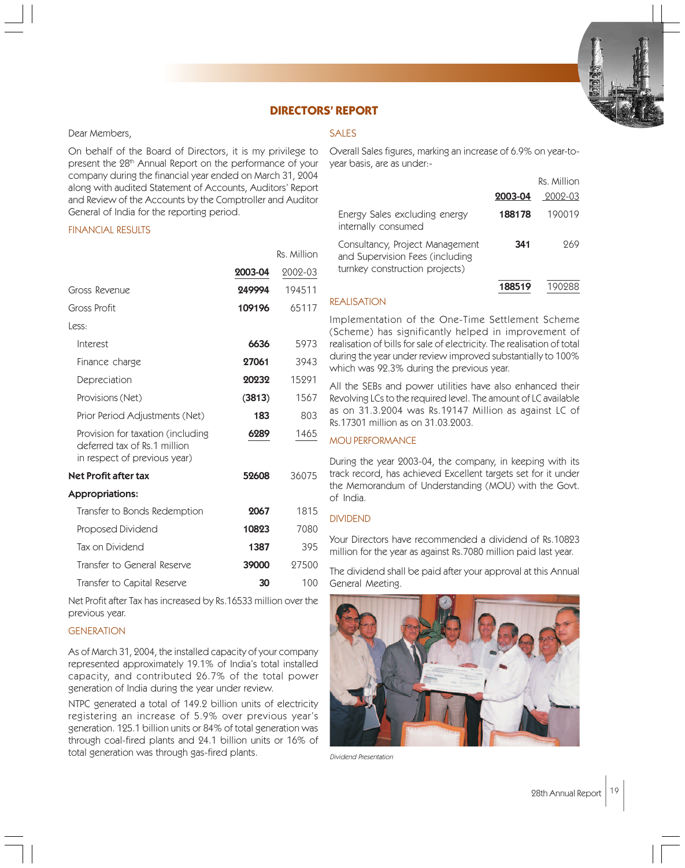

# **DIRECTORS' REPORT**

#### Dear Members,

On behalf of the Board of Directors, it is my privilege to present the 28<sup>th</sup> Annual Report on the performance of your company during the financial year ended on March 31, 2004 along with audited Statement of Accounts, Auditors' Report and Review of the Accounts by the Comptroller and Auditor General of India for the reporting period.

#### FINANCIAL RESULTS

|                                                                                                   |         | Rs. Million |
|---------------------------------------------------------------------------------------------------|---------|-------------|
|                                                                                                   | 2003-04 | 2002-03     |
| Gross Revenue                                                                                     | 249994  | 194511      |
| Gross Profit                                                                                      | 109196  | 65117       |
| Less:                                                                                             |         |             |
| Interest                                                                                          | 6636    | 5973        |
| Finance charge                                                                                    | 27061   | 3943        |
| Depreciation                                                                                      | 20232   | 15291       |
| Provisions (Net)                                                                                  | (3813)  | 1567        |
| Prior Period Adjustments (Net)                                                                    | 183     | 803         |
| Provision for taxation (including<br>deferred tax of Rs.1 million<br>in respect of previous year) | 6289    | 1465        |
| Net Profit after tax                                                                              | 52608   | 36075       |
| <b>Appropriations:</b>                                                                            |         |             |
| Transfer to Bonds Redemption                                                                      | 2067    | 1815        |
| Proposed Dividend                                                                                 | 10823   | 7080        |
| Tax on Dividend                                                                                   | 1387    | 395         |

Transfer to General Reserve **39000** 27500 Transfer to Capital Reserve **30** 100

Net Profit after Tax has increased by Rs.16533 million over the previous year.

# **GENERATION**

As of March 31, 2004, the installed capacity of your company represented approximately 19.1% of India's total installed capacity, and contributed 26.7% of the total power generation of India during the year under review.

NTPC generated a total of 149.2 billion units of electricity registering an increase of 5.9% over previous year's generation. 125.1 billion units or 84% of total generation was through coal-fired plants and 24.1 billion units or 16% of total generation was through gas-fired plants.

# SALES

Overall Sales figures, marking an increase of 6.9% on year-toyear basis, are as under:-

|                                                                                                      |         | Rs. Million |
|------------------------------------------------------------------------------------------------------|---------|-------------|
|                                                                                                      | 2003-04 | 2002-03     |
| Energy Sales excluding energy<br>internally consumed                                                 | 188178  | 190019      |
| Consultancy, Project Management<br>and Supervision Fees (including<br>turnkey construction projects) | 341     | 969         |
|                                                                                                      | 188519  |             |

# REALISATION

Implementation of the One-Time Settlement Scheme (Scheme) has significantly helped in improvement of realisation of bills for sale of electricity. The realisation of total during the year under review improved substantially to 100% which was 92.3% during the previous year.

All the SEBs and power utilities have also enhanced their Revolving LCs to the required level. The amount of LC available as on 31.3.2004 was Rs.19147 Million as against LC of Rs.17301 million as on 31.03.2003.

# MOU PERFORMANCE

During the year 2003-04, the company, in keeping with its track record, has achieved Excellent targets set for it under the Memorandum of Understanding (MOU) with the Govt. of India.

# DIVIDEND

Your Directors have recommended a dividend of Rs.10823 million for the year as against Rs.7080 million paid last year.

The dividend shall be paid after your approval at this Annual General Meeting.



Dividend Presentation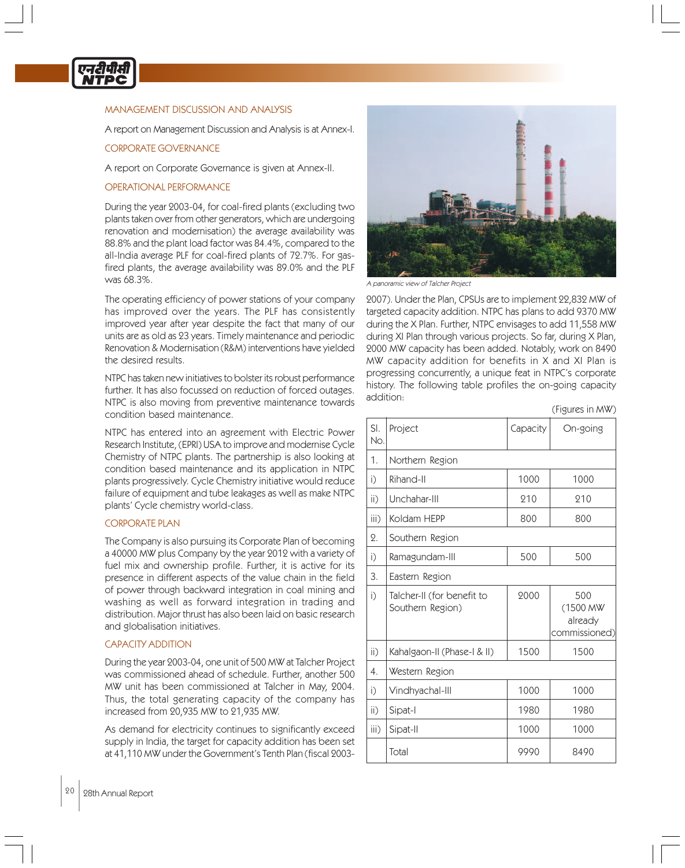

# MANAGEMENT DISCUSSION AND ANALYSIS

A report on Management Discussion and Analysis is at Annex-I.

# CORPORATE GOVERNANCE

A report on Corporate Governance is given at Annex-II.

#### OPERATIONAL PERFORMANCE

During the year 2003-04, for coal-fired plants (excluding two plants taken over from other generators, which are undergoing renovation and modernisation) the average availability was 88.8% and the plant load factor was 84.4%, compared to the all-India average PLF for coal-fired plants of 72.7%. For gasfired plants, the average availability was 89.0% and the PLF was 68.3%.

The operating efficiency of power stations of your company has improved over the years. The PLF has consistently improved year after year despite the fact that many of our units are as old as 23 years. Timely maintenance and periodic Renovation & Modernisation (R&M) interventions have yielded the desired results.

NTPC has taken new initiatives to bolster its robust performance further. It has also focussed on reduction of forced outages. NTPC is also moving from preventive maintenance towards condition based maintenance.

NTPC has entered into an agreement with Electric Power Research Institute, (EPRI) USA to improve and modernise Cycle Chemistry of NTPC plants. The partnership is also looking at condition based maintenance and its application in NTPC plants progressively. Cycle Chemistry initiative would reduce failure of equipment and tube leakages as well as make NTPC plants' Cycle chemistry world-class.

#### CORPORATE PLAN

The Company is also pursuing its Corporate Plan of becoming a 40000 MW plus Company by the year 2012 with a variety of fuel mix and ownership profile. Further, it is active for its presence in different aspects of the value chain in the field of power through backward integration in coal mining and washing as well as forward integration in trading and distribution. Major thrust has also been laid on basic research and globalisation initiatives.

#### CAPACITY ADDITION

During the year 2003-04, one unit of 500 MW at Talcher Project was commissioned ahead of schedule. Further, another 500 MW unit has been commissioned at Talcher in May, 2004. Thus, the total generating capacity of the company has increased from 20,935 MW to 21,935 MW.

As demand for electricity continues to significantly exceed supply in India, the target for capacity addition has been set at 41,110 MW under the Government's Tenth Plan (fiscal 2003-



A panoramic view of Talcher Project

2007). Under the Plan, CPSUs are to implement 22,832 MW of targeted capacity addition. NTPC has plans to add 9370 MW during the X Plan. Further, NTPC envisages to add 11,558 MW during XI Plan through various projects. So far, during X Plan, 2000 MW capacity has been added. Notably, work on 8490 MW capacity addition for benefits in X and XI Plan is progressing concurrently, a unique feat in NTPC's corporate history. The following table profiles the on-going capacity addition:

(Figures in MW)

| SI.<br>No.      | Project                                        | Capacity | On-going                                    |
|-----------------|------------------------------------------------|----------|---------------------------------------------|
| 1.              | Northern Region                                |          |                                             |
| i)              | Rihand-II                                      | 1000     | 1000                                        |
| $\mathsf{ii}$ ) | Unchahar-III                                   | 210      | 210                                         |
| iii)            | Koldam HEPP                                    | 800      | 800                                         |
| 2.              | Southern Region                                |          |                                             |
| i)              | Ramagundam-III                                 | 500      | 500                                         |
| 3.              | Eastern Region                                 |          |                                             |
| i)              | Talcher-II (for benefit to<br>Southern Region) | 2000     | 500<br>(1500 MW<br>already<br>commissioned) |
| $\mathsf{ii}$ ) | Kahalgaon-II (Phase-I & II)                    | 1500     | 1500                                        |
| 4.              | Western Region                                 |          |                                             |
| i)              | Vindhyachal-III                                | 1000     | 1000                                        |
| $\mathsf{ii}$ ) | Sipat-I                                        | 1980     | 1980                                        |
| iii)            | Sipat-II                                       | 1000     | 1000                                        |
|                 | Total                                          | 9990     | 8490                                        |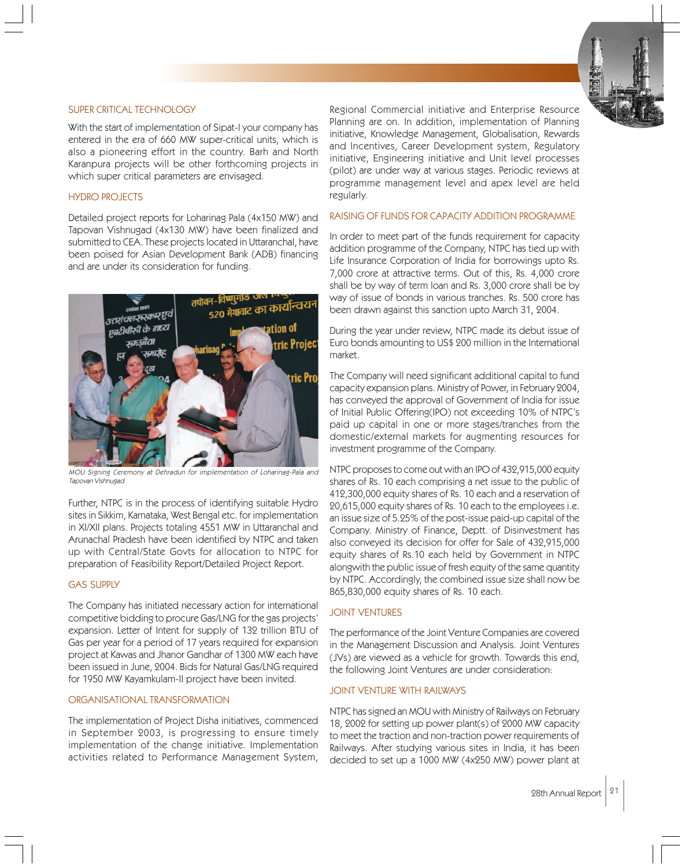# SUPER CRITICAL TECHNOLOGY

With the start of implementation of Sipat-I your company has entered in the era of 660 MW super-critical units, which is also a pioneering effort in the country. Barh and North Karanpura projects will be other forthcoming projects in which super critical parameters are envisaged.

#### HYDRO PROJECTS

Detailed project reports for Loharinag Pala (4x150 MW) and Tapovan Vishnugad (4x130 MW) have been finalized and submitted to CEA. These projects located in Uttaranchal, have been poised for Asian Development Bank (ADB) financing and are under its consideration for funding.



MOU Signing Ceremony at Dehradun for implementation of Loharinag-Pala and Tapovan Vishnugad

Further, NTPC is in the process of identifying suitable Hydro sites in Sikkim, Karnataka, West Bengal etc. for implementation in XI/XII plans. Projects totaling 4551 MW in Uttaranchal and Arunachal Pradesh have been identified by NTPC and taken up with Central/State Govts for allocation to NTPC for preparation of Feasibility Report/Detailed Project Report.

#### GAS SUPPLY

The Company has initiated necessary action for international competitive bidding to procure Gas/LNG for the gas projects' expansion. Letter of Intent for supply of 132 trillion BTU of Gas per year for a period of 17 years required for expansion project at Kawas and Jhanor Gandhar of 1300 MW each have been issued in June, 2004. Bids for Natural Gas/LNG required for 1950 MW Kayamkulam-II project have been invited.

# ORGANISATIONAL TRANSFORMATION

The implementation of Project Disha initiatives, commenced in September 2003, is progressing to ensure timely implementation of the change initiative. Implementation activities related to Performance Management System,

Regional Commercial initiative and Enterprise Resource Planning are on. In addition, implementation of Planning initiative, Knowledge Management, Globalisation, Rewards and Incentives, Career Development system, Regulatory initiative, Engineering initiative and Unit level processes (pilot) are under way at various stages. Periodic reviews at programme management level and apex level are held regularly.

#### RAISING OF FUNDS FOR CAPACITY ADDITION PROGRAMME

In order to meet part of the funds requirement for capacity addition programme of the Company, NTPC has tied up with Life Insurance Corporation of India for borrowings upto Rs. 7,000 crore at attractive terms. Out of this, Rs. 4,000 crore shall be by way of term loan and Rs. 3,000 crore shall be by way of issue of bonds in various tranches. Rs. 500 crore has been drawn against this sanction upto March 31, 2004.

During the year under review, NTPC made its debut issue of Euro bonds amounting to US\$ 200 million in the International market.

The Company will need significant additional capital to fund capacity expansion plans. Ministry of Power, in February 2004, has conveyed the approval of Government of India for issue of Initial Public Offering(IPO) not exceeding 10% of NTPC's paid up capital in one or more stages/tranches from the domestic/external markets for augmenting resources for investment programme of the Company.

NTPC proposes to come out with an IPO of 432,915,000 equity shares of Rs. 10 each comprising a net issue to the public of 412,300,000 equity shares of Rs. 10 each and a reservation of 20,615,000 equity shares of Rs. 10 each to the employees i.e. an issue size of 5.25% of the post-issue paid-up capital of the Company. Ministry of Finance, Deptt. of Disinvestment has also conveyed its decision for offer for Sale of 432,915,000 equity shares of Rs.10 each held by Government in NTPC alongwith the public issue of fresh equity of the same quantity by NTPC. Accordingly, the combined issue size shall now be 865,830,000 equity shares of Rs. 10 each.

#### JOINT VENTURES

The performance of the Joint Venture Companies are covered in the Management Discussion and Analysis. Joint Ventures (JVs) are viewed as a vehicle for growth. Towards this end, the following Joint Ventures are under consideration:

#### JOINT VENTURE WITH RAILWAYS

NTPC has signed an MOU with Ministry of Railways on February 18, 2002 for setting up power plant(s) of 2000 MW capacity to meet the traction and non-traction power requirements of Railways. After studying various sites in India, it has been decided to set up a 1000 MW (4x250 MW) power plant at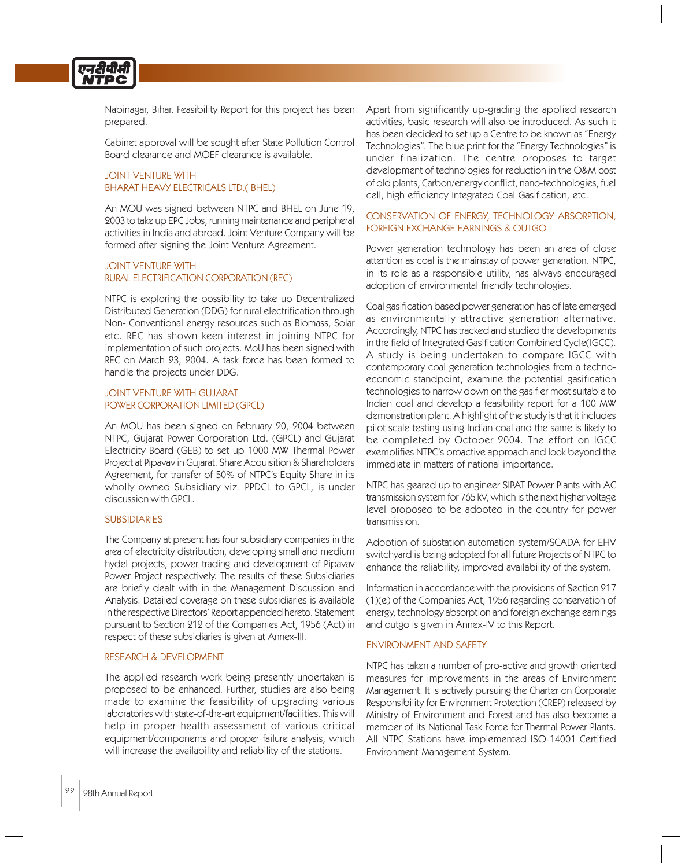

Nabinagar, Bihar. Feasibility Report for this project has been prepared.

Cabinet approval will be sought after State Pollution Control Board clearance and MOEF clearance is available.

# JOINT VENTURE WITH BHARAT HEAVY ELECTRICALS LTD.( BHEL)

An MOU was signed between NTPC and BHEL on June 19, 2003 to take up EPC Jobs, running maintenance and peripheral activities in India and abroad. Joint Venture Company will be formed after signing the Joint Venture Agreement.

# JOINT VENTURE WITH RURAL ELECTRIFICATION CORPORATION (REC)

NTPC is exploring the possibility to take up Decentralized Distributed Generation (DDG) for rural electrification through Non- Conventional energy resources such as Biomass, Solar etc. REC has shown keen interest in joining NTPC for implementation of such projects. MoU has been signed with REC on March 23, 2004. A task force has been formed to handle the projects under DDG.

#### JOINT VENTURE WITH GUJARAT POWER CORPORATION LIMITED (GPCL)

An MOU has been signed on February 20, 2004 between NTPC, Gujarat Power Corporation Ltd. (GPCL) and Gujarat Electricity Board (GEB) to set up 1000 MW Thermal Power Project at Pipavav in Gujarat. Share Acquisition & Shareholders Agreement, for transfer of 50% of NTPC's Equity Share in its wholly owned Subsidiary viz. PPDCL to GPCL, is under discussion with GPCL.

# SUBSIDIARIES

The Company at present has four subsidiary companies in the area of electricity distribution, developing small and medium hydel projects, power trading and development of Pipavav Power Project respectively. The results of these Subsidiaries are briefly dealt with in the Management Discussion and Analysis. Detailed coverage on these subsidiaries is available in the respective Directors' Report appended hereto. Statement pursuant to Section 212 of the Companies Act, 1956 (Act) in respect of these subsidiaries is given at Annex-III.

#### RESEARCH & DEVELOPMENT

The applied research work being presently undertaken is proposed to be enhanced. Further, studies are also being made to examine the feasibility of upgrading various laboratories with state-of-the-art equipment/facilities. This will help in proper health assessment of various critical equipment/components and proper failure analysis, which will increase the availability and reliability of the stations.

Apart from significantly up-grading the applied research activities, basic research will also be introduced. As such it has been decided to set up a Centre to be known as "Energy Technologies". The blue print for the "Energy Technologies" is under finalization. The centre proposes to target development of technologies for reduction in the O&M cost of old plants, Carbon/energy conflict, nano-technologies, fuel cell, high efficiency Integrated Coal Gasification, etc.

#### CONSERVATION OF ENERGY, TECHNOLOGY ABSORPTION, FOREIGN EXCHANGE EARNINGS & OUTGO

Power generation technology has been an area of close attention as coal is the mainstay of power generation. NTPC, in its role as a responsible utility, has always encouraged adoption of environmental friendly technologies.

Coal gasification based power generation has of late emerged as environmentally attractive generation alternative. Accordingly, NTPC has tracked and studied the developments in the field of Integrated Gasification Combined Cycle(IGCC). A study is being undertaken to compare IGCC with contemporary coal generation technologies from a technoeconomic standpoint, examine the potential gasification technologies to narrow down on the gasifier most suitable to Indian coal and develop a feasibility report for a 100 MW demonstration plant. A highlight of the study is that it includes pilot scale testing using Indian coal and the same is likely to be completed by October 2004. The effort on IGCC exemplifies NTPC's proactive approach and look beyond the immediate in matters of national importance.

NTPC has geared up to engineer SIPAT Power Plants with AC transmission system for 765 kV, which is the next higher voltage level proposed to be adopted in the country for power transmission.

Adoption of substation automation system/SCADA for EHV switchyard is being adopted for all future Projects of NTPC to enhance the reliability, improved availability of the system.

Information in accordance with the provisions of Section 217 (1)(e) of the Companies Act, 1956 regarding conservation of energy, technology absorption and foreign exchange earnings and outgo is given in Annex-IV to this Report.

#### ENVIRONMENT AND SAFETY

NTPC has taken a number of pro-active and growth oriented measures for improvements in the areas of Environment Management. It is actively pursuing the Charter on Corporate Responsibility for Environment Protection (CREP) released by Ministry of Environment and Forest and has also become a member of its National Task Force for Thermal Power Plants. All NTPC Stations have implemented ISO-14001 Certified Environment Management System.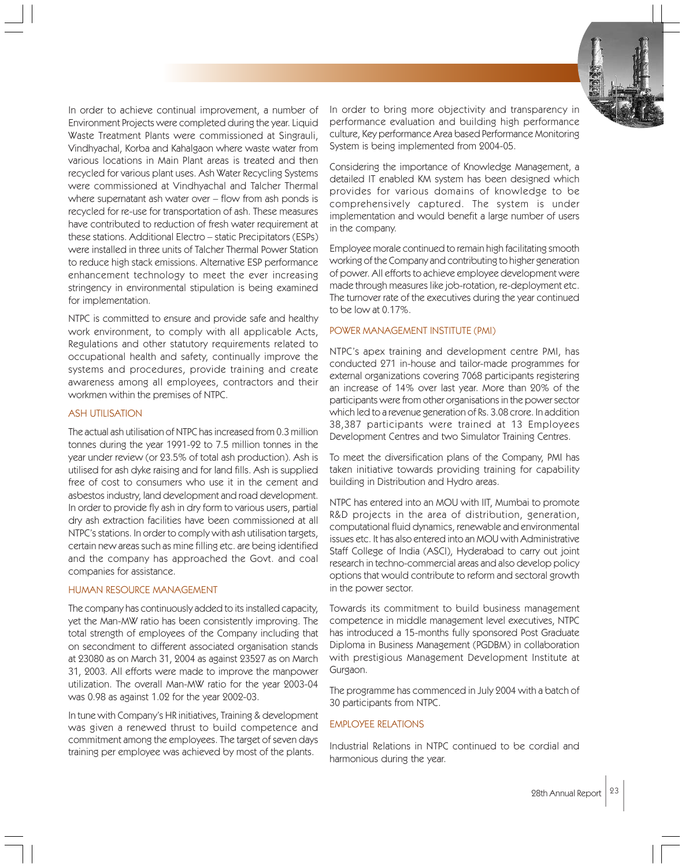In order to achieve continual improvement, a number of Environment Projects were completed during the year. Liquid Waste Treatment Plants were commissioned at Singrauli, Vindhyachal, Korba and Kahalgaon where waste water from various locations in Main Plant areas is treated and then recycled for various plant uses. Ash Water Recycling Systems were commissioned at Vindhyachal and Talcher Thermal where supernatant ash water over – flow from ash ponds is recycled for re-use for transportation of ash. These measures have contributed to reduction of fresh water requirement at these stations. Additional Electro – static Precipitators (ESPs) were installed in three units of Talcher Thermal Power Station to reduce high stack emissions. Alternative ESP performance enhancement technology to meet the ever increasing stringency in environmental stipulation is being examined for implementation.

NTPC is committed to ensure and provide safe and healthy work environment, to comply with all applicable Acts, Regulations and other statutory requirements related to occupational health and safety, continually improve the systems and procedures, provide training and create awareness among all employees, contractors and their workmen within the premises of NTPC.

#### ASH UTILISATION

The actual ash utilisation of NTPC has increased from 0.3 million tonnes during the year 1991-92 to 7.5 million tonnes in the year under review (or 23.5% of total ash production). Ash is utilised for ash dyke raising and for land fills. Ash is supplied free of cost to consumers who use it in the cement and asbestos industry, land development and road development. In order to provide fly ash in dry form to various users, partial dry ash extraction facilities have been commissioned at all NTPC's stations. In order to comply with ash utilisation targets, certain new areas such as mine filling etc. are being identified and the company has approached the Govt. and coal companies for assistance.

#### HUMAN RESOURCE MANAGEMENT

The company has continuously added to its installed capacity, yet the Man-MW ratio has been consistently improving. The total strength of employees of the Company including that on secondment to different associated organisation stands at 23080 as on March 31, 2004 as against 23527 as on March 31, 2003. All efforts were made to improve the manpower utilization. The overall Man-MW ratio for the year 2003-04 was 0.98 as against 1.02 for the year 2002-03.

In tune with Company's HR initiatives, Training & development was given a renewed thrust to build competence and commitment among the employees. The target of seven days training per employee was achieved by most of the plants.

In order to bring more objectivity and transparency in performance evaluation and building high performance culture, Key performance Area based Performance Monitoring System is being implemented from 2004-05.

Considering the importance of Knowledge Management, a detailed IT enabled KM system has been designed which provides for various domains of knowledge to be comprehensively captured. The system is under implementation and would benefit a large number of users in the company.

Employee morale continued to remain high facilitating smooth working of the Company and contributing to higher generation of power. All efforts to achieve employee development were made through measures like job-rotation, re-deployment etc. The turnover rate of the executives during the year continued to be low at 0.17%.

# POWER MANAGEMENT INSTITUTE (PMI)

NTPC's apex training and development centre PMI, has conducted 271 in-house and tailor-made programmes for external organizations covering 7068 participants registering an increase of 14% over last year. More than 20% of the participants were from other organisations in the power sector which led to a revenue generation of Rs. 3.08 crore. In addition 38,387 participants were trained at 13 Employees Development Centres and two Simulator Training Centres.

To meet the diversification plans of the Company, PMI has taken initiative towards providing training for capability building in Distribution and Hydro areas.

NTPC has entered into an MOU with IIT, Mumbai to promote R&D projects in the area of distribution, generation, computational fluid dynamics, renewable and environmental issues etc. It has also entered into an MOU with Administrative Staff College of India (ASCI), Hyderabad to carry out joint research in techno-commercial areas and also develop policy options that would contribute to reform and sectoral growth in the power sector.

Towards its commitment to build business management competence in middle management level executives, NTPC has introduced a 15-months fully sponsored Post Graduate Diploma in Business Management (PGDBM) in collaboration with prestigious Management Development Institute at Gurgaon.

The programme has commenced in July 2004 with a batch of 30 participants from NTPC.

# EMPLOYEE RELATIONS

Industrial Relations in NTPC continued to be cordial and harmonious during the year.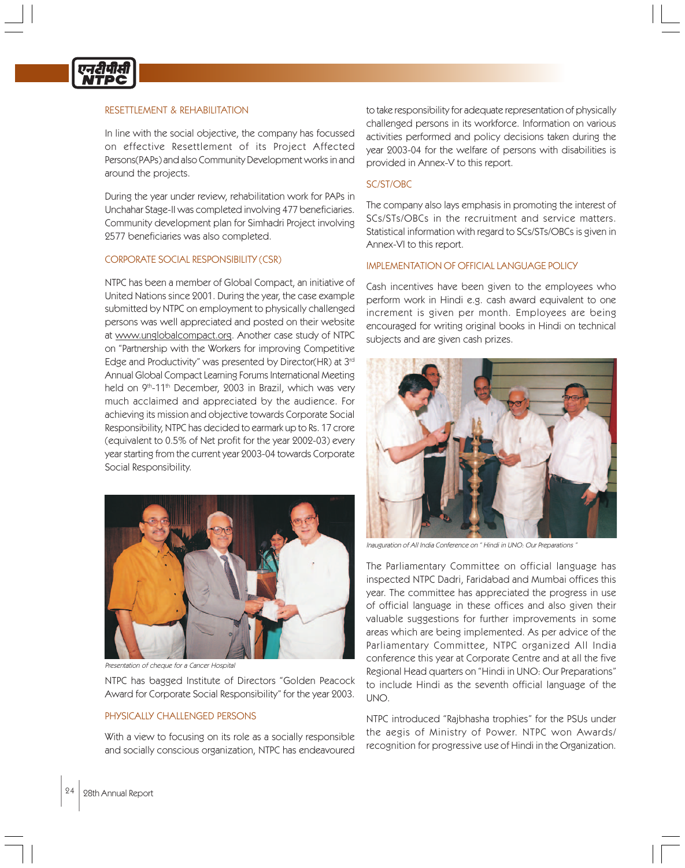

# RESETTI EMENT & REHABILITATION

In line with the social objective, the company has focussed on effective Resettlement of its Project Affected Persons(PAPs) and also Community Development works in and around the projects.

During the year under review, rehabilitation work for PAPs in Unchahar Stage-II was completed involving 477 beneficiaries. Community development plan for Simhadri Project involving 2577 beneficiaries was also completed.

#### CORPORATE SOCIAL RESPONSIBILITY (CSR)

NTPC has been a member of Global Compact, an initiative of United Nations since 2001. During the year, the case example submitted by NTPC on employment to physically challenged persons was well appreciated and posted on their website at www.unglobalcompact.org. Another case study of NTPC on "Partnership with the Workers for improving Competitive Edge and Productivity" was presented by Director(HR) at 3rd Annual Global Compact Learning Forums International Meeting held on 9<sup>th</sup>-11<sup>th</sup> December, 2003 in Brazil, which was very much acclaimed and appreciated by the audience. For achieving its mission and objective towards Corporate Social Responsibility, NTPC has decided to earmark up to Rs. 17 crore (equivalent to 0.5% of Net profit for the year 2002-03) every year starting from the current year 2003-04 towards Corporate Social Responsibility.



Presentation of cheque for a Cancer Hospital

NTPC has bagged Institute of Directors "Golden Peacock Award for Corporate Social Responsibility" for the year 2003.

#### PHYSICALLY CHALLENGED PERSONS

With a view to focusing on its role as a socially responsible and socially conscious organization, NTPC has endeavoured to take responsibility for adequate representation of physically challenged persons in its workforce. Information on various activities performed and policy decisions taken during the year 2003-04 for the welfare of persons with disabilities is provided in Annex-V to this report.

#### SC/ST/OBC

The company also lays emphasis in promoting the interest of SCs/STs/OBCs in the recruitment and service matters. Statistical information with regard to SCs/STs/OBCs is given in Annex-VI to this report.

# IMPLEMENTATION OF OFFICIAL LANGUAGE POLICY

Cash incentives have been given to the employees who perform work in Hindi e.g. cash award equivalent to one increment is given per month. Employees are being encouraged for writing original books in Hindi on technical subjects and are given cash prizes.



Inauguration of All India Conference on " Hindi in UNO: Our Preparations "

The Parliamentary Committee on official language has inspected NTPC Dadri, Faridabad and Mumbai offices this year. The committee has appreciated the progress in use of official language in these offices and also given their valuable suggestions for further improvements in some areas which are being implemented. As per advice of the Parliamentary Committee, NTPC organized All India conference this year at Corporate Centre and at all the five Regional Head quarters on "Hindi in UNO: Our Preparations" to include Hindi as the seventh official language of the UNO.

NTPC introduced "Rajbhasha trophies" for the PSUs under the aegis of Ministry of Power. NTPC won Awards/ recognition for progressive use of Hindi in the Organization.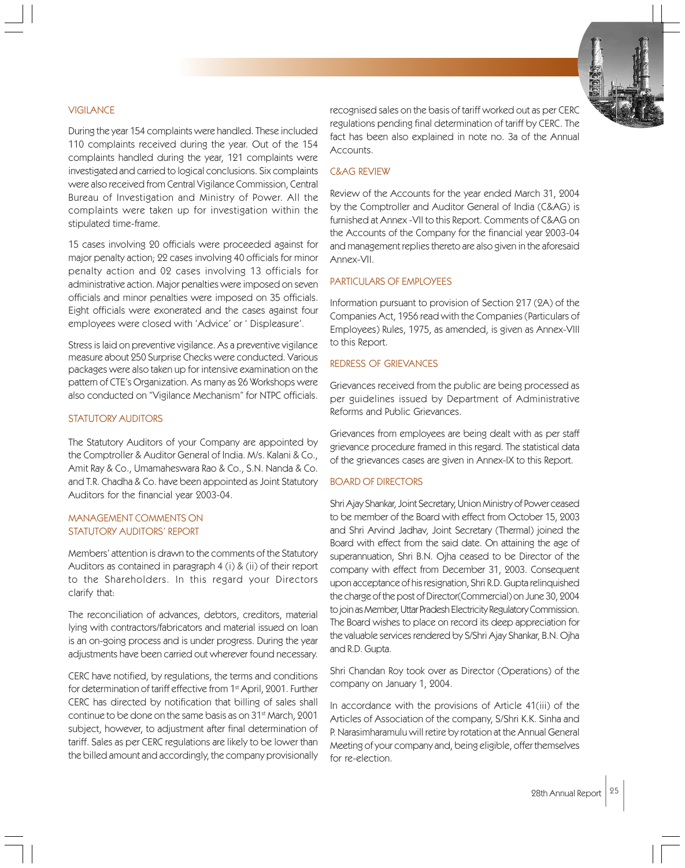#### **VIGILANCE**

During the year 154 complaints were handled. These included 110 complaints received during the year. Out of the 154 complaints handled during the year, 121 complaints were investigated and carried to logical conclusions. Six complaints were also received from Central Vigilance Commission, Central Bureau of Investigation and Ministry of Power. All the complaints were taken up for investigation within the stipulated time-frame.

15 cases involving 20 officials were proceeded against for major penalty action; 22 cases involving 40 officials for minor penalty action and 02 cases involving 13 officials for administrative action. Major penalties were imposed on seven officials and minor penalties were imposed on 35 officials. Eight officials were exonerated and the cases against four employees were closed with 'Advice' or ' Displeasure'.

Stress is laid on preventive vigilance. As a preventive vigilance measure about 250 Surprise Checks were conducted. Various packages were also taken up for intensive examination on the pattern of CTE's Organization. As many as 26 Workshops were also conducted on "Vigilance Mechanism" for NTPC officials.

#### STATUTORY AUDITORS

The Statutory Auditors of your Company are appointed by the Comptroller & Auditor General of India. M/s. Kalani & Co., Amit Ray & Co., Umamaheswara Rao & Co., S.N. Nanda & Co. and T.R. Chadha & Co. have been appointed as Joint Statutory Auditors for the financial year 2003-04.

# MANAGEMENT COMMENTS ON STATUTORY AUDITORS' REPORT

Members' attention is drawn to the comments of the Statutory Auditors as contained in paragraph 4 (i) & (ii) of their report to the Shareholders. In this regard your Directors clarify that:

The reconciliation of advances, debtors, creditors, material lying with contractors/fabricators and material issued on loan is an on-going process and is under progress. During the year adjustments have been carried out wherever found necessary.

CERC have notified, by regulations, the terms and conditions for determination of tariff effective from 1<sup>st</sup> April, 2001. Further CERC has directed by notification that billing of sales shall continue to be done on the same basis as on 31st March, 2001 subject, however, to adjustment after final determination of tariff. Sales as per CERC regulations are likely to be lower than the billed amount and accordingly, the company provisionally

recognised sales on the basis of tariff worked out as per CERC regulations pending final determination of tariff by CERC. The fact has been also explained in note no. 3a of the Annual Accounts.

#### C&AG REVIEW

Review of the Accounts for the year ended March 31, 2004 by the Comptroller and Auditor General of India (C&AG) is furnished at Annex -VII to this Report. Comments of C&AG on the Accounts of the Company for the financial year 2003-04 and management replies thereto are also given in the aforesaid Annex-VII.

#### PARTICULARS OF EMPLOYEES

Information pursuant to provision of Section 217 (2A) of the Companies Act, 1956 read with the Companies (Particulars of Employees) Rules, 1975, as amended, is given as Annex-VIII to this Report.

# REDRESS OF GRIEVANCES

Grievances received from the public are being processed as per guidelines issued by Department of Administrative Reforms and Public Grievances.

Grievances from employees are being dealt with as per staff grievance procedure framed in this regard. The statistical data of the grievances cases are given in Annex-IX to this Report.

#### BOARD OF DIRECTORS

Shri Ajay Shankar, Joint Secretary, Union Ministry of Power ceased to be member of the Board with effect from October 15, 2003 and Shri Arvind Jadhav, Joint Secretary (Thermal) joined the Board with effect from the said date. On attaining the age of superannuation, Shri B.N. Ojha ceased to be Director of the company with effect from December 31, 2003. Consequent upon acceptance of his resignation, Shri R.D. Gupta relinquished the charge of the post of Director(Commercial) on June 30, 2004 to join as Member, Uttar Pradesh Electricity Regulatory Commission. The Board wishes to place on record its deep appreciation for the valuable services rendered by S/Shri Ajay Shankar, B.N. Ojha and R.D. Gupta.

Shri Chandan Roy took over as Director (Operations) of the company on January 1, 2004.

In accordance with the provisions of Article 41(iii) of the Articles of Association of the company, S/Shri K.K. Sinha and P. Narasimharamulu will retire by rotation at the Annual General Meeting of your company and, being eligible, offer themselves for re-election.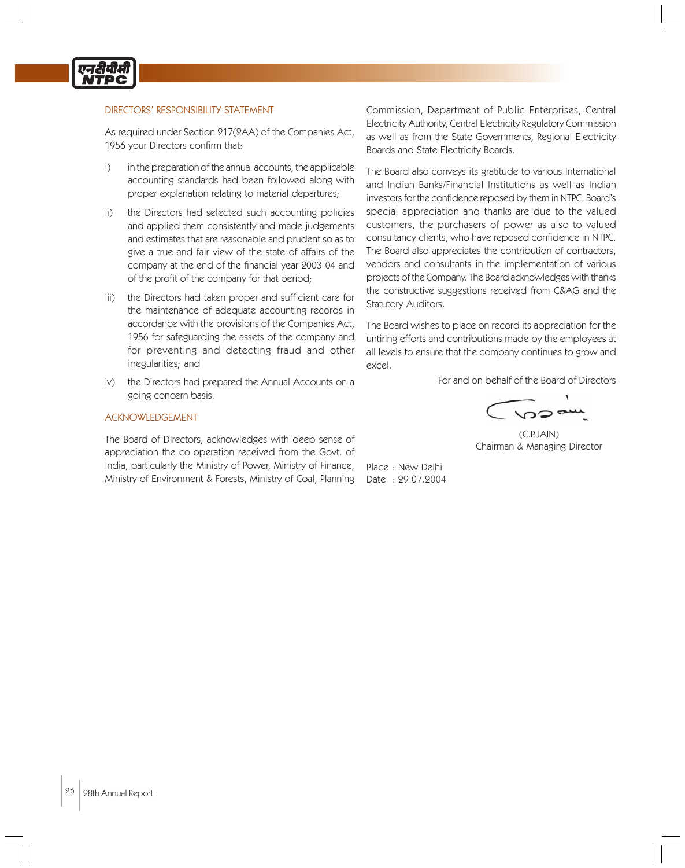

#### DIRECTORS' RESPONSIBILITY STATEMENT

As required under Section 217(2AA) of the Companies Act, 1956 your Directors confirm that:

- i) in the preparation of the annual accounts, the applicable accounting standards had been followed along with proper explanation relating to material departures;
- ii) the Directors had selected such accounting policies and applied them consistently and made judgements and estimates that are reasonable and prudent so as to give a true and fair view of the state of affairs of the company at the end of the financial year 2003-04 and of the profit of the company for that period;
- iii) the Directors had taken proper and sufficient care for the maintenance of adequate accounting records in accordance with the provisions of the Companies Act, 1956 for safeguarding the assets of the company and for preventing and detecting fraud and other irregularities; and
- iv) the Directors had prepared the Annual Accounts on a going concern basis.

#### ACKNOWLEDGEMENT

The Board of Directors, acknowledges with deep sense of appreciation the co-operation received from the Govt. of India, particularly the Ministry of Power, Ministry of Finance, Ministry of Environment & Forests, Ministry of Coal, Planning Commission, Department of Public Enterprises, Central Electricity Authority, Central Electricity Regulatory Commission as well as from the State Governments, Regional Electricity Boards and State Electricity Boards.

The Board also conveys its gratitude to various International and Indian Banks/Financial Institutions as well as Indian investors for the confidence reposed by them in NTPC. Board's special appreciation and thanks are due to the valued customers, the purchasers of power as also to valued consultancy clients, who have reposed confidence in NTPC. The Board also appreciates the contribution of contractors, vendors and consultants in the implementation of various projects of the Company. The Board acknowledges with thanks the constructive suggestions received from C&AG and the Statutory Auditors.

The Board wishes to place on record its appreciation for the untiring efforts and contributions made by the employees at all levels to ensure that the company continues to grow and excel.

For and on behalf of the Board of Directors

(C.P.JAIN) Chairman & Managing Director

Place : New Delhi Date : 29.07.2004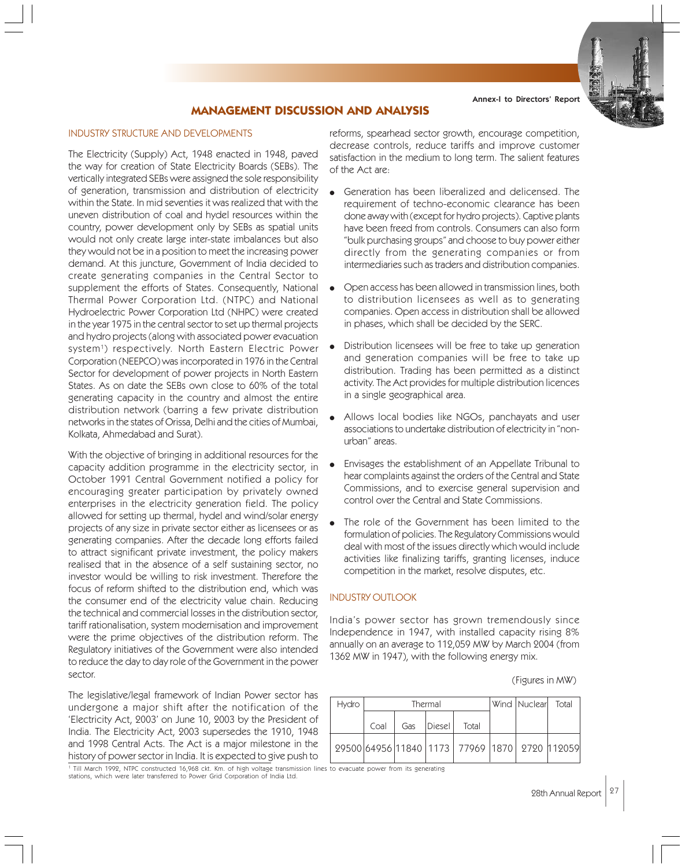# **MANAGEMENT DISCUSSION AND ANALYSIS**

# INDUSTRY STRUCTURE AND DEVELOPMENTS

The Electricity (Supply) Act, 1948 enacted in 1948, paved the way for creation of State Electricity Boards (SEBs). The vertically integrated SEBs were assigned the sole responsibility of generation, transmission and distribution of electricity within the State. In mid seventies it was realized that with the uneven distribution of coal and hydel resources within the country, power development only by SEBs as spatial units would not only create large inter-state imbalances but also they would not be in a position to meet the increasing power demand. At this juncture, Government of India decided to create generating companies in the Central Sector to supplement the efforts of States. Consequently, National Thermal Power Corporation Ltd. (NTPC) and National Hydroelectric Power Corporation Ltd (NHPC) were created in the year 1975 in the central sector to set up thermal projects and hydro projects (along with associated power evacuation system1 ) respectively. North Eastern Electric Power Corporation (NEEPCO) was incorporated in 1976 in the Central Sector for development of power projects in North Eastern States. As on date the SEBs own close to 60% of the total generating capacity in the country and almost the entire distribution network (barring a few private distribution networks in the states of Orissa, Delhi and the cities of Mumbai, Kolkata, Ahmedabad and Surat).

With the objective of bringing in additional resources for the capacity addition programme in the electricity sector, in October 1991 Central Government notified a policy for encouraging greater participation by privately owned enterprises in the electricity generation field. The policy allowed for setting up thermal, hydel and wind/solar energy projects of any size in private sector either as licensees or as generating companies. After the decade long efforts failed to attract significant private investment, the policy makers realised that in the absence of a self sustaining sector, no investor would be willing to risk investment. Therefore the focus of reform shifted to the distribution end, which was the consumer end of the electricity value chain. Reducing the technical and commercial losses in the distribution sector, tariff rationalisation, system modernisation and improvement were the prime objectives of the distribution reform. The Regulatory initiatives of the Government were also intended to reduce the day to day role of the Government in the power sector.

The legislative/legal framework of Indian Power sector has undergone a major shift after the notification of the 'Electricity Act, 2003' on June 10, 2003 by the President of India. The Electricity Act, 2003 supersedes the 1910, 1948 and 1998 Central Acts. The Act is a major milestone in the history of power sector in India. It is expected to give push to

reforms, spearhead sector growth, encourage competition, decrease controls, reduce tariffs and improve customer satisfaction in the medium to long term. The salient features of the Act are:

- Generation has been liberalized and delicensed. The requirement of techno-economic clearance has been done away with (except for hydro projects). Captive plants have been freed from controls. Consumers can also form "bulk purchasing groups" and choose to buy power either directly from the generating companies or from intermediaries such as traders and distribution companies.
- Open access has been allowed in transmission lines, both to distribution licensees as well as to generating companies. Open access in distribution shall be allowed in phases, which shall be decided by the SERC.
- Distribution licensees will be free to take up generation and generation companies will be free to take up distribution. Trading has been permitted as a distinct activity. The Act provides for multiple distribution licences in a single geographical area.
- Allows local bodies like NGOs, panchayats and user associations to undertake distribution of electricity in "nonurban" areas.
- Envisages the establishment of an Appellate Tribunal to hear complaints against the orders of the Central and State Commissions, and to exercise general supervision and control over the Central and State Commissions.
- The role of the Government has been limited to the formulation of policies. The Regulatory Commissions would deal with most of the issues directly which would include activities like finalizing tariffs, granting licenses, induce competition in the market, resolve disputes, etc.

# INDUSTRY OUTLOOK

India's power sector has grown tremendously since Independence in 1947, with installed capacity rising 8% annually on an average to 112,059 MW by March 2004 (from 1362 MW in 1947), with the following energy mix.

(Figures in MW)

| <b>Hydro</b> | Thermal |     |          | Wind Nuclear Total                           |  |  |
|--------------|---------|-----|----------|----------------------------------------------|--|--|
|              | Coal    | Gas | Diesel I | Total                                        |  |  |
|              |         |     |          | 29500 64956 11840 1173 77969 1870 2720 12059 |  |  |

1 Till March 1992, NTPC constructed 16,968 ckt. Km. of high voltage transmission lines to evacuate power from its generating stations, which were later transferred to Power Grid Corporation of India Ltd.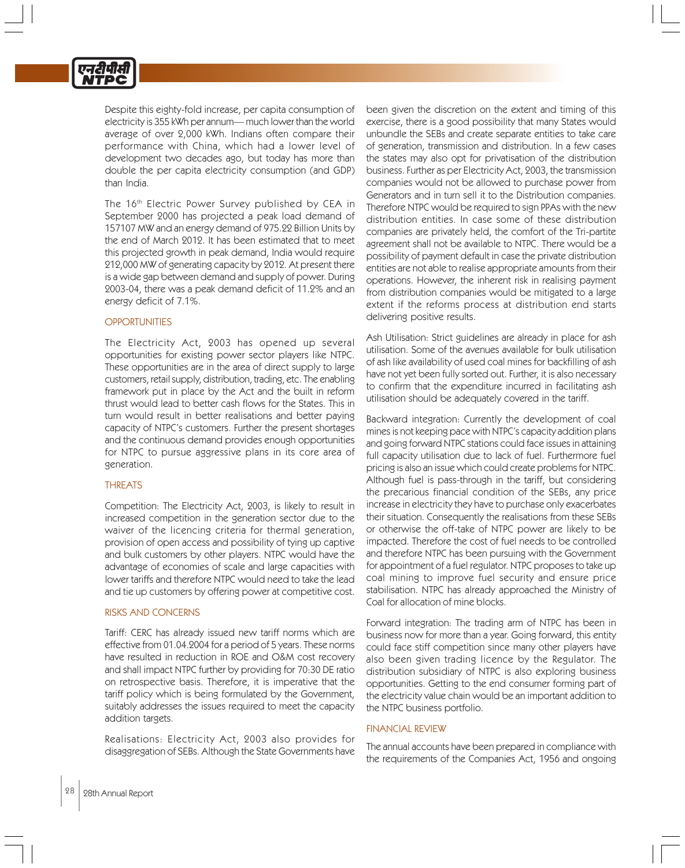

Despite this eighty-fold increase, per capita consumption of electricity is 355 kWh per annum— much lower than the world average of over 2,000 kWh. Indians often compare their performance with China, which had a lower level of development two decades ago, but today has more than double the per capita electricity consumption (and GDP) than India.

The 16<sup>th</sup> Electric Power Survey published by CEA in September 2000 has projected a peak load demand of 157107 MW and an energy demand of 975.22 Billion Units by the end of March 2012. It has been estimated that to meet this projected growth in peak demand, India would require 212,000 MW of generating capacity by 2012. At present there is a wide gap between demand and supply of power. During 2003-04, there was a peak demand deficit of 11.2% and an energy deficit of 7.1%.

#### **OPPORTUNITIES**

The Electricity Act, 2003 has opened up several opportunities for existing power sector players like NTPC. These opportunities are in the area of direct supply to large customers, retail supply, distribution, trading, etc. The enabling framework put in place by the Act and the built in reform thrust would lead to better cash flows for the States. This in turn would result in better realisations and better paying capacity of NTPC's customers. Further the present shortages and the continuous demand provides enough opportunities for NTPC to pursue aggressive plans in its core area of generation.

#### THREATS

Competition: The Electricity Act, 2003, is likely to result in increased competition in the generation sector due to the waiver of the licencing criteria for thermal generation, provision of open access and possibility of tying up captive and bulk customers by other players. NTPC would have the advantage of economies of scale and large capacities with lower tariffs and therefore NTPC would need to take the lead and tie up customers by offering power at competitive cost.

#### RISKS AND CONCERNS

Tariff: CERC has already issued new tariff norms which are effective from 01.04.2004 for a period of 5 years. These norms have resulted in reduction in ROE and O&M cost recovery and shall impact NTPC further by providing for 70:30 DE ratio on retrospective basis. Therefore, it is imperative that the tariff policy which is being formulated by the Government, suitably addresses the issues required to meet the capacity addition targets.

Realisations: Electricity Act, 2003 also provides for disaggregation of SEBs. Although the State Governments have

been given the discretion on the extent and timing of this exercise, there is a good possibility that many States would unbundle the SEBs and create separate entities to take care of generation, transmission and distribution. In a few cases the states may also opt for privatisation of the distribution business. Further as per Electricity Act, 2003, the transmission companies would not be allowed to purchase power from Generators and in turn sell it to the Distribution companies. Therefore NTPC would be required to sign PPAs with the new distribution entities. In case some of these distribution companies are privately held, the comfort of the Tri-partite agreement shall not be available to NTPC. There would be a possibility of payment default in case the private distribution entities are not able to realise appropriate amounts from their operations. However, the inherent risk in realising payment from distribution companies would be mitigated to a large extent if the reforms process at distribution end starts delivering positive results.

Ash Utilisation: Strict guidelines are already in place for ash utilisation. Some of the avenues available for bulk utilisation of ash like availability of used coal mines for backfilling of ash have not yet been fully sorted out. Further, it is also necessary to confirm that the expenditure incurred in facilitating ash utilisation should be adequately covered in the tariff.

Backward integration: Currently the development of coal mines is not keeping pace with NTPC's capacity addition plans and going forward NTPC stations could face issues in attaining full capacity utilisation due to lack of fuel. Furthermore fuel pricing is also an issue which could create problems for NTPC. Although fuel is pass-through in the tariff, but considering the precarious financial condition of the SEBs, any price increase in electricity they have to purchase only exacerbates their situation. Consequently the realisations from these SEBs or otherwise the off-take of NTPC power are likely to be impacted. Therefore the cost of fuel needs to be controlled and therefore NTPC has been pursuing with the Government for appointment of a fuel regulator. NTPC proposes to take up coal mining to improve fuel security and ensure price stabilisation. NTPC has already approached the Ministry of Coal for allocation of mine blocks.

Forward integration: The trading arm of NTPC has been in business now for more than a year. Going forward, this entity could face stiff competition since many other players have also been given trading licence by the Regulator. The distribution subsidiary of NTPC is also exploring business opportunities. Getting to the end consumer forming part of the electricity value chain would be an important addition to the NTPC business portfolio.

#### FINANCIAL REVIEW

The annual accounts have been prepared in compliance with the requirements of the Companies Act, 1956 and ongoing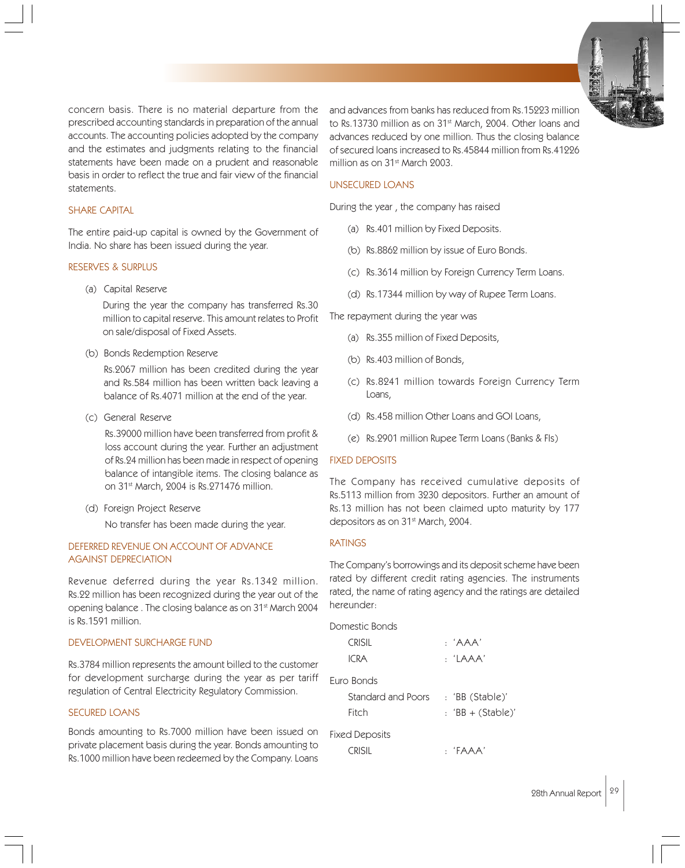concern basis. There is no material departure from the prescribed accounting standards in preparation of the annual accounts. The accounting policies adopted by the company and the estimates and judgments relating to the financial statements have been made on a prudent and reasonable basis in order to reflect the true and fair view of the financial statements.

#### SHARE CAPITAL

The entire paid-up capital is owned by the Government of India. No share has been issued during the year.

#### RESERVES & SURPLUS

(a) Capital Reserve

During the year the company has transferred Rs.30 million to capital reserve. This amount relates to Profit on sale/disposal of Fixed Assets.

(b) Bonds Redemption Reserve

Rs.2067 million has been credited during the year and Rs.584 million has been written back leaving a balance of Rs.4071 million at the end of the year.

(c) General Reserve

Rs.39000 million have been transferred from profit & loss account during the year. Further an adjustment of Rs.24 million has been made in respect of opening balance of intangible items. The closing balance as on 31<sup>st</sup> March, 2004 is Rs.271476 million.

(d) Foreign Project Reserve

No transfer has been made during the year.

# DEFERRED REVENUE ON ACCOUNT OF ADVANCE AGAINST DEPRECIATION

Revenue deferred during the year Rs.1342 million. Rs.22 million has been recognized during the year out of the opening balance . The closing balance as on 31st March 2004 is Rs.1591 million.

#### DEVELOPMENT SURCHARGE FUND

Rs.3784 million represents the amount billed to the customer for development surcharge during the year as per tariff regulation of Central Electricity Regulatory Commission.

#### SECURED LOANS

Bonds amounting to Rs.7000 million have been issued on private placement basis during the year. Bonds amounting to Rs.1000 million have been redeemed by the Company. Loans

and advances from banks has reduced from Rs.15223 million to Rs.13730 million as on 31<sup>st</sup> March, 2004. Other loans and advances reduced by one million. Thus the closing balance of secured loans increased to Rs.45844 million from Rs.41226 million as on 31<sup>st</sup> March 2003.

#### UNSECURED LOANS

During the year , the company has raised

- (a) Rs.401 million by Fixed Deposits.
- (b) Rs.8862 million by issue of Euro Bonds.
- (c) Rs.3614 million by Foreign Currency Term Loans.
- (d) Rs.17344 million by way of Rupee Term Loans.

The repayment during the year was

- (a) Rs.355 million of Fixed Deposits,
- (b) Rs.403 million of Bonds,
- (c) Rs.8241 million towards Foreign Currency Term Loans,
- (d) Rs.458 million Other Loans and GOI Loans,
- (e) Rs.2901 million Rupee Term Loans (Banks & FIs)

#### FIXED DEPOSITS

The Company has received cumulative deposits of Rs.5113 million from 3230 depositors. Further an amount of Rs.13 million has not been claimed upto maturity by 177 depositors as on 31<sup>st</sup> March, 2004.

#### RATINGS

The Company's borrowings and its deposit scheme have been rated by different credit rating agencies. The instruments rated, the name of rating agency and the ratings are detailed hereunder:

| Domestic Bonds                     |                     |
|------------------------------------|---------------------|
| CRISII.                            | $:$ $'AAA'$         |
| <b>ICRA</b>                        | : 'LAAA'            |
| Furo Bonds                         |                     |
| Standard and Poors : 'BB (Stable)' |                     |
| Fitch                              | $: 'BB + (Stable)'$ |
| Fixed Deposits                     |                     |
| CRISIL                             | : 'FAAA'            |
|                                    |                     |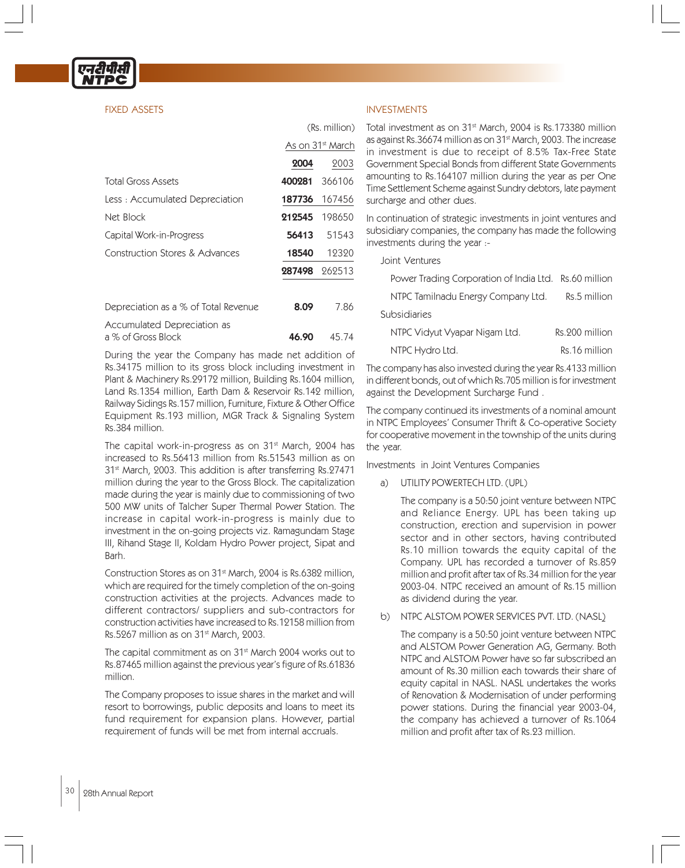# FIXED ASSETS

|                                      | As on 31 <sup>st</sup> March |                      |
|--------------------------------------|------------------------------|----------------------|
|                                      | 2004                         | 2003                 |
| <b>Total Gross Assets</b>            | 400281                       | 366106               |
| Less: Accumulated Depreciation       |                              | <b>187736</b> 167456 |
| Net Block                            | 212545                       | 198650               |
| Capital Work-in-Progress             | 56413                        | 51543                |
| Construction Stores & Advances       | 18540                        | 12320                |
|                                      | 287498                       | 262513               |
| Depreciation as a % of Total Revenue | 8.09                         | 7.86                 |
|                                      |                              |                      |

| Accumulated Depreciation as |             |  |
|-----------------------------|-------------|--|
| a % of Gross Block          | 46.90 45.74 |  |

During the year the Company has made net addition of Rs.34175 million to its gross block including investment in Plant & Machinery Rs.29172 million, Building Rs.1604 million, Land Rs.1354 million, Earth Dam & Reservoir Rs.142 million, Railway Sidings Rs.157 million, Furniture, Fixture & Other Office Equipment Rs.193 million, MGR Track & Signaling System Rs.384 million.

The capital work-in-progress as on 31<sup>st</sup> March, 2004 has increased to Rs.56413 million from Rs.51543 million as on 31<sup>st</sup> March, 2003. This addition is after transferring Rs.27471 million during the year to the Gross Block. The capitalization made during the year is mainly due to commissioning of two 500 MW units of Talcher Super Thermal Power Station. The increase in capital work-in-progress is mainly due to investment in the on-going projects viz. Ramagundam Stage III, Rihand Stage II, Koldam Hydro Power project, Sipat and Barh.

Construction Stores as on 31<sup>st</sup> March, 2004 is Rs.6382 million, which are required for the timely completion of the on-going construction activities at the projects. Advances made to different contractors/ suppliers and sub-contractors for construction activities have increased to Rs.12158 million from Rs.5267 million as on 31<sup>st</sup> March, 2003.

The capital commitment as on 31<sup>st</sup> March 2004 works out to Rs.87465 million against the previous year's figure of Rs.61836 million.

The Company proposes to issue shares in the market and will resort to borrowings, public deposits and loans to meet its fund requirement for expansion plans. However, partial requirement of funds will be met from internal accruals.

# INVESTMENTS

(Rs. million)

Total investment as on 31<sup>st</sup> March, 2004 is Rs.173380 million as against Rs.36674 million as on 31<sup>st</sup> March, 2003. The increase in investment is due to receipt of 8.5% Tax-Free State Government Special Bonds from different State Governments amounting to Rs.164107 million during the year as per One Time Settlement Scheme against Sundry debtors, late payment surcharge and other dues.

In continuation of strategic investments in joint ventures and subsidiary companies, the company has made the following investments during the year :-

|  | Joint Ventures |
|--|----------------|
|--|----------------|

| Power Trading Corporation of India Ltd. Rs.60 million |                |
|-------------------------------------------------------|----------------|
| NTPC Tamilnadu Energy Company Ltd.                    | Rs.5 million   |
| Subsidiaries                                          |                |
| NTPC Vidyut Vyapar Nigam Ltd.                         | Rs.200 million |
| NTPC Hydro Ltd.                                       | Rs.16 million  |

The company has also invested during the year Rs.4133 million in different bonds, out of which Rs.705 million is for investment against the Development Surcharge Fund .

The company continued its investments of a nominal amount in NTPC Employees' Consumer Thrift & Co-operative Society for cooperative movement in the township of the units during the year.

Investments in Joint Ventures Companies

a) UTILITY POWERTECH LTD. (UPL)

The company is a 50:50 joint venture between NTPC and Reliance Energy. UPL has been taking up construction, erection and supervision in power sector and in other sectors, having contributed Rs.10 million towards the equity capital of the Company. UPL has recorded a turnover of Rs.859 million and profit after tax of Rs.34 million for the year 2003-04. NTPC received an amount of Rs.15 million as dividend during the year.

b) NTPC ALSTOM POWER SERVICES PVT. LTD. (NASL)

The company is a 50:50 joint venture between NTPC and ALSTOM Power Generation AG, Germany. Both NTPC and ALSTOM Power have so far subscribed an amount of Rs.30 million each towards their share of equity capital in NASL. NASL undertakes the works of Renovation & Modernisation of under performing power stations. During the financial year 2003-04, the company has achieved a turnover of Rs.1064 million and profit after tax of Rs.23 million.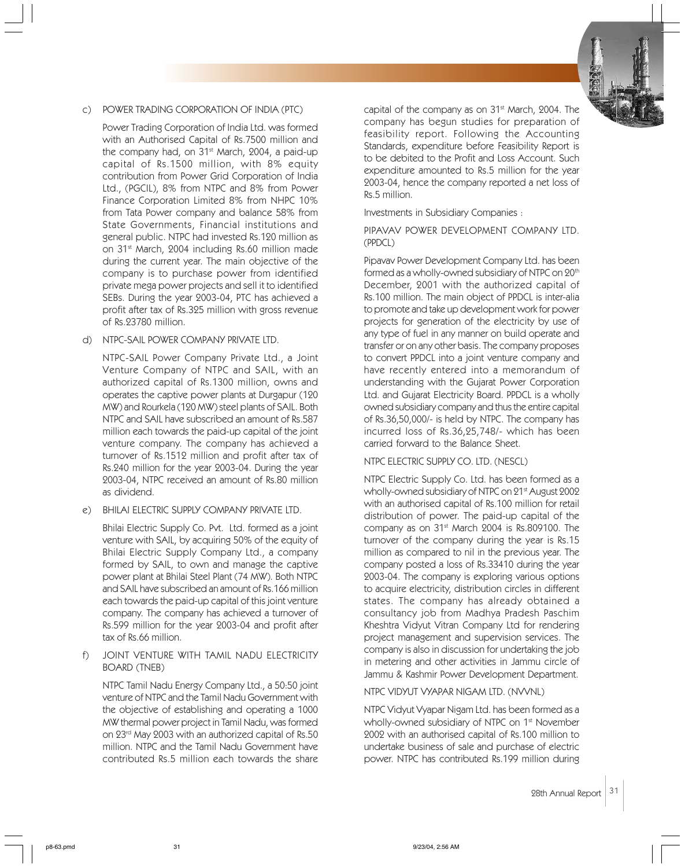

# c) POWER TRADING CORPORATION OF INDIA (PTC)

Power Trading Corporation of India Ltd. was formed with an Authorised Capital of Rs.7500 million and the company had, on 31<sup>st</sup> March, 2004, a paid-up capital of Rs.1500 million, with 8% equity contribution from Power Grid Corporation of India Ltd., (PGCIL), 8% from NTPC and 8% from Power Finance Corporation Limited 8% from NHPC 10% from Tata Power company and balance 58% from State Governments, Financial institutions and general public. NTPC had invested Rs.120 million as on 31st March, 2004 including Rs.60 million made during the current year. The main objective of the company is to purchase power from identified private mega power projects and sell it to identified SEBs. During the year 2003-04, PTC has achieved a profit after tax of Rs.325 million with gross revenue of Rs.23780 million.

#### d) NTPC-SAIL POWER COMPANY PRIVATE LTD.

NTPC-SAIL Power Company Private Ltd., a Joint Venture Company of NTPC and SAIL, with an authorized capital of Rs.1300 million, owns and operates the captive power plants at Durgapur (120 MW) and Rourkela (120 MW) steel plants of SAIL. Both NTPC and SAIL have subscribed an amount of Rs.587 million each towards the paid-up capital of the joint venture company. The company has achieved a turnover of Rs.1512 million and profit after tax of Rs.240 million for the year 2003-04. During the year 2003-04, NTPC received an amount of Rs.80 million as dividend.

# e) BHILAI ELECTRIC SUPPLY COMPANY PRIVATE LTD.

Bhilai Electric Supply Co. Pvt. Ltd. formed as a joint venture with SAIL, by acquiring 50% of the equity of Bhilai Electric Supply Company Ltd., a company formed by SAIL, to own and manage the captive power plant at Bhilai Steel Plant (74 MW). Both NTPC and SAIL have subscribed an amount of Rs.166 million each towards the paid-up capital of this joint venture company. The company has achieved a turnover of Rs.599 million for the year 2003-04 and profit after tax of Rs.66 million.

# f) JOINT VENTURE WITH TAMIL NADU ELECTRICITY BOARD (TNEB)

NTPC Tamil Nadu Energy Company Ltd., a 50:50 joint venture of NTPC and the Tamil Nadu Government with the objective of establishing and operating a 1000 MW thermal power project in Tamil Nadu, was formed on 23rd May 2003 with an authorized capital of Rs.50 million. NTPC and the Tamil Nadu Government have contributed Rs.5 million each towards the share capital of the company as on 31<sup>st</sup> March, 2004. The company has begun studies for preparation of feasibility report. Following the Accounting Standards, expenditure before Feasibility Report is to be debited to the Profit and Loss Account. Such expenditure amounted to Rs.5 million for the year 2003-04, hence the company reported a net loss of Rs.5 million.

Investments in Subsidiary Companies :

PIPAVAV POWER DEVELOPMENT COMPANY LTD. (PPDCL)

Pipavav Power Development Company Ltd. has been formed as a wholly-owned subsidiary of NTPC on 20<sup>th</sup> December, 2001 with the authorized capital of Rs.100 million. The main object of PPDCL is inter-alia to promote and take up development work for power projects for generation of the electricity by use of any type of fuel in any manner on build operate and transfer or on any other basis. The company proposes to convert PPDCL into a joint venture company and have recently entered into a memorandum of understanding with the Gujarat Power Corporation Ltd. and Gujarat Electricity Board. PPDCL is a wholly owned subsidiary company and thus the entire capital of Rs.36,50,000/- is held by NTPC. The company has incurred loss of Rs.36,25,748/- which has been carried forward to the Balance Sheet.

# NTPC ELECTRIC SUPPLY CO. LTD. (NESCL)

NTPC Electric Supply Co. Ltd. has been formed as a wholly-owned subsidiary of NTPC on 21st August 2002 with an authorised capital of Rs.100 million for retail distribution of power. The paid-up capital of the company as on 31<sup>st</sup> March 2004 is Rs.809100. The turnover of the company during the year is Rs.15 million as compared to nil in the previous year. The company posted a loss of Rs.33410 during the year 2003-04. The company is exploring various options to acquire electricity, distribution circles in different states. The company has already obtained a consultancy job from Madhya Pradesh Paschim Kheshtra Vidyut Vitran Company Ltd for rendering project management and supervision services. The company is also in discussion for undertaking the job in metering and other activities in Jammu circle of Jammu & Kashmir Power Development Department.

# NTPC VIDYUT VYAPAR NIGAM LTD. (NVVNL)

NTPC Vidyut Vyapar Nigam Ltd. has been formed as a wholly-owned subsidiary of NTPC on 1<sup>st</sup> November 2002 with an authorised capital of Rs.100 million to undertake business of sale and purchase of electric power. NTPC has contributed Rs.199 million during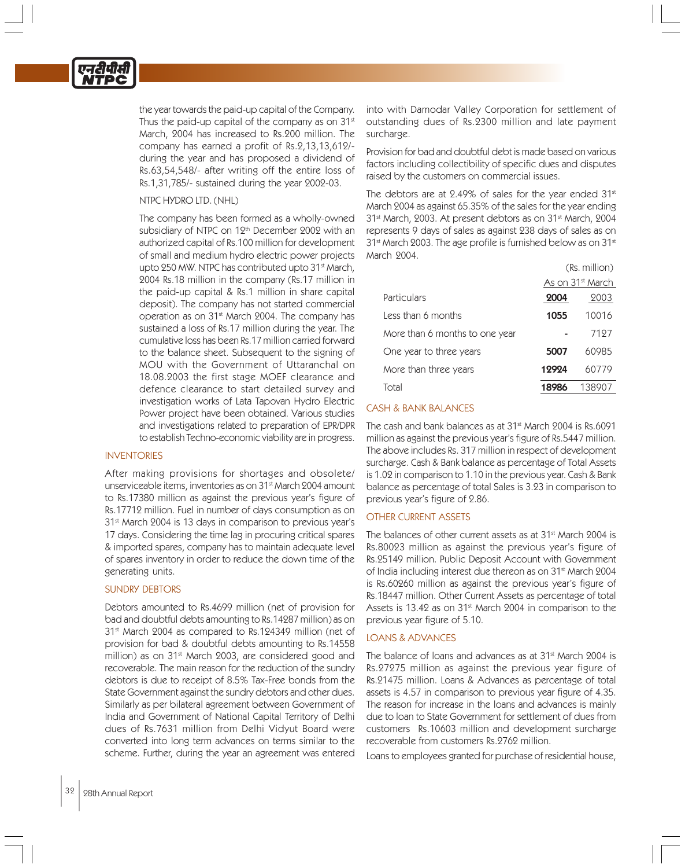the year towards the paid-up capital of the Company. Thus the paid-up capital of the company as on  $31<sup>st</sup>$ March, 2004 has increased to Rs.200 million. The company has earned a profit of Rs.2,13,13,612/ during the year and has proposed a dividend of Rs.63,54,548/- after writing off the entire loss of Rs.1,31,785/- sustained during the year 2002-03.

# NTPC HYDRO LTD. (NHL)

The company has been formed as a wholly-owned subsidiary of NTPC on 12<sup>th</sup> December 2002 with an authorized capital of Rs.100 million for development of small and medium hydro electric power projects upto 250 MW. NTPC has contributed upto 31<sup>st</sup> March, 2004 Rs.18 million in the company (Rs.17 million in the paid-up capital & Rs.1 million in share capital deposit). The company has not started commercial operation as on 31st March 2004. The company has sustained a loss of Rs.17 million during the year. The cumulative loss has been Rs.17 million carried forward to the balance sheet. Subsequent to the signing of MOU with the Government of Uttaranchal on 18.08.2003 the first stage MOEF clearance and defence clearance to start detailed survey and investigation works of Lata Tapovan Hydro Electric Power project have been obtained. Various studies and investigations related to preparation of EPR/DPR to establish Techno-economic viability are in progress.

# INVENTORIES

After making provisions for shortages and obsolete/ unserviceable items, inventories as on 31<sup>st</sup> March 2004 amount to Rs.17380 million as against the previous year's figure of Rs.17712 million. Fuel in number of days consumption as on 31st March 2004 is 13 days in comparison to previous year's 17 days. Considering the time lag in procuring critical spares & imported spares, company has to maintain adequate level of spares inventory in order to reduce the down time of the generating units.

# SUNDRY DEBTORS

Debtors amounted to Rs.4699 million (net of provision for bad and doubtful debts amounting to Rs.14287 million) as on 31st March 2004 as compared to Rs.124349 million (net of provision for bad & doubtful debts amounting to Rs.14558 million) as on 31<sup>st</sup> March 2003, are considered good and recoverable. The main reason for the reduction of the sundry debtors is due to receipt of 8.5% Tax-Free bonds from the State Government against the sundry debtors and other dues. Similarly as per bilateral agreement between Government of India and Government of National Capital Territory of Delhi dues of Rs.7631 million from Delhi Vidyut Board were converted into long term advances on terms similar to the scheme. Further, during the year an agreement was entered

into with Damodar Valley Corporation for settlement of outstanding dues of Rs.2300 million and late payment surcharge.

Provision for bad and doubtful debt is made based on various factors including collectibility of specific dues and disputes raised by the customers on commercial issues.

The debtors are at 2.49% of sales for the year ended 31st March 2004 as against 65.35% of the sales for the year ending 31st March, 2003. At present debtors as on 31st March, 2004 represents 9 days of sales as against 238 days of sales as on 31<sup>st</sup> March 2003. The age profile is furnished below as on 31<sup>st</sup> March 2004.

|                                | (Rs. million)                |        |
|--------------------------------|------------------------------|--------|
|                                | As on 31 <sup>st</sup> March |        |
| Particulars                    | 2004                         | 2003   |
| Less than 6 months             | 1055                         | 10016  |
| More than 6 months to one year |                              | 7197   |
| One year to three years        | 5007                         | 60985  |
| More than three years          | 12924                        | 60779  |
| Total                          | 18986                        | 138907 |

# CASH & BANK BALANCES

The cash and bank balances as at 31<sup>st</sup> March 2004 is Rs.6091 million as against the previous year's figure of Rs.5447 million. The above includes Rs. 317 million in respect of development surcharge. Cash & Bank balance as percentage of Total Assets is 1.02 in comparison to 1.10 in the previous year. Cash & Bank balance as percentage of total Sales is 3.23 in comparison to previous year's figure of 2.86.

# OTHER CURRENT ASSETS

The balances of other current assets as at 31<sup>st</sup> March 2004 is Rs.80023 million as against the previous year's figure of Rs.25149 million. Public Deposit Account with Government of India including interest due thereon as on 31st March 2004 is Rs.60260 million as against the previous year's figure of Rs.18447 million. Other Current Assets as percentage of total Assets is 13.42 as on 31<sup>st</sup> March 2004 in comparison to the previous year figure of 5.10.

# LOANS & ADVANCES

The balance of loans and advances as at 31<sup>st</sup> March 2004 is Rs.27275 million as against the previous year figure of Rs.21475 million. Loans & Advances as percentage of total assets is 4.57 in comparison to previous year figure of 4.35. The reason for increase in the loans and advances is mainly due to loan to State Government for settlement of dues from customers Rs.10603 million and development surcharge recoverable from customers Rs.2762 million.

Loans to employees granted for purchase of residential house,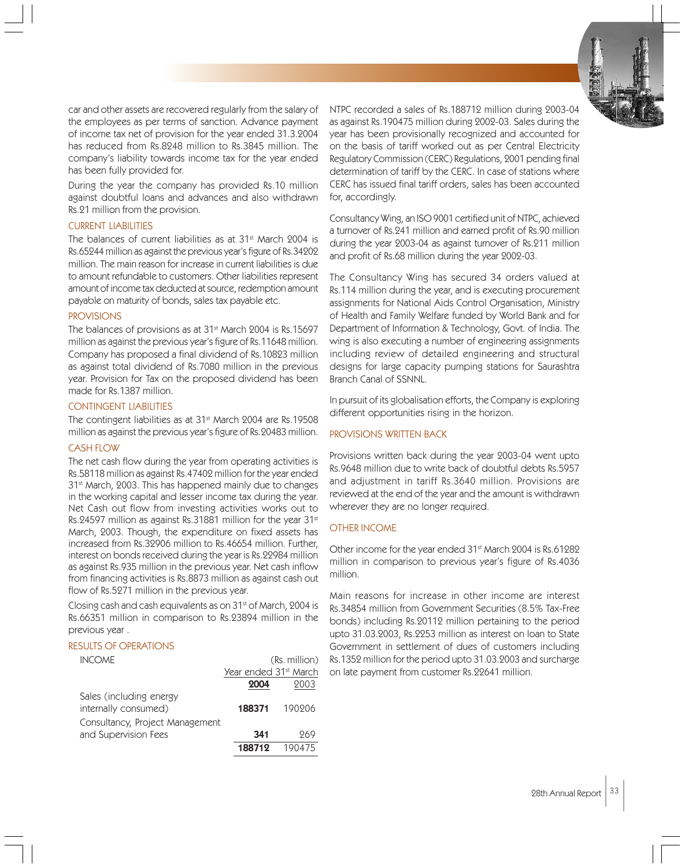

car and other assets are recovered regularly from the salary of the employees as per terms of sanction. Advance payment of income tax net of provision for the year ended 31.3.2004 has reduced from Rs.8248 million to Rs.3845 million. The company's liability towards income tax for the year ended has been fully provided for.

During the year the company has provided Rs.10 million against doubtful loans and advances and also withdrawn Rs.21 million from the provision.

#### CURRENT LIABILITIES

The balances of current liabilities as at 31<sup>st</sup> March 2004 is Rs.65244 million as against the previous year's figure of Rs.34202 million. The main reason for increase in current liabilities is due to amount refundable to customers. Other liabilities represent amount of income tax deducted at source, redemption amount payable on maturity of bonds, sales tax payable etc.

# **PROVISIONS**

The balances of provisions as at 31<sup>st</sup> March 2004 is Rs.15697 million as against the previous year's figure of Rs.11648 million. Company has proposed a final dividend of Rs.10823 million as against total dividend of Rs.7080 million in the previous year. Provision for Tax on the proposed dividend has been made for Rs.1387 million.

#### CONTINGENT LIABILITIES

The contingent liabilities as at 31<sup>st</sup> March 2004 are Rs.19508 million as against the previous year's figure of Rs.20483 million.

#### CASH FLOW

The net cash flow during the year from operating activities is Rs.58118 million as against Rs.47402 million for the year ended 31<sup>st</sup> March, 2003. This has happened mainly due to changes in the working capital and lesser income tax during the year. Net Cash out flow from investing activities works out to Rs.24597 million as against Rs.31881 million for the year 31<sup>st</sup> March, 2003. Though, the expenditure on fixed assets has increased from Rs.32906 million to Rs.46654 million. Further, interest on bonds received during the year is Rs.22984 million as against Rs.935 million in the previous year. Net cash inflow from financing activities is Rs.8873 million as against cash out flow of Rs.5271 million in the previous year.

Closing cash and cash equivalents as on 31<sup>st</sup> of March, 2004 is Rs.66351 million in comparison to Rs.23894 million in the previous year .

# RESULTS OF OPERATIONS

| <b>INCOME</b>                   |                                   | (Rs. million) |
|---------------------------------|-----------------------------------|---------------|
|                                 | Year ended 31 <sup>st</sup> March |               |
|                                 | 2004                              | 2003          |
| Sales (including energy         |                                   |               |
| internally consumed)            | 188371                            | 190206        |
| Consultancy, Project Management |                                   |               |
| and Supervision Fees            | 341                               | 969           |
|                                 | 188712                            | 190475        |

NTPC recorded a sales of Rs.188712 million during 2003-04 as against Rs.190475 million during 2002-03. Sales during the year has been provisionally recognized and accounted for on the basis of tariff worked out as per Central Electricity Regulatory Commission (CERC) Regulations, 2001 pending final determination of tariff by the CERC. In case of stations where CERC has issued final tariff orders, sales has been accounted for, accordingly.

Consultancy Wing, an ISO 9001 certified unit of NTPC, achieved a turnover of Rs.241 million and earned profit of Rs.90 million during the year 2003-04 as against turnover of Rs.211 million and profit of Rs.68 million during the year 2002-03.

The Consultancy Wing has secured 34 orders valued at Rs.114 million during the year, and is executing procurement assignments for National Aids Control Organisation, Ministry of Health and Family Welfare funded by World Bank and for Department of Information & Technology, Govt. of India. The wing is also executing a number of engineering assignments including review of detailed engineering and structural designs for large capacity pumping stations for Saurashtra Branch Canal of SSNNL.

In pursuit of its globalisation efforts, the Company is exploring different opportunities rising in the horizon.

# PROVISIONS WRITTEN BACK

Provisions written back during the year 2003-04 went upto Rs.9648 million due to write back of doubtful debts Rs.5957 and adjustment in tariff Rs.3640 million. Provisions are reviewed at the end of the year and the amount is withdrawn wherever they are no longer required.

# OTHER INCOME

Other income for the year ended 31<sup>st</sup> March 2004 is Rs.61282 million in comparison to previous year's figure of Rs.4036 million.

Main reasons for increase in other income are interest Rs.34854 million from Government Securities (8.5% Tax-Free bonds) including Rs.20112 million pertaining to the period upto 31.03.2003, Rs.2253 million as interest on loan to State Government in settlement of dues of customers including Rs.1352 million for the period upto 31.03.2003 and surcharge on late payment from customer Rs.22641 million.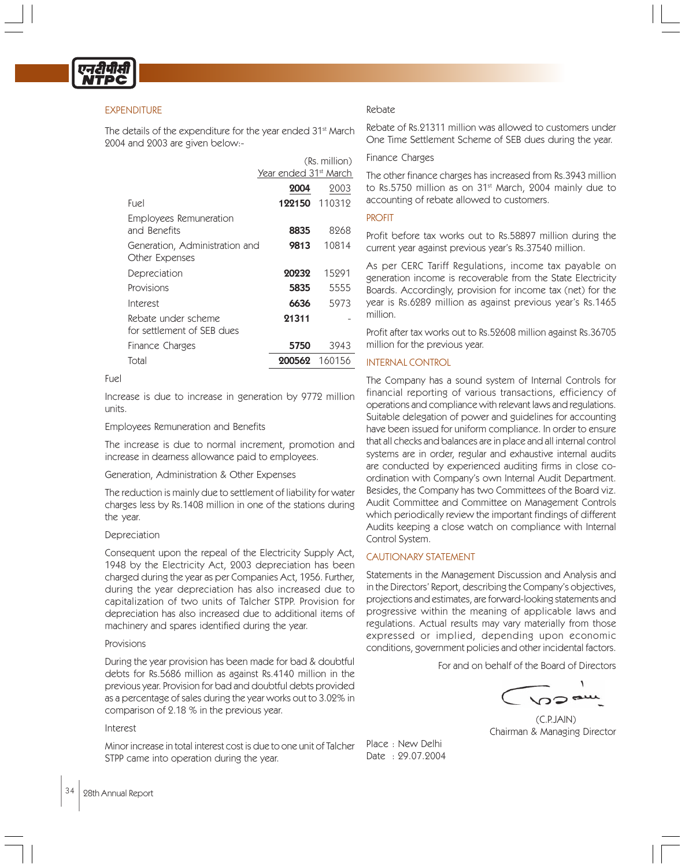

# **EXPENDITURE**

The details of the expenditure for the year ended 31<sup>st</sup> March 2004 and 2003 are given below:-

|                                                  | (Rs. million)                     |                      |  |
|--------------------------------------------------|-----------------------------------|----------------------|--|
|                                                  | Year ended 31 <sup>st</sup> March |                      |  |
|                                                  | 2004                              | 2003                 |  |
| Fuel                                             |                                   | <b>122150</b> 110319 |  |
| Employees Remuneration                           |                                   |                      |  |
| and Benefits                                     | 8835                              | 8968                 |  |
| Generation, Administration and<br>Other Expenses | 9813                              | 10814                |  |
| Depreciation                                     | 20232                             | 15291                |  |
| Provisions                                       | 5835                              | 5555                 |  |
| Interest                                         | 6636                              | 5973                 |  |
| Rebate under scheme                              | 21311                             |                      |  |
| for settlement of SFB dues                       |                                   |                      |  |
| Finance Charges                                  | 5750                              | 3943                 |  |
| Total                                            | 200562                            | -160156              |  |

Fuel

Increase is due to increase in generation by 9772 million units.

#### Employees Remuneration and Benefits

The increase is due to normal increment, promotion and increase in dearness allowance paid to employees.

#### Generation, Administration & Other Expenses

The reduction is mainly due to settlement of liability for water charges less by Rs.1408 million in one of the stations during the year.

#### Depreciation

Consequent upon the repeal of the Electricity Supply Act, 1948 by the Electricity Act, 2003 depreciation has been charged during the year as per Companies Act, 1956. Further, during the year depreciation has also increased due to capitalization of two units of Talcher STPP. Provision for depreciation has also increased due to additional items of machinery and spares identified during the year.

#### Provisions

During the year provision has been made for bad & doubtful debts for Rs.5686 million as against Rs.4140 million in the previous year. Provision for bad and doubtful debts provided as a percentage of sales during the year works out to 3.02% in comparison of 2.18 % in the previous year.

# Interest

Minor increase in total interest cost is due to one unit of Talcher STPP came into operation during the year.

# Rebate

Rebate of Rs.21311 million was allowed to customers under One Time Settlement Scheme of SEB dues during the year.

#### Finance Charges

The other finance charges has increased from Rs.3943 million to Rs.5750 million as on 31<sup>st</sup> March, 2004 mainly due to accounting of rebate allowed to customers.

#### PROFIT

Profit before tax works out to Rs.58897 million during the current year against previous year's Rs.37540 million.

As per CERC Tariff Regulations, income tax payable on generation income is recoverable from the State Electricity Boards. Accordingly, provision for income tax (net) for the year is Rs.6289 million as against previous year's Rs.1465 million.

Profit after tax works out to Rs.52608 million against Rs.36705 million for the previous year.

# INTERNAL CONTROL

The Company has a sound system of Internal Controls for financial reporting of various transactions, efficiency of operations and compliance with relevant laws and regulations. Suitable delegation of power and guidelines for accounting have been issued for uniform compliance. In order to ensure that all checks and balances are in place and all internal control systems are in order, regular and exhaustive internal audits are conducted by experienced auditing firms in close coordination with Company's own Internal Audit Department. Besides, the Company has two Committees of the Board viz. Audit Committee and Committee on Management Controls which periodically review the important findings of different Audits keeping a close watch on compliance with Internal Control System.

# CAUTIONARY STATEMENT

Statements in the Management Discussion and Analysis and in the Directors' Report, describing the Company's objectives, projections and estimates, are forward-looking statements and progressive within the meaning of applicable laws and regulations. Actual results may vary materially from those expressed or implied, depending upon economic conditions, government policies and other incidental factors.

For and on behalf of the Board of Directors

١

(C.P.JAIN) Chairman & Managing Director

Place : New Delhi Date : 29.07.2004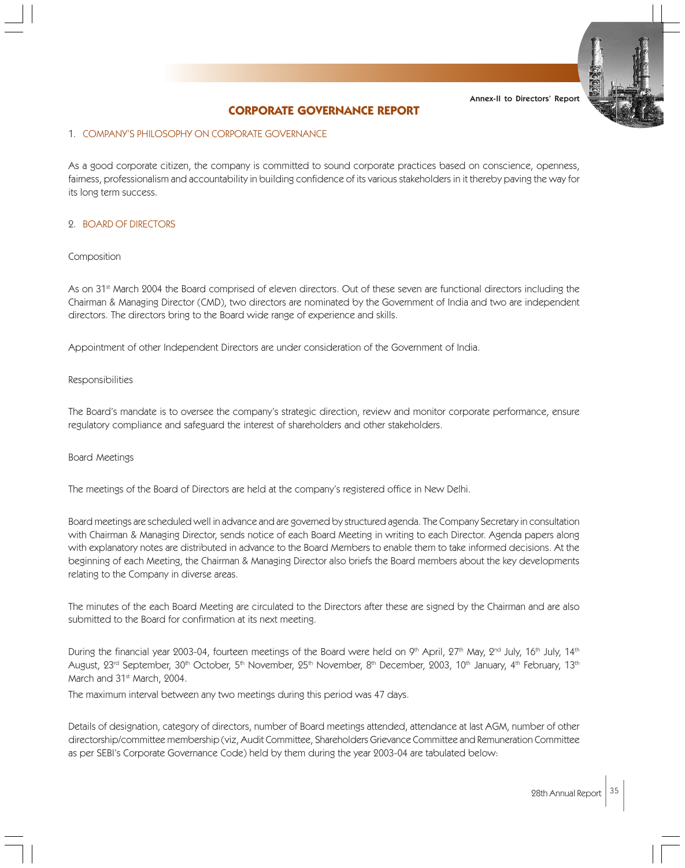# **CORPORATE GOVERNANCE REPORT**

#### 1. COMPANY'S PHILOSOPHY ON CORPORATE GOVERNANCE

As a good corporate citizen, the company is committed to sound corporate practices based on conscience, openness, fairness, professionalism and accountability in building confidence of its various stakeholders in it thereby paving the way for its long term success.

#### 2. BOARD OF DIRECTORS

#### Composition

As on 31<sup>st</sup> March 2004 the Board comprised of eleven directors. Out of these seven are functional directors including the Chairman & Managing Director (CMD), two directors are nominated by the Government of India and two are independent directors. The directors bring to the Board wide range of experience and skills.

Appointment of other Independent Directors are under consideration of the Government of India.

#### Responsibilities

The Board's mandate is to oversee the company's strategic direction, review and monitor corporate performance, ensure regulatory compliance and safeguard the interest of shareholders and other stakeholders.

#### Board Meetings

The meetings of the Board of Directors are held at the company's registered office in New Delhi.

Board meetings are scheduled well in advance and are governed by structured agenda. The Company Secretary in consultation with Chairman & Managing Director, sends notice of each Board Meeting in writing to each Director. Agenda papers along with explanatory notes are distributed in advance to the Board Members to enable them to take informed decisions. At the beginning of each Meeting, the Chairman & Managing Director also briefs the Board members about the key developments relating to the Company in diverse areas.

The minutes of the each Board Meeting are circulated to the Directors after these are signed by the Chairman and are also submitted to the Board for confirmation at its next meeting.

During the financial year 2003-04, fourteen meetings of the Board were held on 9th April,  $27th$  May,  $2<sup>nd</sup>$  July,  $16th$  July,  $14th$ August, 23<sup>rd</sup> September, 30<sup>th</sup> October, 5<sup>th</sup> November, 25<sup>th</sup> November, 8<sup>th</sup> December, 2003, 10<sup>th</sup> January, 4<sup>th</sup> February, 13<sup>th</sup> March and 31<sup>st</sup> March, 2004.

The maximum interval between any two meetings during this period was 47 days.

Details of designation, category of directors, number of Board meetings attended, attendance at last AGM, number of other directorship/committee membership (viz, Audit Committee, Shareholders Grievance Committee and Remuneration Committee as per SEBI's Corporate Governance Code) held by them during the year 2003-04 are tabulated below: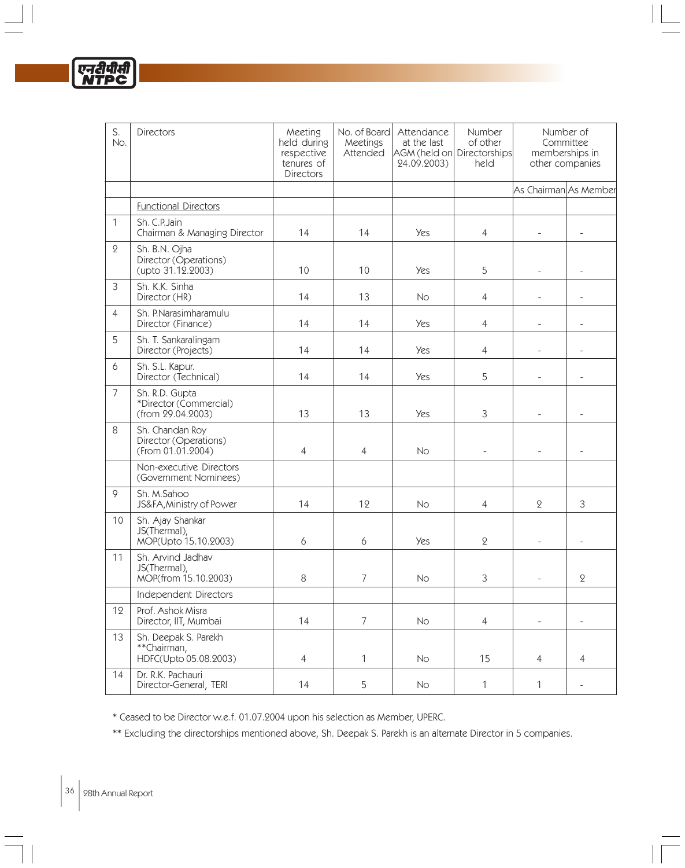| S.<br>No.      | Directors                                                     | Meeting<br>held during<br>respective<br>tenures of<br>Directors | No. of Board<br>Meetings<br>Attended | Attendance<br>at the last<br>AGM (held on Directorships<br>24.09.2003) | Number<br>of other<br>held |                          | Number of<br>Committee<br>memberships in<br>other companies |
|----------------|---------------------------------------------------------------|-----------------------------------------------------------------|--------------------------------------|------------------------------------------------------------------------|----------------------------|--------------------------|-------------------------------------------------------------|
|                |                                                               |                                                                 |                                      |                                                                        |                            | As Chairman As Member    |                                                             |
|                | <b>Functional Directors</b>                                   |                                                                 |                                      |                                                                        |                            |                          |                                                             |
| $\mathbf{1}$   | Sh. C.P. Jain<br>Chairman & Managing Director                 | 14                                                              | 14                                   | <b>Yes</b>                                                             | $\overline{4}$             | $\overline{\phantom{0}}$ | $\overline{\phantom{0}}$                                    |
| $\overline{2}$ | Sh. B.N. Ojha<br>Director (Operations)<br>(upto 31.12.2003)   | 10                                                              | 10                                   | <b>Yes</b>                                                             | 5                          | $\overline{a}$           |                                                             |
| 3              | Sh. K.K. Sinha<br>Director (HR)                               | 14                                                              | 13                                   | <b>No</b>                                                              | $\overline{4}$             |                          |                                                             |
| $\overline{4}$ | Sh. P.Narasimharamulu<br>Director (Finance)                   | 14                                                              | 14                                   | Yes                                                                    | $\overline{4}$             | $\overline{\phantom{0}}$ |                                                             |
| 5              | Sh. T. Sankaralingam<br>Director (Projects)                   | 14                                                              | 14                                   | <b>Yes</b>                                                             | $\overline{4}$             | $\overline{a}$           |                                                             |
| 6              | Sh. S.L. Kapur.<br>Director (Technical)                       | 14                                                              | 14                                   | <b>Yes</b>                                                             | 5                          |                          |                                                             |
| $\overline{7}$ | Sh. R.D. Gupta<br>*Director (Commercial)<br>(from 29.04.2003) | 13                                                              | 13                                   | <b>Yes</b>                                                             | 3                          |                          |                                                             |
| 8              | Sh. Chandan Roy<br>Director (Operations)<br>(From 01.01.2004) | $\overline{4}$                                                  | $\overline{4}$                       | <b>No</b>                                                              | $\overline{\phantom{0}}$   | $\overline{\phantom{0}}$ | $\overline{a}$                                              |
|                | Non-executive Directors<br>(Government Nominees)              |                                                                 |                                      |                                                                        |                            |                          |                                                             |
| 9              | Sh. M.Sahoo<br>JS&FA, Ministry of Power                       | 14                                                              | 12                                   | <b>No</b>                                                              | $\overline{4}$             | $\mathbf 2$              | 3                                                           |
| 10             | Sh. Ajay Shankar<br>JS(Thermal),<br>MOP(Upto 15.10.2003)      | 6                                                               | 6                                    | <b>Yes</b>                                                             | $\mathbf 2$                |                          |                                                             |
| 11             | Sh. Arvind Jadhav<br>JS(Thermal),<br>MOP(from 15.10.2003)     | 8                                                               | 7                                    | No                                                                     | 3                          | $\overline{\phantom{a}}$ | 2                                                           |
|                | Independent Directors                                         |                                                                 |                                      |                                                                        |                            |                          |                                                             |
| 12             | Prof. Ashok Misra<br>Director, IIT, Mumbai                    | 14                                                              | $\overline{7}$                       | No                                                                     | $\overline{4}$             | $\overline{\phantom{0}}$ | $\qquad \qquad -$                                           |
| 13             | Sh. Deepak S. Parekh<br>**Chairman,<br>HDFC(Upto 05.08.2003)  | $\overline{4}$                                                  | $\mathbf{1}$                         | No                                                                     | 15                         | $\overline{4}$           | $\overline{4}$                                              |
| 14             | Dr. R.K. Pachauri<br>Director-General, TERI                   | 14                                                              | 5                                    | No                                                                     | $\mathbf{1}$               | $\mathbf{1}$             | $\qquad \qquad -$                                           |

\* Ceased to be Director w.e.f. 01.07.2004 upon his selection as Member, UPERC.

\*\* Excluding the directorships mentioned above, Sh. Deepak S. Parekh is an alternate Director in 5 companies.

एनटीपीर<br>NTPC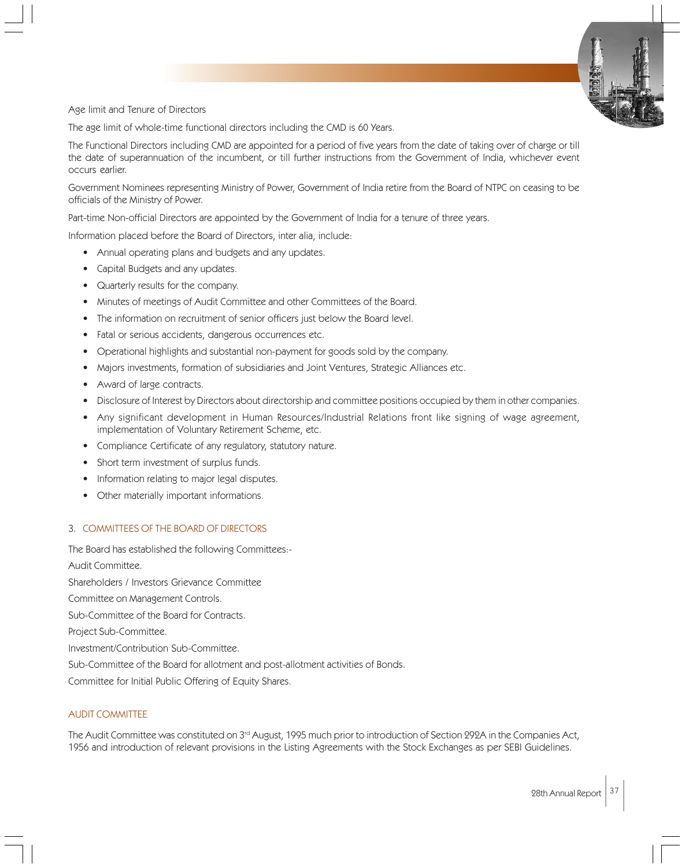

Age limit and Tenure of Directors

The age limit of whole-time functional directors including the CMD is 60 Years.

The Functional Directors including CMD are appointed for a period of five years from the date of taking over of charge or till the date of superannuation of the incumbent, or till further instructions from the Government of India, whichever event occurs earlier.

Government Nominees representing Ministry of Power, Government of India retire from the Board of NTPC on ceasing to be officials of the Ministry of Power.

Part-time Non-official Directors are appointed by the Government of India for a tenure of three years.

Information placed before the Board of Directors, inter alia, include:

- Annual operating plans and budgets and any updates.
- Capital Budgets and any updates.
- Quarterly results for the company.
- Minutes of meetings of Audit Committee and other Committees of the Board.
- The information on recruitment of senior officers just below the Board level.
- Fatal or serious accidents, dangerous occurrences etc.
- Operational highlights and substantial non-payment for goods sold by the company.
- Majors investments, formation of subsidiaries and Joint Ventures, Strategic Alliances etc.
- Award of large contracts.
- Disclosure of Interest by Directors about directorship and committee positions occupied by them in other companies.
- Any significant development in Human Resources/Industrial Relations front like signing of wage agreement, implementation of Voluntary Retirement Scheme, etc.
- Compliance Certificate of any regulatory, statutory nature.
- Short term investment of surplus funds.
- Information relating to major legal disputes.
- Other materially important informations.

# 3. COMMITTEES OF THE BOARD OF DIRECTORS

The Board has established the following Committees:-

Audit Committee.

Shareholders / Investors Grievance Committee

Committee on Management Controls.

Sub-Committee of the Board for Contracts.

Project Sub-Committee.

Investment/Contribution Sub-Committee.

Sub-Committee of the Board for allotment and post-allotment activities of Bonds.

Committee for Initial Public Offering of Equity Shares.

# AUDIT COMMITTEE

The Audit Committee was constituted on 3<sup>rd</sup> August, 1995 much prior to introduction of Section 292A in the Companies Act, 1956 and introduction of relevant provisions in the Listing Agreements with the Stock Exchanges as per SEBI Guidelines.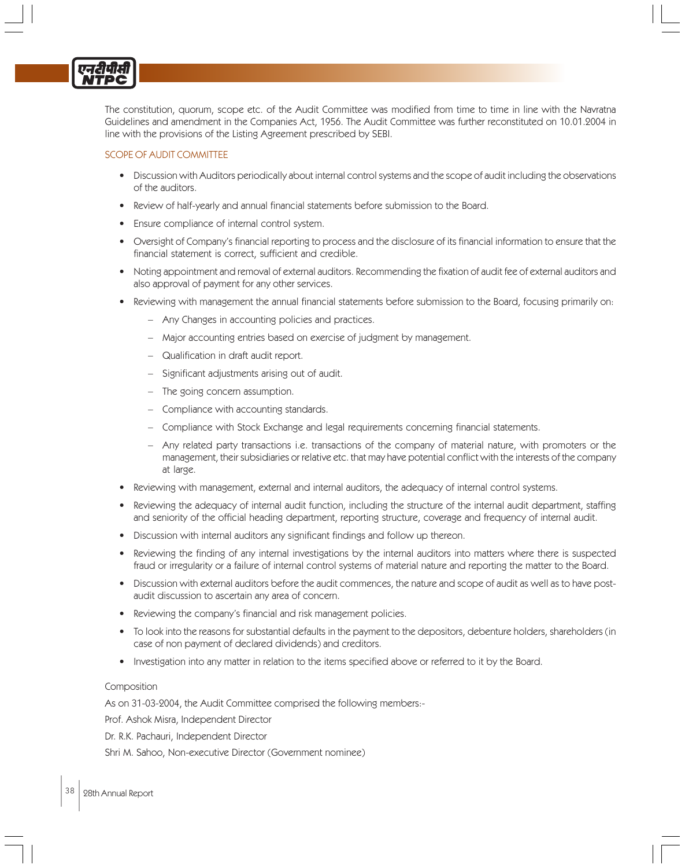The constitution, quorum, scope etc. of the Audit Committee was modified from time to time in line with the Navratna Guidelines and amendment in the Companies Act, 1956. The Audit Committee was further reconstituted on 10.01.2004 in line with the provisions of the Listing Agreement prescribed by SEBI.

# SCOPE OF AUDIT COMMITTEE

- Discussion with Auditors periodically about internal control systems and the scope of audit including the observations of the auditors.
- Review of half-yearly and annual financial statements before submission to the Board.
- Ensure compliance of internal control system.
- Oversight of Company's financial reporting to process and the disclosure of its financial information to ensure that the financial statement is correct, sufficient and credible.
- Noting appointment and removal of external auditors. Recommending the fixation of audit fee of external auditors and also approval of payment for any other services.
- Reviewing with management the annual financial statements before submission to the Board, focusing primarily on:
	- Any Changes in accounting policies and practices.
	- Major accounting entries based on exercise of judgment by management.
	- Qualification in draft audit report.
	- Significant adjustments arising out of audit.
	- The going concern assumption.
	- Compliance with accounting standards.
	- Compliance with Stock Exchange and legal requirements concerning financial statements.
	- Any related party transactions i.e. transactions of the company of material nature, with promoters or the management, their subsidiaries or relative etc. that may have potential conflict with the interests of the company at large.
- Reviewing with management, external and internal auditors, the adequacy of internal control systems.
- Reviewing the adequacy of internal audit function, including the structure of the internal audit department, staffing and seniority of the official heading department, reporting structure, coverage and frequency of internal audit.
- Discussion with internal auditors any significant findings and follow up thereon.
- Reviewing the finding of any internal investigations by the internal auditors into matters where there is suspected fraud or irregularity or a failure of internal control systems of material nature and reporting the matter to the Board.
- Discussion with external auditors before the audit commences, the nature and scope of audit as well as to have postaudit discussion to ascertain any area of concern.
- Reviewing the company's financial and risk management policies.
- To look into the reasons for substantial defaults in the payment to the depositors, debenture holders, shareholders (in case of non payment of declared dividends) and creditors.
- Investigation into any matter in relation to the items specified above or referred to it by the Board.

# Composition

As on 31-03-2004, the Audit Committee comprised the following members:-

Prof. Ashok Misra, Independent Director

Dr. R.K. Pachauri, Independent Director

Shri M. Sahoo, Non-executive Director (Government nominee)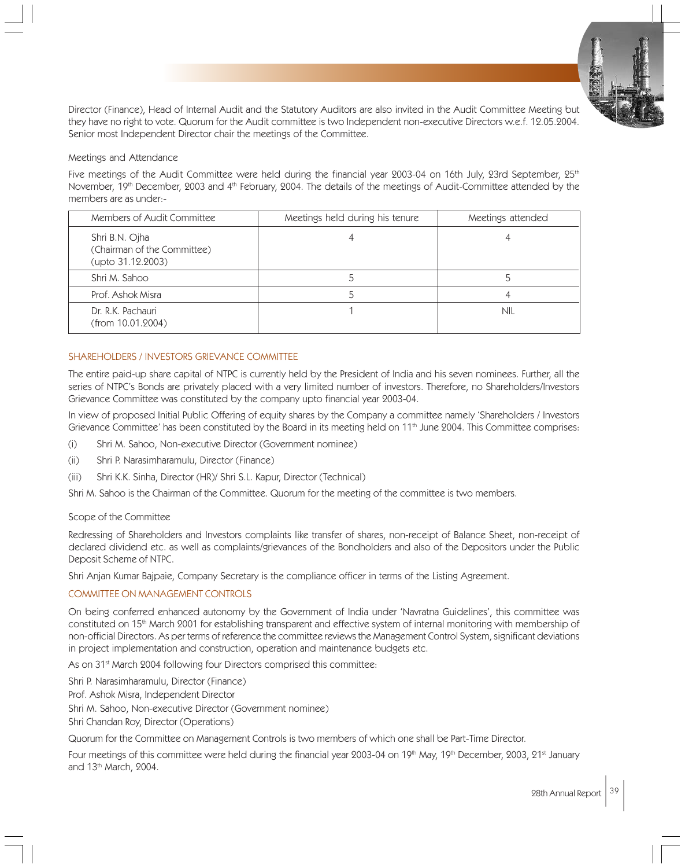

Director (Finance), Head of Internal Audit and the Statutory Auditors are also invited in the Audit Committee Meeting but they have no right to vote. Quorum for the Audit committee is two Independent non-executive Directors w.e.f. 12.05.2004. Senior most Independent Director chair the meetings of the Committee.

# Meetings and Attendance

Five meetings of the Audit Committee were held during the financial year 2003-04 on 16th July, 23rd September, 25<sup>th</sup> November, 19th December, 2003 and 4th February, 2004. The details of the meetings of Audit-Committee attended by the members are as under:-

| Members of Audit Committee                                         | Meetings held during his tenure | Meetings attended |
|--------------------------------------------------------------------|---------------------------------|-------------------|
| Shri B.N. Ojha<br>(Chairman of the Committee)<br>(upto 31.12.2003) |                                 |                   |
| Shri M. Sahoo                                                      |                                 |                   |
| Prof. Ashok Misra                                                  |                                 |                   |
| Dr. R.K. Pachauri<br>(from 10.01.2004)                             |                                 | nil               |

# SHAREHOLDERS / INVESTORS GRIEVANCE COMMITTEE

The entire paid-up share capital of NTPC is currently held by the President of India and his seven nominees. Further, all the series of NTPC's Bonds are privately placed with a very limited number of investors. Therefore, no Shareholders/Investors Grievance Committee was constituted by the company upto financial year 2003-04.

In view of proposed Initial Public Offering of equity shares by the Company a committee namely 'Shareholders / Investors Grievance Committee' has been constituted by the Board in its meeting held on 11<sup>th</sup> June 2004. This Committee comprises:

- (i) Shri M. Sahoo, Non-executive Director (Government nominee)
- (ii) Shri P. Narasimharamulu, Director (Finance)
- (iii) Shri K.K. Sinha, Director (HR)/ Shri S.L. Kapur, Director (Technical)

Shri M. Sahoo is the Chairman of the Committee. Quorum for the meeting of the committee is two members.

# Scope of the Committee

Redressing of Shareholders and Investors complaints like transfer of shares, non-receipt of Balance Sheet, non-receipt of declared dividend etc. as well as complaints/grievances of the Bondholders and also of the Depositors under the Public Deposit Scheme of NTPC.

Shri Anjan Kumar Bajpaie, Company Secretary is the compliance officer in terms of the Listing Agreement.

# COMMITTEE ON MANAGEMENT CONTROLS

On being conferred enhanced autonomy by the Government of India under 'Navratna Guidelines', this committee was constituted on 15th March 2001 for establishing transparent and effective system of internal monitoring with membership of non-official Directors. As per terms of reference the committee reviews the Management Control System, significant deviations in project implementation and construction, operation and maintenance budgets etc.

As on 31<sup>st</sup> March 2004 following four Directors comprised this committee:

Shri P. Narasimharamulu, Director (Finance)

Prof. Ashok Misra, Independent Director

Shri M. Sahoo, Non-executive Director (Government nominee)

Shri Chandan Roy, Director (Operations)

Quorum for the Committee on Management Controls is two members of which one shall be Part-Time Director.

Four meetings of this committee were held during the financial year 2003-04 on 19<sup>th</sup> May, 19<sup>th</sup> December, 2003, 21<sup>st</sup> January and 13<sup>th</sup> March, 2004.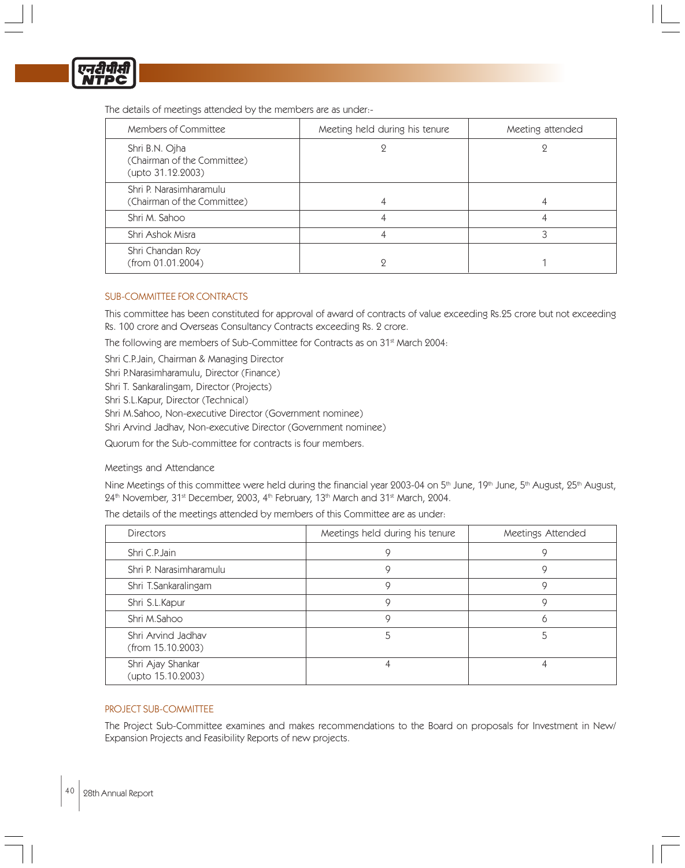

The details of meetings attended by the members are as under:-

| Members of Committee                                               | Meeting held during his tenure | Meeting attended |
|--------------------------------------------------------------------|--------------------------------|------------------|
| Shri B.N. Ojha<br>(Chairman of the Committee)<br>(upto 31.12.2003) |                                |                  |
| Shri P. Narasimharamulu<br>(Chairman of the Committee)             |                                |                  |
| Shri M. Sahoo                                                      |                                |                  |
| Shri Ashok Misra                                                   |                                | 3                |
| Shri Chandan Roy<br>(from 01.01.2004)                              |                                |                  |

# SUB-COMMITTEE FOR CONTRACTS

This committee has been constituted for approval of award of contracts of value exceeding Rs.25 crore but not exceeding Rs. 100 crore and Overseas Consultancy Contracts exceeding Rs. 2 crore.

The following are members of Sub-Committee for Contracts as on 31<sup>st</sup> March 2004:

Shri C.P.Jain, Chairman & Managing Director

Shri P.Narasimharamulu, Director (Finance)

Shri T. Sankaralingam, Director (Projects)

Shri S.L.Kapur, Director (Technical)

Shri M.Sahoo, Non-executive Director (Government nominee)

Shri Arvind Jadhav, Non-executive Director (Government nominee)

Quorum for the Sub-committee for contracts is four members.

# Meetings and Attendance

Nine Meetings of this committee were held during the financial year 2003-04 on  $5<sup>th</sup>$  June,  $19<sup>th</sup>$  June,  $5<sup>th</sup>$  August,  $25<sup>th</sup>$  August, 24th November, 31st December, 2003, 4th February, 13th March and 31st March, 2004.

The details of the meetings attended by members of this Committee are as under:

| <b>Directors</b>                        | Meetings held during his tenure | Meetings Attended |
|-----------------------------------------|---------------------------------|-------------------|
| Shri C.P.Jain                           |                                 |                   |
| Shri P. Narasimharamulu                 | Q                               | g                 |
| Shri T.Sankaralingam                    |                                 | g                 |
| Shri S.L.Kapur                          | 9                               | g                 |
| Shri M.Sahoo                            | Q                               | O                 |
| Shri Arvind Jadhav<br>(from 15.10.2003) |                                 |                   |
| Shri Ajay Shankar<br>(upto 15.10.2003)  |                                 |                   |

# PROJECT SUB-COMMITTEE

The Project Sub-Committee examines and makes recommendations to the Board on proposals for Investment in New/ Expansion Projects and Feasibility Reports of new projects.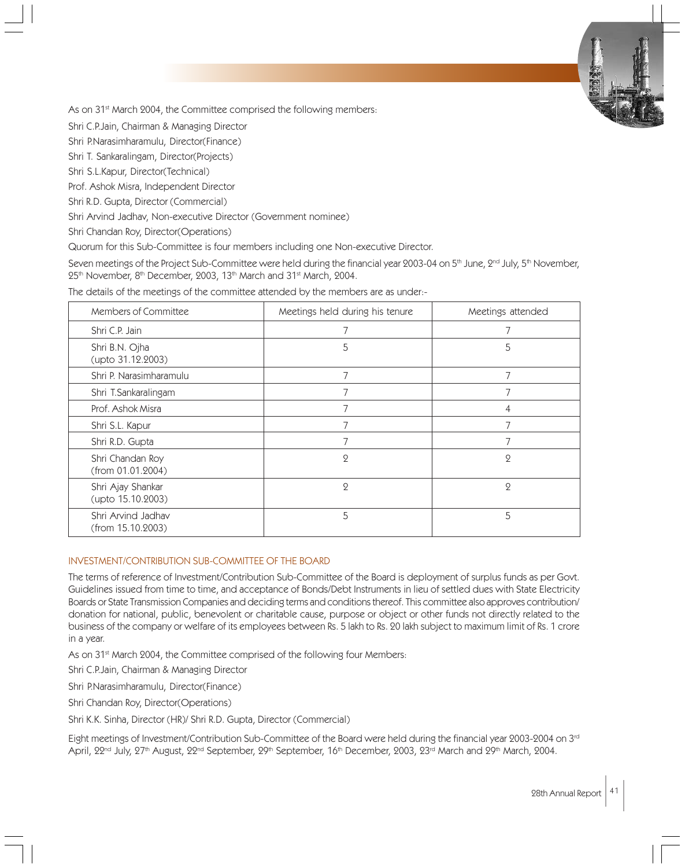As on 31<sup>st</sup> March 2004, the Committee comprised the following members:

Shri C.P.Jain, Chairman & Managing Director

Shri P.Narasimharamulu, Director(Finance)

Shri T. Sankaralingam, Director(Projects)

Shri S.L.Kapur, Director(Technical)

Prof. Ashok Misra, Independent Director

Shri R.D. Gupta, Director (Commercial)

Shri Arvind Jadhav, Non-executive Director (Government nominee)

Shri Chandan Roy, Director(Operations)

Quorum for this Sub-Committee is four members including one Non-executive Director.

Seven meetings of the Project Sub-Committee were held during the financial year 2003-04 on  $5<sup>th</sup>$  June,  $2<sup>nd</sup>$  July,  $5<sup>th</sup>$  November, 25<sup>th</sup> November, 8<sup>th</sup> December, 2003, 13<sup>th</sup> March and 31<sup>st</sup> March, 2004.

The details of the meetings of the committee attended by the members are as under:-

| Members of Committee                    | Meetings held during his tenure | Meetings attended |
|-----------------------------------------|---------------------------------|-------------------|
| Shri C.P. Jain                          |                                 |                   |
| Shri B.N. Ojha<br>(upto 31.12.2003)     | 5                               | 5                 |
| Shri P. Narasimharamulu                 | $\overline{7}$                  | 7                 |
| Shri T.Sankaralingam                    |                                 |                   |
| Prof. Ashok Misra                       |                                 |                   |
| Shri S.L. Kapur                         | 7                               | 7                 |
| Shri R.D. Gupta                         |                                 |                   |
| Shri Chandan Roy<br>(from 01.01.2004)   | $\overline{2}$                  | 2                 |
| Shri Ajay Shankar<br>(upto 15.10.2003)  | $\mathbf{Q}$                    | $\mathbf{Q}$      |
| Shri Arvind Jadhav<br>(from 15.10.2003) | 5                               | 5                 |

#### INVESTMENT/CONTRIBUTION SUB-COMMITTEE OF THE BOARD

The terms of reference of Investment/Contribution Sub-Committee of the Board is deployment of surplus funds as per Govt. Guidelines issued from time to time, and acceptance of Bonds/Debt Instruments in lieu of settled dues with State Electricity Boards or State Transmission Companies and deciding terms and conditions thereof. This committee also approves contribution/ donation for national, public, benevolent or charitable cause, purpose or object or other funds not directly related to the business of the company or welfare of its employees between Rs. 5 lakh to Rs. 20 lakh subject to maximum limit of Rs. 1 crore in a year.

As on 31<sup>st</sup> March 2004, the Committee comprised of the following four Members:

Shri C.P.Jain, Chairman & Managing Director

Shri P.Narasimharamulu, Director(Finance)

Shri Chandan Roy, Director(Operations)

Shri K.K. Sinha, Director (HR)/ Shri R.D. Gupta, Director (Commercial)

Eight meetings of Investment/Contribution Sub-Committee of the Board were held during the financial year 2003-2004 on 3rd April, 22<sup>nd</sup> July, 27<sup>th</sup> August, 22<sup>nd</sup> September, 29<sup>th</sup> September, 16<sup>th</sup> December, 2003, 23<sup>rd</sup> March and 29<sup>th</sup> March, 2004.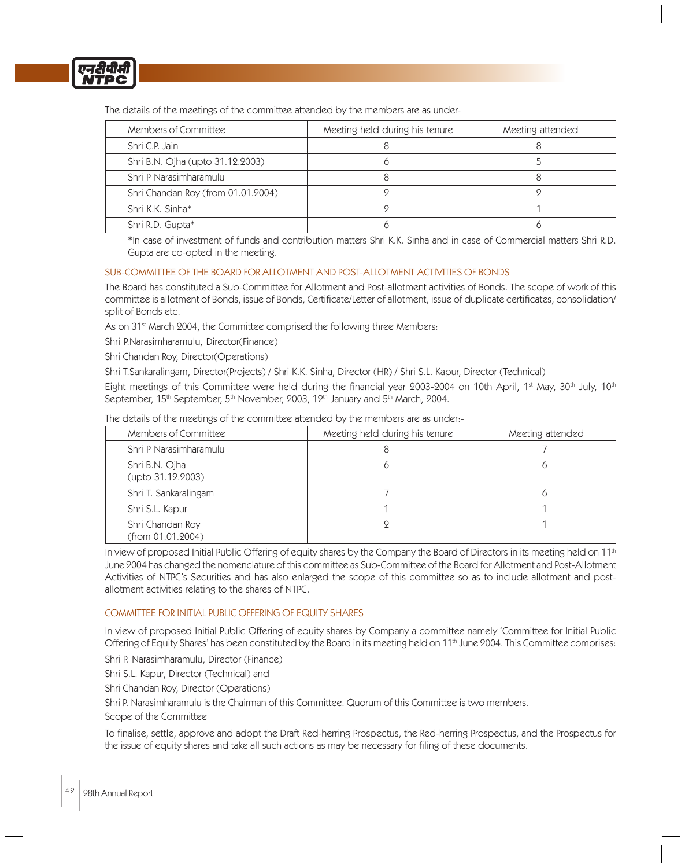

The details of the meetings of the committee attended by the members are as under-

| Members of Committee               | Meeting held during his tenure | Meeting attended |
|------------------------------------|--------------------------------|------------------|
| Shri C.P. Jain                     |                                |                  |
| Shri B.N. Ojha (upto 31.12.2003)   |                                |                  |
| Shri P Narasimharamulu             |                                |                  |
| Shri Chandan Roy (from 01.01.2004) |                                |                  |
| Shri K.K. Sinha*                   |                                |                  |
| Shri R.D. Gupta*                   |                                |                  |

\*In case of investment of funds and contribution matters Shri K.K. Sinha and in case of Commercial matters Shri R.D. Gupta are co-opted in the meeting.

# SUB-COMMITTEE OF THE BOARD FOR ALLOTMENT AND POST-ALLOTMENT ACTIVITIES OF BONDS

The Board has constituted a Sub-Committee for Allotment and Post-allotment activities of Bonds. The scope of work of this committee is allotment of Bonds, issue of Bonds, Certificate/Letter of allotment, issue of duplicate certificates, consolidation/ split of Bonds etc.

As on 31<sup>st</sup> March 2004, the Committee comprised the following three Members:

Shri P.Narasimharamulu, Director(Finance)

Shri Chandan Roy, Director(Operations)

Shri T.Sankaralingam, Director(Projects) / Shri K.K. Sinha, Director (HR) / Shri S.L. Kapur, Director (Technical)

Eight meetings of this Committee were held during the financial year 2003-2004 on 10th April, 1<sup>st</sup> May, 30<sup>th</sup> July, 10<sup>th</sup> September, 15<sup>th</sup> September, 5<sup>th</sup> November, 2003, 12<sup>th</sup> January and 5<sup>th</sup> March, 2004.

| Members of Committee                  | Meeting held during his tenure | Meeting attended |
|---------------------------------------|--------------------------------|------------------|
| Shri P Narasimharamulu                |                                |                  |
| Shri B.N. Ojha<br>(upto 31.12.2003)   |                                |                  |
| Shri T. Sankaralingam                 |                                |                  |
| Shri S.L. Kapur                       |                                |                  |
| Shri Chandan Roy<br>(from 01.01.2004) |                                |                  |

The details of the meetings of the committee attended by the members are as under:-

In view of proposed Initial Public Offering of equity shares by the Company the Board of Directors in its meeting held on 11<sup>th</sup> June 2004 has changed the nomenclature of this committee as Sub-Committee of the Board for Allotment and Post-Allotment Activities of NTPC's Securities and has also enlarged the scope of this committee so as to include allotment and postallotment activities relating to the shares of NTPC.

# COMMITTEE FOR INITIAL PUBLIC OFFERING OF EQUITY SHARES

In view of proposed Initial Public Offering of equity shares by Company a committee namely 'Committee for Initial Public Offering of Equity Shares' has been constituted by the Board in its meeting held on 11<sup>th</sup> June 2004. This Committee comprises:

Shri P. Narasimharamulu, Director (Finance)

Shri S.L. Kapur, Director (Technical) and

Shri Chandan Roy, Director (Operations)

Shri P. Narasimharamulu is the Chairman of this Committee. Quorum of this Committee is two members.

Scope of the Committee

To finalise, settle, approve and adopt the Draft Red-herring Prospectus, the Red-herring Prospectus, and the Prospectus for the issue of equity shares and take all such actions as may be necessary for filing of these documents.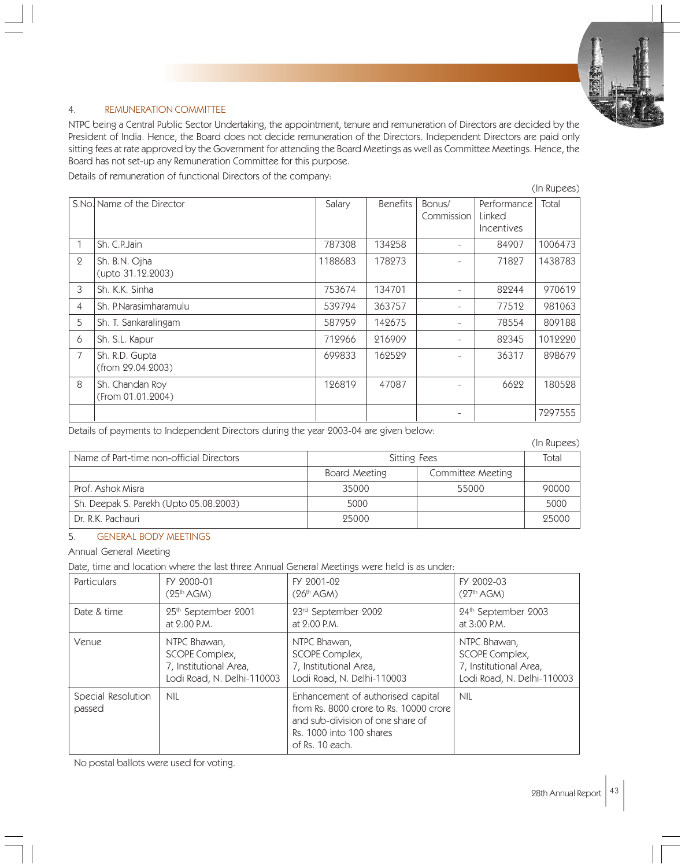

# 4. REMUNERATION COMMITTEE

NTPC being a Central Public Sector Undertaking, the appointment, tenure and remuneration of Directors are decided by the President of India. Hence, the Board does not decide remuneration of the Directors. Independent Directors are paid only sitting fees at rate approved by the Government for attending the Board Meetings as well as Committee Meetings. Hence, the Board has not set-up any Remuneration Committee for this purpose.

Details of remuneration of functional Directors of the company:

|                |                                      |         |                 |                      |                                            | (In Rupees) |
|----------------|--------------------------------------|---------|-----------------|----------------------|--------------------------------------------|-------------|
|                | S.No. Name of the Director           | Salary  | <b>Benefits</b> | Bonus/<br>Commission | Performance<br>Linked<br><b>Incentives</b> | Total       |
|                | Sh. C.P. Jain                        | 787308  | 134258          |                      | 84907                                      | 1006473     |
| $\overline{2}$ | Sh. B.N. Ojha<br>(upto 31.12.2003)   | 1188683 | 178273          |                      | 71827                                      | 1438783     |
| 3              | Sh. K.K. Sinha                       | 753674  | 134701          |                      | 82244                                      | 970619      |
| $\overline{4}$ | Sh. P.Narasimharamulu                | 539794  | 363757          |                      | 77512                                      | 981063      |
| 5              | Sh. T. Sankaralingam                 | 587959  | 142675          |                      | 78554                                      | 809188      |
| 6              | Sh. S.L. Kapur                       | 712966  | 216909          |                      | 82345                                      | 1012220     |
| $\overline{7}$ | Sh. R.D. Gupta<br>(from 29.04.2003)  | 699833  | 162529          |                      | 36317                                      | 898679      |
| 8              | Sh. Chandan Roy<br>(From 01.01.2004) | 126819  | 47087           |                      | 6622                                       | 180528      |
|                |                                      |         |                 |                      |                                            | 7297555     |

Details of payments to Independent Directors during the year 2003-04 are given below:

(In Rupees)

|                                          |               |                   | $\sum$ |
|------------------------------------------|---------------|-------------------|--------|
| Name of Part-time non-official Directors | Sitting Fees  |                   | Total  |
|                                          | Board Meeting | Committee Meeting |        |
| Prof. Ashok Misra                        | 35000         | 55000             | 90000  |
| Sh. Deepak S. Parekh (Upto 05.08.2003)   | 5000          |                   | 5000   |
| Dr. R.K. Pachauri                        | 95000         |                   | 95000  |

# 5. GENERAL BODY MEETINGS

Annual General Meeting

Date, time and location where the last three Annual General Meetings were held is as under:

| Particulars                  | FY 2000-01                      | FY 2001-02                                                                                                                                                     | FY 2002-03                      |
|------------------------------|---------------------------------|----------------------------------------------------------------------------------------------------------------------------------------------------------------|---------------------------------|
|                              | (25 <sup>th</sup> AGM)          | (26 <sup>th</sup> AGM)                                                                                                                                         | (27 <sup>th</sup> AGM)          |
| Date & time                  | 25 <sup>th</sup> September 2001 | 23rd September 2002                                                                                                                                            | 24 <sup>th</sup> September 2003 |
|                              | at $2:00$ P.M.                  | at $2:00$ P.M.                                                                                                                                                 | at $3:00$ P.M.                  |
| Venue                        | NTPC Bhawan,                    | NTPC Bhawan,                                                                                                                                                   | NTPC Bhawan,                    |
|                              | SCOPE Complex,                  | SCOPE Complex,                                                                                                                                                 | SCOPE Complex,                  |
|                              | 7, Institutional Area,          | 7, Institutional Area,                                                                                                                                         | 7, Institutional Area,          |
|                              | Lodi Road, N. Delhi-110003      | Lodi Road, N. Delhi-110003                                                                                                                                     | Lodi Road, N. Delhi-110003      |
| Special Resolution<br>passed | <b>NIL</b>                      | Enhancement of authorised capital<br>from Rs. 8000 crore to Rs. 10000 crore<br>and sub-division of one share of<br>Rs. 1000 into 100 shares<br>of Rs. 10 each. | <b>NIL</b>                      |

No postal ballots were used for voting.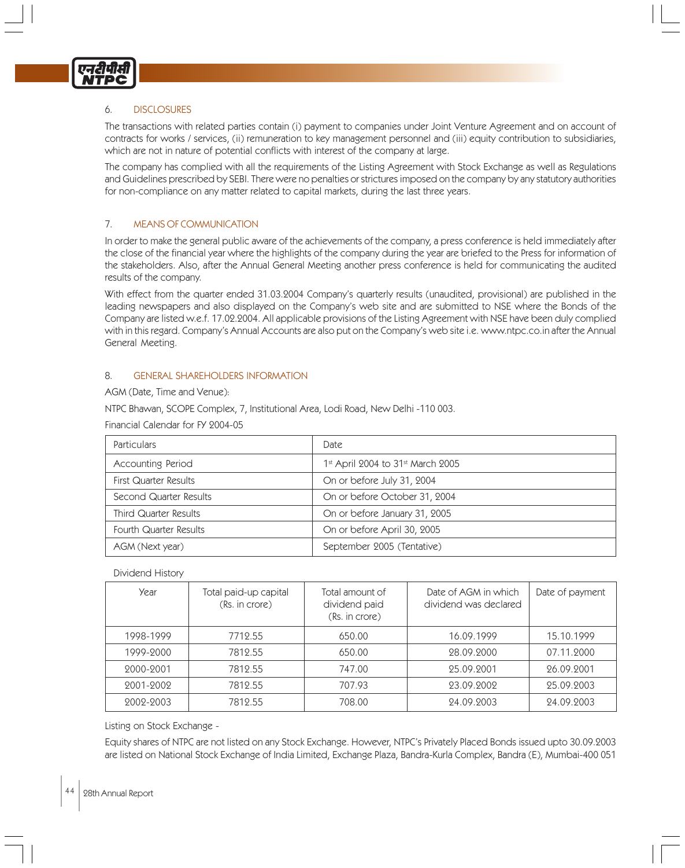

# 6. DISCLOSURES

The transactions with related parties contain (i) payment to companies under Joint Venture Agreement and on account of contracts for works / services, (ii) remuneration to key management personnel and (iii) equity contribution to subsidiaries, which are not in nature of potential conflicts with interest of the company at large.

The company has complied with all the requirements of the Listing Agreement with Stock Exchange as well as Regulations and Guidelines prescribed by SEBI. There were no penalties or strictures imposed on the company by any statutory authorities for non-compliance on any matter related to capital markets, during the last three years.

# 7. MEANS OF COMMUNICATION

In order to make the general public aware of the achievements of the company, a press conference is held immediately after the close of the financial year where the highlights of the company during the year are briefed to the Press for information of the stakeholders. Also, after the Annual General Meeting another press conference is held for communicating the audited results of the company.

With effect from the quarter ended 31.03.2004 Company's quarterly results (unaudited, provisional) are published in the leading newspapers and also displayed on the Company's web site and are submitted to NSE where the Bonds of the Company are listed w.e.f. 17.02.2004. All applicable provisions of the Listing Agreement with NSE have been duly complied with in this regard. Company's Annual Accounts are also put on the Company's web site i.e. www.ntpc.co.in after the Annual General Meeting.

#### 8. GENERAL SHAREHOLDERS INFORMATION

AGM (Date, Time and Venue):

NTPC Bhawan, SCOPE Complex, 7, Institutional Area, Lodi Road, New Delhi -110 003.

Financial Calendar for FY 2004-05

| <b>Particulars</b>           | Date                                            |
|------------------------------|-------------------------------------------------|
| Accounting Period            | $1st$ April 2004 to 31 <sup>st</sup> March 2005 |
| First Quarter Results        | On or before July 31, 2004                      |
| Second Quarter Results       | On or before October 31, 2004                   |
| <b>Third Quarter Results</b> | On or before January 31, 2005                   |
| Fourth Quarter Results       | On or before April 30, 2005                     |
| AGM (Next year)              | September 2005 (Tentative)                      |

#### Dividend History

| Year      | Total paid-up capital<br>(Rs. in crore) | Total amount of<br>dividend paid<br>(Rs. in crore) | Date of AGM in which<br>dividend was declared | Date of payment |
|-----------|-----------------------------------------|----------------------------------------------------|-----------------------------------------------|-----------------|
| 1998-1999 | 7712.55                                 | 650.00                                             | 16.09.1999                                    | 15.10.1999      |
| 1999-2000 | 7812.55                                 | 650.00                                             | 28.09.2000                                    | 07.11.2000      |
| 2000-2001 | 7812.55                                 | 747.00                                             | 25.09.2001                                    | 26.09.2001      |
| 2001-2002 | 7812.55                                 | 707.93                                             | 23.09.2002                                    | 25.09.2003      |
| 2002-2003 | 7812.55                                 | 708.00                                             | 24.09.2003                                    | 24.09.2003      |

Listing on Stock Exchange -

Equity shares of NTPC are not listed on any Stock Exchange. However, NTPC's Privately Placed Bonds issued upto 30.09.2003 are listed on National Stock Exchange of India Limited, Exchange Plaza, Bandra-Kurla Complex, Bandra (E), Mumbai-400 051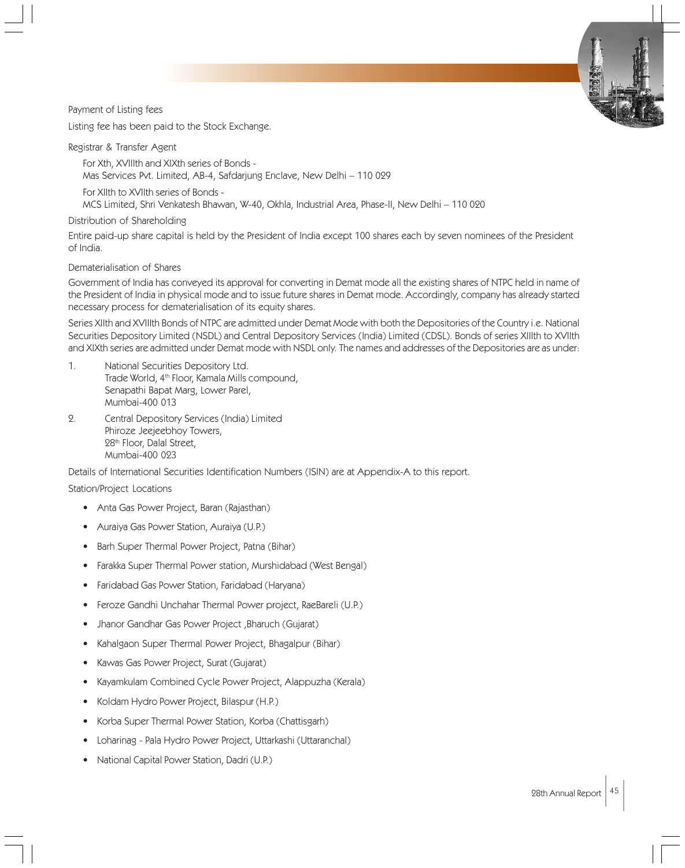Payment of Listing fees

Listing fee has been paid to the Stock Exchange.

Registrar & Transfer Agent

For Xth, XVIIIth and XIXth series of Bonds - Mas Services Pvt. Limited, AB-4, Safdarjung Enclave, New Delhi – 110 029

For XIIth to XVIIth series of Bonds -

MCS Limited, Shri Venkatesh Bhawan, W-40, Okhla, Industrial Area, Phase-II, New Delhi – 110 020

Distribution of Shareholding

Entire paid-up share capital is held by the President of India except 100 shares each by seven nominees of the President of India.

Dematerialisation of Shares

Government of India has conveyed its approval for converting in Demat mode all the existing shares of NTPC held in name of the President of India in physical mode and to issue future shares in Demat mode. Accordingly, company has already started necessary process for dematerialisation of its equity shares.

Series XIIth and XVIIIth Bonds of NTPC are admitted under Demat Mode with both the Depositories of the Country i.e. National Securities Depository Limited (NSDL) and Central Depository Services (India) Limited (CDSL). Bonds of series XIIIth to XVIIth and XIXth series are admitted under Demat mode with NSDL only. The names and addresses of the Depositories are as under:

- 1. National Securities Depository Ltd. Trade World, 4<sup>th</sup> Floor, Kamala Mills compound, Senapathi Bapat Marg, Lower Parel, Mumbai-400 013
- 2. Central Depository Services (India) Limited Phiroze Jeejeebhoy Towers, 28<sup>th</sup> Floor, Dalal Street, Mumbai-400 023

Details of International Securities Identification Numbers (ISIN) are at Appendix-A to this report.

Station/Project Locations

- Anta Gas Power Project, Baran (Rajasthan)
- Auraiya Gas Power Station, Auraiya (U.P.)
- Barh Super Thermal Power Project, Patna (Bihar)
- Farakka Super Thermal Power station, Murshidabad (West Bengal)
- Faridabad Gas Power Station, Faridabad (Haryana)
- Feroze Gandhi Unchahar Thermal Power project, RaeBareli (U.P.)
- Jhanor Gandhar Gas Power Project ,Bharuch (Gujarat)
- Kahalgaon Super Thermal Power Project, Bhagalpur (Bihar)
- Kawas Gas Power Project, Surat (Gujarat)
- Kayamkulam Combined Cycle Power Project, Alappuzha (Kerala)
- Koldam Hydro Power Project, Bilaspur (H.P.)
- Korba Super Thermal Power Station, Korba (Chattisgarh)
- Loharinag Pala Hydro Power Project, Uttarkashi (Uttaranchal)
- National Capital Power Station, Dadri (U.P.)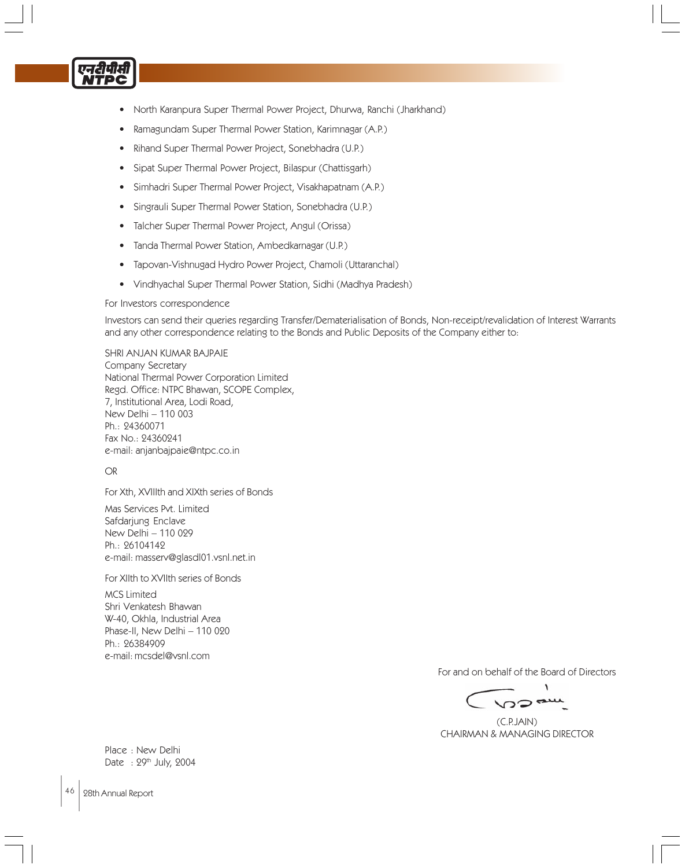

- North Karanpura Super Thermal Power Project, Dhurwa, Ranchi (Jharkhand)
- Ramagundam Super Thermal Power Station, Karimnagar (A.P.)
- Rihand Super Thermal Power Project, Sonebhadra (U.P.)
- Sipat Super Thermal Power Project, Bilaspur (Chattisgarh)
- Simhadri Super Thermal Power Project, Visakhapatnam (A.P.)
- Singrauli Super Thermal Power Station, Sonebhadra (U.P.)
- Talcher Super Thermal Power Project, Angul (Orissa)
- Tanda Thermal Power Station, Ambedkarnagar (U.P.)
- Tapovan-Vishnugad Hydro Power Project, Chamoli (Uttaranchal)
- Vindhyachal Super Thermal Power Station, Sidhi (Madhya Pradesh)

#### For Investors correspondence

Investors can send their queries regarding Transfer/Dematerialisation of Bonds, Non-receipt/revalidation of Interest Warrants and any other correspondence relating to the Bonds and Public Deposits of the Company either to:

SHRI ANJAN KUMAR BAJPAIE Company Secretary National Thermal Power Corporation Limited Regd. Office: NTPC Bhawan, SCOPE Complex, 7, Institutional Area, Lodi Road, New Delhi – 110 003 Ph.: 24360071 Fax No.: 24360241 e-mail: anjanbajpaie@ntpc.co.in

# OR

For Xth, XVIIIth and XIXth series of Bonds

Mas Services Pvt. Limited Safdarjung Enclave New Delhi – 110 029 Ph.: 26104142 e-mail: masserv@glasdl01.vsnl.net.in

# For XIIth to XVIIth series of Bonds

MCS Limited Shri Venkatesh Bhawan W-40, Okhla, Industrial Area Phase-II, New Delhi – 110 020 Ph.: 26384909 e-mail: mcsdel@vsnl.com

For and on behalf of the Board of Directors

 (C.P.JAIN) CHAIRMAN & MANAGING DIRECTOR

Place : New Delhi Date : 29th July, 2004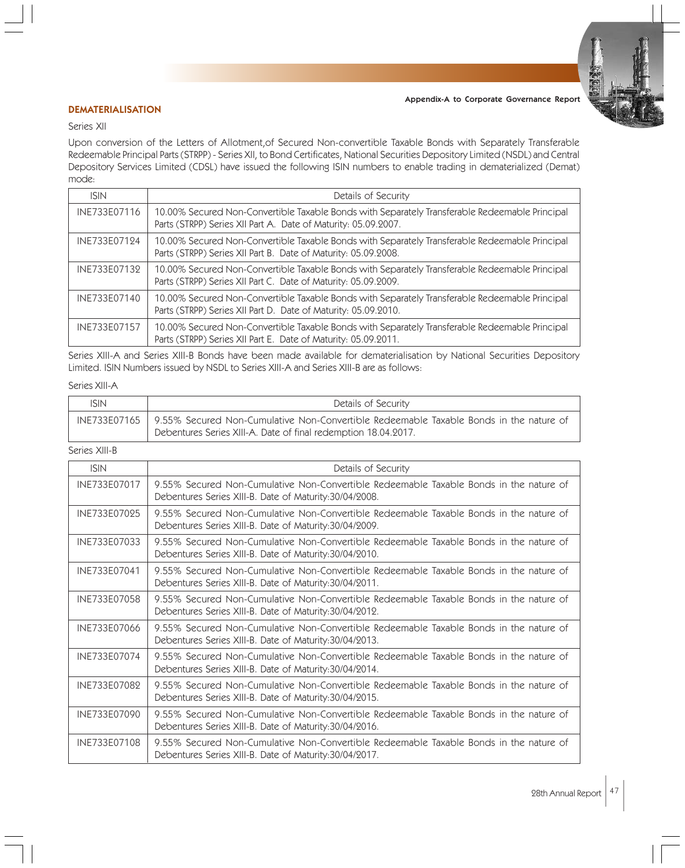

# DEMATERIALISATION

#### Series XII

Upon conversion of the Letters of Allotment,of Secured Non-convertible Taxable Bonds with Separately Transferable Redeemable Principal Parts (STRPP) - Series XII, to Bond Certificates, National Securities Depository Limited (NSDL) and Central Depository Services Limited (CDSL) have issued the following ISIN numbers to enable trading in dematerialized (Demat) mode:

| <b>ISIN</b>  | Details of Security                                                                                                                                              |  |  |  |
|--------------|------------------------------------------------------------------------------------------------------------------------------------------------------------------|--|--|--|
| INE733E07116 | 10.00% Secured Non-Convertible Taxable Bonds with Separately Transferable Redeemable Principal<br>Parts (STRPP) Series XII Part A. Date of Maturity: 05.09.2007. |  |  |  |
| INE733E07124 | 10.00% Secured Non-Convertible Taxable Bonds with Separately Transferable Redeemable Principal<br>Parts (STRPP) Series XII Part B. Date of Maturity: 05.09.2008. |  |  |  |
| INE733E07132 | 10.00% Secured Non-Convertible Taxable Bonds with Separately Transferable Redeemable Principal<br>Parts (STRPP) Series XII Part C. Date of Maturity: 05.09.2009. |  |  |  |
| INE733E07140 | 10.00% Secured Non-Convertible Taxable Bonds with Separately Transferable Redeemable Principal<br>Parts (STRPP) Series XII Part D. Date of Maturity: 05.09.2010. |  |  |  |
| INE733E07157 | 10.00% Secured Non-Convertible Taxable Bonds with Separately Transferable Redeemable Principal<br>Parts (STRPP) Series XII Part E. Date of Maturity: 05.09.2011. |  |  |  |

Series XIII-A and Series XIII-B Bonds have been made available for dematerialisation by National Securities Depository Limited. ISIN Numbers issued by NSDL to Series XIII-A and Series XIII-B are as follows:

# Series XIII-A

| ISIN | Details of Security                                                                                                                                                     |  |
|------|-------------------------------------------------------------------------------------------------------------------------------------------------------------------------|--|
|      | INE733E07165   9.55% Secured Non-Cumulative Non-Convertible Redeemable Taxable Bonds in the nature of<br>Debentures Series XIII-A. Date of final redemption 18.04.2017. |  |

# Series XIII-B

| <b>ISIN</b>  | Details of Security                                                                                                                               |  |  |
|--------------|---------------------------------------------------------------------------------------------------------------------------------------------------|--|--|
| INE733E07017 | 9.55% Secured Non-Cumulative Non-Convertible Redeemable Taxable Bonds in the nature of<br>Debentures Series XIII-B. Date of Maturity: 30/04/2008. |  |  |
| INE733E07025 | 9.55% Secured Non-Cumulative Non-Convertible Redeemable Taxable Bonds in the nature of<br>Debentures Series XIII-B. Date of Maturity: 30/04/2009. |  |  |
| INE733E07033 | 9.55% Secured Non-Cumulative Non-Convertible Redeemable Taxable Bonds in the nature of<br>Debentures Series XIII-B. Date of Maturity: 30/04/2010. |  |  |
| INE733E07041 | 9.55% Secured Non-Cumulative Non-Convertible Redeemable Taxable Bonds in the nature of<br>Debentures Series XIII-B. Date of Maturity: 30/04/2011. |  |  |
| INE733E07058 | 9.55% Secured Non-Cumulative Non-Convertible Redeemable Taxable Bonds in the nature of<br>Debentures Series XIII-B. Date of Maturity: 30/04/2012. |  |  |
| INE733E07066 | 9.55% Secured Non-Cumulative Non-Convertible Redeemable Taxable Bonds in the nature of<br>Debentures Series XIII-B. Date of Maturity: 30/04/2013. |  |  |
| INE733E07074 | 9.55% Secured Non-Cumulative Non-Convertible Redeemable Taxable Bonds in the nature of<br>Debentures Series XIII-B. Date of Maturity: 30/04/2014. |  |  |
| INE733E07082 | 9.55% Secured Non-Cumulative Non-Convertible Redeemable Taxable Bonds in the nature of<br>Debentures Series XIII-B. Date of Maturity: 30/04/2015. |  |  |
| INE733E07090 | 9.55% Secured Non-Cumulative Non-Convertible Redeemable Taxable Bonds in the nature of<br>Debentures Series XIII-B. Date of Maturity: 30/04/2016. |  |  |
| INE733E07108 | 9.55% Secured Non-Cumulative Non-Convertible Redeemable Taxable Bonds in the nature of<br>Debentures Series XIII-B. Date of Maturity: 30/04/2017. |  |  |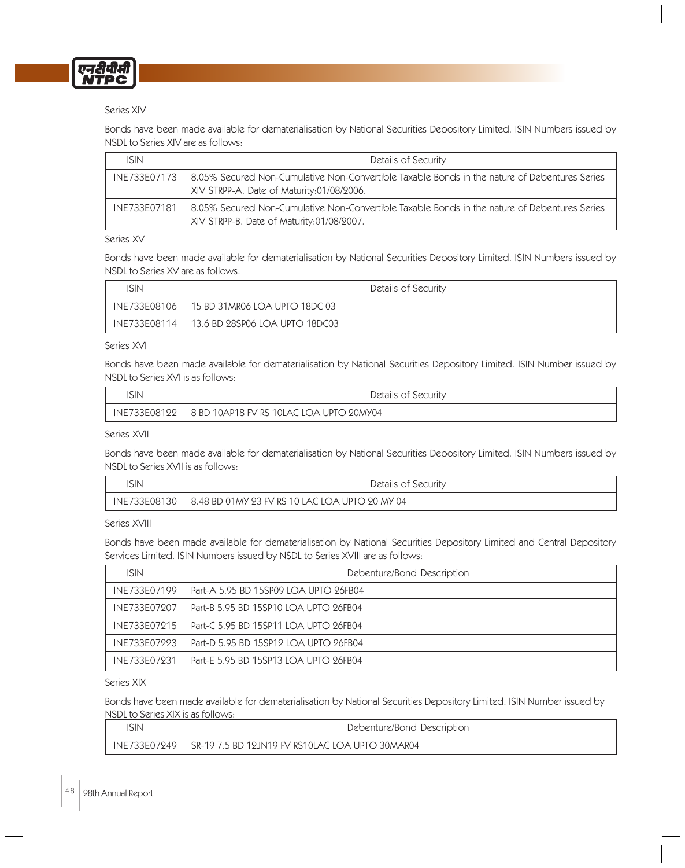

# Series XIV

Bonds have been made available for dematerialisation by National Securities Depository Limited. ISIN Numbers issued by NSDL to Series XIV are as follows:

| <b>ISIN</b>  | Details of Security                                                                                                                        |  |  |
|--------------|--------------------------------------------------------------------------------------------------------------------------------------------|--|--|
| INE733E07173 | 8.05% Secured Non-Cumulative Non-Convertible Taxable Bonds in the nature of Debentures Series<br>XIV STRPP-A. Date of Maturity:01/08/2006. |  |  |
| INE733E07181 | 8.05% Secured Non-Cumulative Non-Convertible Taxable Bonds in the nature of Debentures Series<br>XIV STRPP-B. Date of Maturity:01/08/2007. |  |  |

#### Series XV

Bonds have been made available for dematerialisation by National Securities Depository Limited. ISIN Numbers issued by NSDL to Series XV are as follows:

| ISIN         | Details of Security                          |  |
|--------------|----------------------------------------------|--|
| INE733E08106 | 15 BD 31MR06 LOA UPTO 18DC 03                |  |
| INE733E08114 | $\mid$ 13.6 BD 28SP06 LOA UPTO 18DC03 $\mid$ |  |

#### Series XVI

Bonds have been made available for dematerialisation by National Securities Depository Limited. ISIN Number issued by NSDL to Series XVI is as follows:

| ISIN         | Details of Security                      |  |  |
|--------------|------------------------------------------|--|--|
| INE733E08122 | 18 BD 10AP18 FV RS 10LAC LOA UPTO 20MY04 |  |  |

#### Series XVII

Bonds have been made available for dematerialisation by National Securities Depository Limited. ISIN Numbers issued by NSDL to Series XVII is as follows:

| SIN          | Details of Security                            |  |
|--------------|------------------------------------------------|--|
| INE733E08130 | 8.48 BD 01MY 23 FV RS 10 LAC LOA UPTO 20 MY 04 |  |

Series XVIII

Bonds have been made available for dematerialisation by National Securities Depository Limited and Central Depository Services Limited. ISIN Numbers issued by NSDL to Series XVIII are as follows:

| <b>ISIN</b>  | Debenture/Bond Description            |  |
|--------------|---------------------------------------|--|
| INE733E07199 | Part-A 5.95 BD 15SP09 LOA UPTO 26FB04 |  |
| INE733E07207 | Part-B 5.95 BD 15SP10 LOA UPTO 26FB04 |  |
| INE733E07215 | Part-C 5.95 BD 15SP11 LOA UPTO 26FB04 |  |
| INE733E07223 | Part-D 5.95 BD 15SP12 LOA UPTO 26FB04 |  |
| INE733E07231 | Part-E 5.95 BD 15SP13 LOA UPTO 26FB04 |  |

#### Series XIX

Bonds have been made available for dematerialisation by National Securities Depository Limited. ISIN Number issued by NSDL to Series XIX is as follows:

| 'SIN | Debenture/Bond Description                                                 |  |
|------|----------------------------------------------------------------------------|--|
|      | $\mid$ INE733E07249 $\mid$ SR-19 7.5 BD 12JN19 FV RS10LAC LOA UPTO 30MAR04 |  |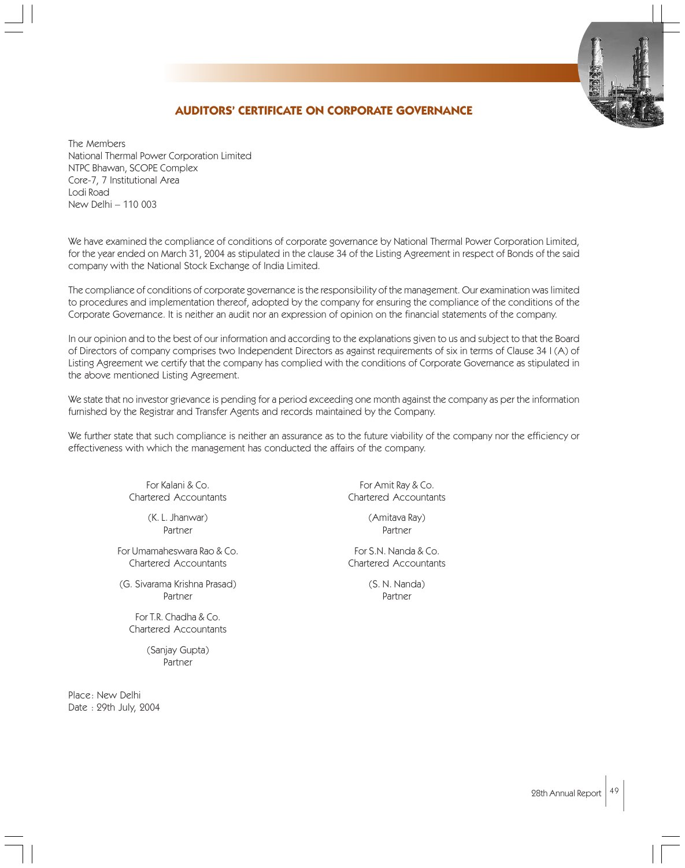# **AUDITORS' CERTIFICATE ON CORPORATE GOVERNANCE**

The Members National Thermal Power Corporation Limited NTPC Bhawan, SCOPE Complex Core-7, 7 Institutional Area Lodi Road New Delhi – 110 003

We have examined the compliance of conditions of corporate governance by National Thermal Power Corporation Limited, for the year ended on March 31, 2004 as stipulated in the clause 34 of the Listing Agreement in respect of Bonds of the said company with the National Stock Exchange of India Limited.

The compliance of conditions of corporate governance is the responsibility of the management. Our examination was limited to procedures and implementation thereof, adopted by the company for ensuring the compliance of the conditions of the Corporate Governance. It is neither an audit nor an expression of opinion on the financial statements of the company.

In our opinion and to the best of our information and according to the explanations given to us and subject to that the Board of Directors of company comprises two Independent Directors as against requirements of six in terms of Clause 34 I (A) of Listing Agreement we certify that the company has complied with the conditions of Corporate Governance as stipulated in the above mentioned Listing Agreement.

We state that no investor grievance is pending for a period exceeding one month against the company as per the information furnished by the Registrar and Transfer Agents and records maintained by the Company.

We further state that such compliance is neither an assurance as to the future viability of the company nor the efficiency or effectiveness with which the management has conducted the affairs of the company.

Chartered Accountants Chartered Accountants

(K. L. Jhanwar) (Amitava Ray)

For Umamaheswara Rao & Co. The S.N. Nanda & Co. Chartered Accountants Chartered Accountants

(G. Sivarama Krishna Prasad) (S. N. Nanda) Partner **Partner** Partner

For T.R. Chadha & Co. Chartered Accountants

> (Sanjay Gupta) Partner

Place: New Delhi Date : 29th July, 2004

For Kalani & Co. **For Amit Ray & Co.** For Amit Ray & Co.

Partner Partner Partner Partner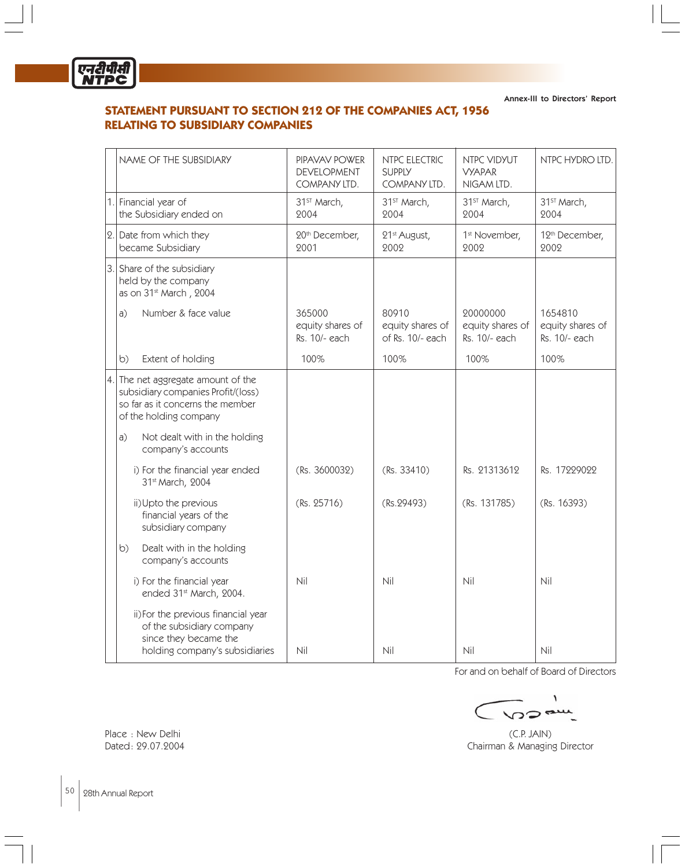

Annex-III to Directors' Report

# **STATEMENT PURSUANT TO SECTION 212 OF THE COMPANIES ACT, 1956 RELATING TO SUBSIDIARY COMPANIES**

| NAME OF THE SUBSIDIARY                                                                                                                                                        | PIPAVAV POWER<br><b>DEVELOPMENT</b><br>COMPANY LTD. | NTPC ELECTRIC<br><b>SUPPLY</b><br>COMPANY LTD. | NTPC VIDYUT<br><b>VYAPAR</b><br>NIGAM LTD.    | NTPC HYDRO LTD.                              |
|-------------------------------------------------------------------------------------------------------------------------------------------------------------------------------|-----------------------------------------------------|------------------------------------------------|-----------------------------------------------|----------------------------------------------|
| 1. Financial year of<br>the Subsidiary ended on                                                                                                                               | 31 <sup>ST</sup> March,<br>2004                     | 31 <sup>ST</sup> March,<br>2004                | 31 <sup>st</sup> March,<br>2004               | 31 <sup>st</sup> March,<br>2004              |
| 2. Date from which they<br>became Subsidiary                                                                                                                                  | 20th December,<br>2001                              | 21 <sup>st</sup> August,<br>2002               | 1 <sup>st</sup> November,<br>2002             | 12 <sup>th</sup> December,<br>2002           |
| 3. Share of the subsidiary<br>held by the company<br>as on 31 <sup>st</sup> March, 2004                                                                                       |                                                     |                                                |                                               |                                              |
| Number & face value<br>a)                                                                                                                                                     | 365000<br>equity shares of<br>Rs. 10/- each         | 80910<br>equity shares of<br>of Rs. 10/- each  | 20000000<br>equity shares of<br>Rs. 10/- each | 1654810<br>equity shares of<br>Rs. 10/- each |
| Extent of holding<br>b)                                                                                                                                                       | 100%                                                | 100%                                           | 100%                                          | 100%                                         |
| 4. The net aggregate amount of the<br>subsidiary companies Profit/(loss)<br>so far as it concerns the member<br>of the holding company<br>Not dealt with in the holding<br>a) |                                                     |                                                |                                               |                                              |
| company's accounts                                                                                                                                                            |                                                     |                                                |                                               |                                              |
| i) For the financial year ended<br>31st March, 2004                                                                                                                           | (Rs. 3600032)                                       | (Rs. 33410)                                    | Rs. 21313612                                  | Rs. 17229022                                 |
| ii) Upto the previous<br>financial years of the<br>subsidiary company                                                                                                         | (Rs. 25716)                                         | (Rs.29493)                                     | (Rs. 131785)                                  | (Rs. 16393)                                  |
| Dealt with in the holding<br>b)<br>company's accounts                                                                                                                         |                                                     |                                                |                                               |                                              |
| i) For the financial year<br>ended 31st March, 2004.                                                                                                                          | Nil                                                 | Nil                                            | Nil                                           | Nil                                          |
| ii) For the previous financial year<br>of the subsidiary company<br>since they became the<br>holding company's subsidiaries                                                   | Nil                                                 | Nil                                            | Nil                                           | Nil                                          |

For and on behalf of Board of Directors

 $\mathbf{I}$ へつっ

Place : New Delhi (C.P. JAIN) Dated: 29.07.2004 Chairman & Managing Director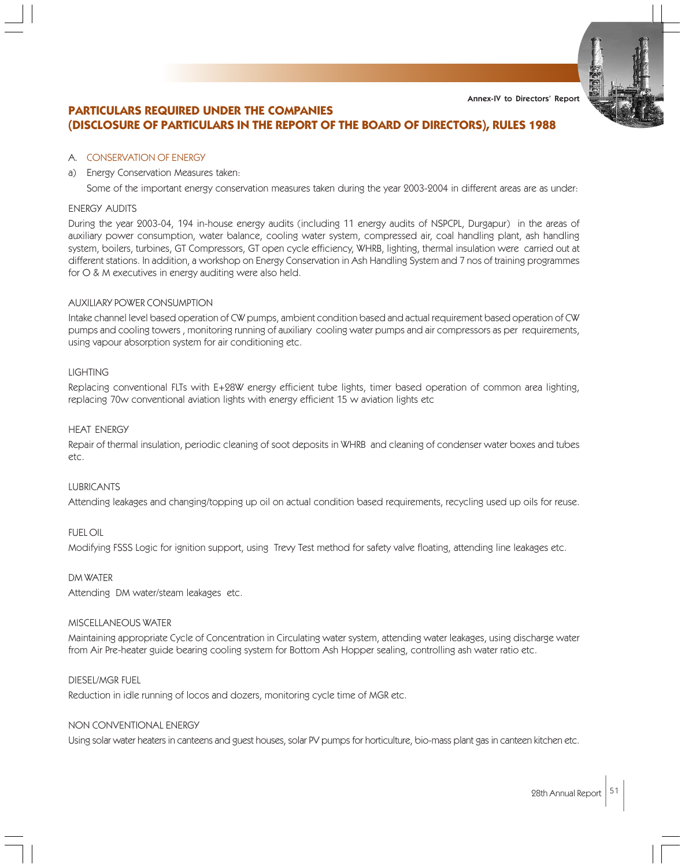# **PARTICULARS REQUIRED UNDER THE COMPANIES (DISCLOSURE OF PARTICULARS IN THE REPORT OF THE BOARD OF DIRECTORS), RULES 1988**

# A. CONSERVATION OF ENERGY

a) Energy Conservation Measures taken:

Some of the important energy conservation measures taken during the year 2003-2004 in different areas are as under:

# ENERGY AUDITS

During the year 2003-04, 194 in-house energy audits (including 11 energy audits of NSPCPL, Durgapur) in the areas of auxiliary power consumption, water balance, cooling water system, compressed air, coal handling plant, ash handling system, boilers, turbines, GT Compressors, GT open cycle efficiency, WHRB, lighting, thermal insulation were carried out at different stations. In addition, a workshop on Energy Conservation in Ash Handling System and 7 nos of training programmes for O & M executives in energy auditing were also held.

# AUXILIARY POWER CONSUMPTION

Intake channel level based operation of CW pumps, ambient condition based and actual requirement based operation of CW pumps and cooling towers , monitoring running of auxiliary cooling water pumps and air compressors as per requirements, using vapour absorption system for air conditioning etc.

# **LIGHTING**

Replacing conventional FLTs with E+28W energy efficient tube lights, timer based operation of common area lighting, replacing 70w conventional aviation lights with energy efficient 15 w aviation lights etc

# HEAT ENERGY

Repair of thermal insulation, periodic cleaning of soot deposits in WHRB and cleaning of condenser water boxes and tubes etc.

# LUBRICANTS

Attending leakages and changing/topping up oil on actual condition based requirements, recycling used up oils for reuse.

# FUEL OIL

Modifying FSSS Logic for ignition support, using Trevy Test method for safety valve floating, attending line leakages etc.

# DM WATER

Attending DM water/steam leakages etc.

# MISCELLANEOUS WATER

Maintaining appropriate Cycle of Concentration in Circulating water system, attending water leakages, using discharge water from Air Pre-heater guide bearing cooling system for Bottom Ash Hopper sealing, controlling ash water ratio etc.

# DIESEL/MGR FUEL

Reduction in idle running of locos and dozers, monitoring cycle time of MGR etc.

# NON CONVENTIONAL ENERGY

Using solar water heaters in canteens and guest houses, solar PV pumps for horticulture, bio-mass plant gas in canteen kitchen etc.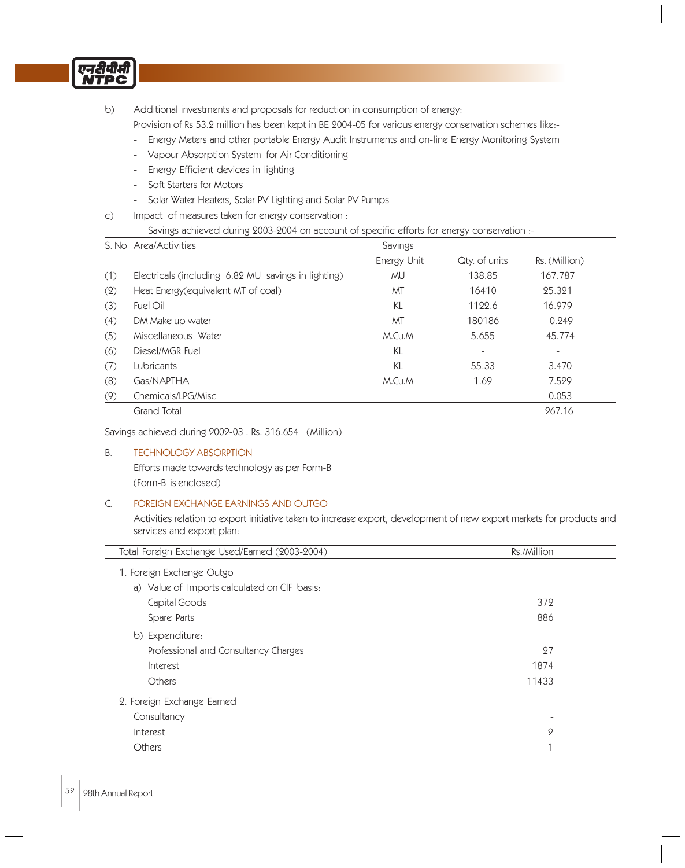

b) Additional investments and proposals for reduction in consumption of energy:

Provision of Rs 53.2 million has been kept in BE 2004-05 for various energy conservation schemes like:-

- Energy Meters and other portable Energy Audit Instruments and on-line Energy Monitoring System
- Vapour Absorption System for Air Conditioning
- Energy Efficient devices in lighting
- Soft Starters for Motors
- Solar Water Heaters, Solar PV Lighting and Solar PV Pumps
- c) Impact of measures taken for energy conservation :

Savings achieved during 2003-2004 on account of specific efforts for energy conservation :-

| S. No Area/Activities                               |             |               |                          |
|-----------------------------------------------------|-------------|---------------|--------------------------|
|                                                     | Energy Unit | Qty. of units | Rs. (Million)            |
| Electricals (including 6.82 MU savings in lighting) | MU          | 138.85        | 167.787                  |
| Heat Energy(equivalent MT of coal)                  | MT          | 16410         | 25.321                   |
| Fuel Oil                                            | KL          | 1122.6        | 16.979                   |
| DM Make up water                                    | MT          | 180186        | 0.249                    |
| Miscellaneous Water                                 | M.Cu.M      | 5.655         | 45.774                   |
| Diesel/MGR Fuel                                     | KL          |               | $\overline{\phantom{a}}$ |
| Lubricants                                          | KL          | 55.33         | 3.470                    |
| Gas/NAPTHA                                          | M.Cu.M      | 1.69          | 7.529                    |
| Chemicals/LPG/Misc                                  |             |               | 0.053                    |
| <b>Grand Total</b>                                  |             |               | 267.16                   |
|                                                     |             |               | Savings                  |

Savings achieved during 2002-03 : Rs. 316.654 (Million)

# B. TECHNOLOGY ABSORPTION

Efforts made towards technology as per Form-B (Form-B is enclosed)

# C. FOREIGN EXCHANGE EARNINGS AND OUTGO

Activities relation to export initiative taken to increase export, development of new export markets for products and services and export plan:

| Total Foreign Exchange Used/Earned (2003-2004) | Rs./Million  |  |  |
|------------------------------------------------|--------------|--|--|
| 1. Foreign Exchange Outgo                      |              |  |  |
| a) Value of Imports calculated on CIF basis:   |              |  |  |
| Capital Goods                                  | 372          |  |  |
| Spare Parts                                    | 886          |  |  |
| b) Expenditure:                                |              |  |  |
| Professional and Consultancy Charges           | 27           |  |  |
| Interest                                       | 1874         |  |  |
| Others                                         | 11433        |  |  |
| 2. Foreign Exchange Earned                     |              |  |  |
| Consultancy                                    |              |  |  |
| Interest                                       | $\mathbf{Q}$ |  |  |
| <b>Others</b>                                  |              |  |  |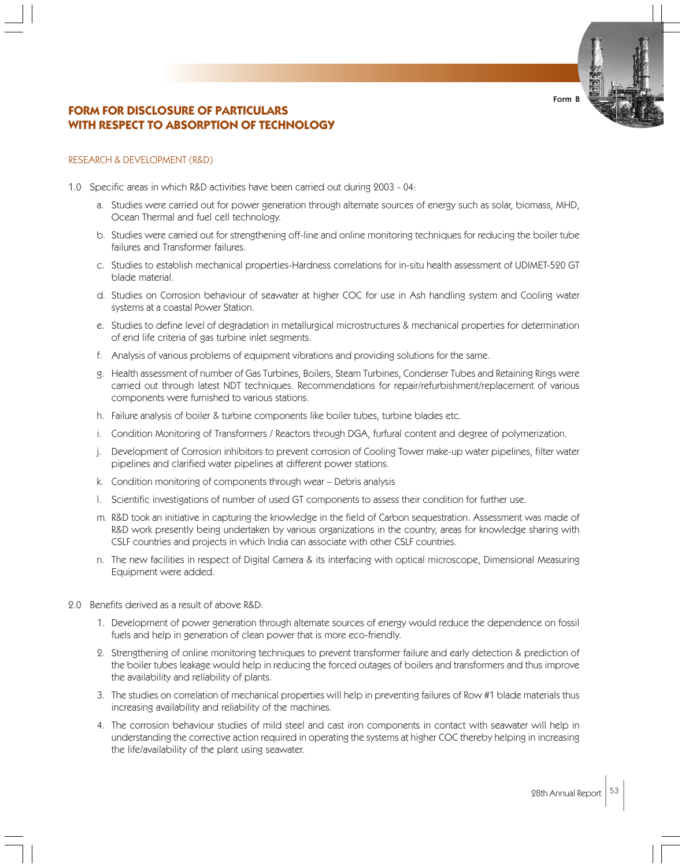# **FORM FOR DISCLOSURE OF PARTICULARS WITH RESPECT TO ABSORPTION OF TECHNOLOGY**

#### RESEARCH & DEVELOPMENT (R&D)

- 1.0 Specific areas in which R&D activities have been carried out during 2003 04:
	- a. Studies were carried out for power generation through alternate sources of energy such as solar, biomass, MHD, Ocean Thermal and fuel cell technology.
	- b. Studies were carried out for strengthening off-line and online monitoring techniques for reducing the boiler tube failures and Transformer failures.
	- c. Studies to establish mechanical properties-Hardness correlations for in-situ health assessment of UDIMET-520 GT blade material.
	- d. Studies on Corrosion behaviour of seawater at higher COC for use in Ash handling system and Cooling water systems at a coastal Power Station.
	- e. Studies to define level of degradation in metallurgical microstructures & mechanical properties for determination of end life criteria of gas turbine inlet segments.
	- f. Analysis of various problems of equipment vibrations and providing solutions for the same.
	- g. Health assessment of number of Gas Turbines, Boilers, Steam Turbines, Condenser Tubes and Retaining Rings were carried out through latest NDT techniques. Recommendations for repair/refurbishment/replacement of various components were furnished to various stations.
	- h. Failure analysis of boiler & turbine components like boiler tubes, turbine blades etc.
	- i. Condition Monitoring of Transformers / Reactors through DGA, furfural content and degree of polymerization.
	- j. Development of Corrosion inhibitors to prevent corrosion of Cooling Tower make-up water pipelines, filter water pipelines and clarified water pipelines at different power stations.
	- k. Condition monitoring of components through wear Debris analysis
	- l. Scientific investigations of number of used GT components to assess their condition for further use.
	- m. R&D took an initiative in capturing the knowledge in the field of Carbon sequestration. Assessment was made of R&D work presently being undertaken by various organizations in the country, areas for knowledge sharing with CSLF countries and projects in which India can associate with other CSLF countries.
	- n. The new facilities in respect of Digital Camera & its interfacing with optical microscope, Dimensional Measuring Equipment were added.
- 2.0 Benefits derived as a result of above R&D:
	- 1. Development of power generation through alternate sources of energy would reduce the dependence on fossil fuels and help in generation of clean power that is more eco-friendly.
	- 2. Strengthening of online monitoring techniques to prevent transformer failure and early detection & prediction of the boiler tubes leakage would help in reducing the forced outages of boilers and transformers and thus improve the availability and reliability of plants.
	- 3. The studies on correlation of mechanical properties will help in preventing failures of Row #1 blade materials thus increasing availability and reliability of the machines.
	- 4. The corrosion behaviour studies of mild steel and cast iron components in contact with seawater will help in understanding the corrective action required in operating the systems at higher COC thereby helping in increasing the life/availability of the plant using seawater.

Form B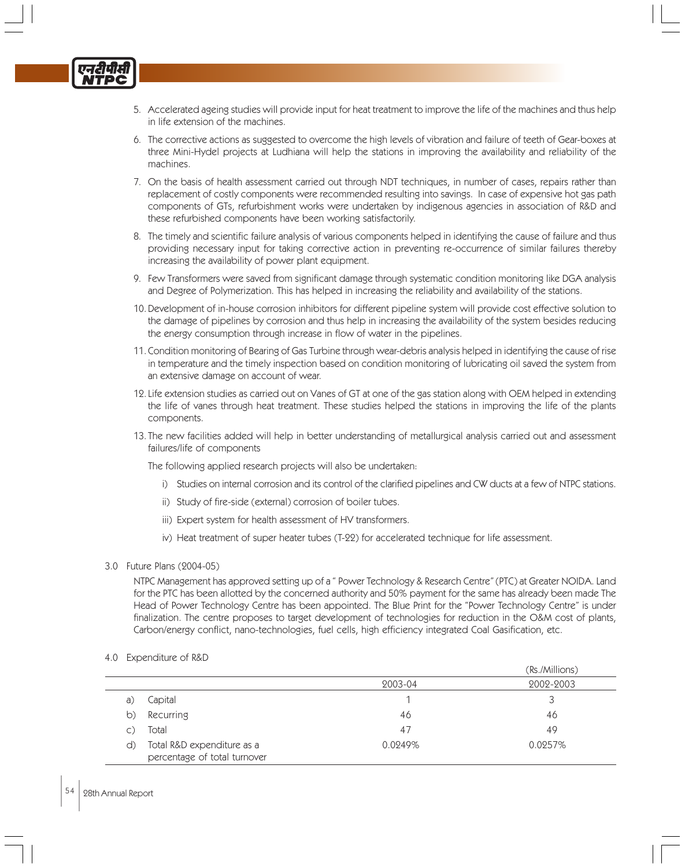

- 5. Accelerated ageing studies will provide input for heat treatment to improve the life of the machines and thus help in life extension of the machines.
- 6. The corrective actions as suggested to overcome the high levels of vibration and failure of teeth of Gear-boxes at three Mini-Hydel projects at Ludhiana will help the stations in improving the availability and reliability of the machines.
- 7. On the basis of health assessment carried out through NDT techniques, in number of cases, repairs rather than replacement of costly components were recommended resulting into savings. In case of expensive hot gas path components of GTs, refurbishment works were undertaken by indigenous agencies in association of R&D and these refurbished components have been working satisfactorily.
- 8. The timely and scientific failure analysis of various components helped in identifying the cause of failure and thus providing necessary input for taking corrective action in preventing re-occurrence of similar failures thereby increasing the availability of power plant equipment.
- 9. Few Transformers were saved from significant damage through systematic condition monitoring like DGA analysis and Degree of Polymerization. This has helped in increasing the reliability and availability of the stations.
- 10. Development of in-house corrosion inhibitors for different pipeline system will provide cost effective solution to the damage of pipelines by corrosion and thus help in increasing the availability of the system besides reducing the energy consumption through increase in flow of water in the pipelines.
- 11. Condition monitoring of Bearing of Gas Turbine through wear-debris analysis helped in identifying the cause of rise in temperature and the timely inspection based on condition monitoring of lubricating oil saved the system from an extensive damage on account of wear.
- 12. Life extension studies as carried out on Vanes of GT at one of the gas station along with OEM helped in extending the life of vanes through heat treatment. These studies helped the stations in improving the life of the plants components.
- 13. The new facilities added will help in better understanding of metallurgical analysis carried out and assessment failures/life of components

The following applied research projects will also be undertaken:

- i) Studies on internal corrosion and its control of the clarified pipelines and CW ducts at a few of NTPC stations.
- ii) Study of fire-side (external) corrosion of boiler tubes.
- iii) Expert system for health assessment of HV transformers.
- iv) Heat treatment of super heater tubes (T-22) for accelerated technique for life assessment.

#### 3.0 Future Plans (2004-05)

NTPC Management has approved setting up of a " Power Technology & Research Centre" (PTC) at Greater NOIDA. Land for the PTC has been allotted by the concerned authority and 50% payment for the same has already been made The Head of Power Technology Centre has been appointed. The Blue Print for the "Power Technology Centre" is under finalization. The centre proposes to target development of technologies for reduction in the O&M cost of plants, Carbon/energy conflict, nano-technologies, fuel cells, high efficiency integrated Coal Gasification, etc.

4.0 Expenditure of R&D

|                                                            |         | (Rs./Millions) |
|------------------------------------------------------------|---------|----------------|
|                                                            | 2003-04 | 2002-2003      |
| Capital                                                    |         |                |
| Recurring                                                  | 46      | 46             |
| Total                                                      | 47      | 49             |
| Total R&D expenditure as a<br>percentage of total turnover | 0.0249% | 0.0257%        |
|                                                            |         |                |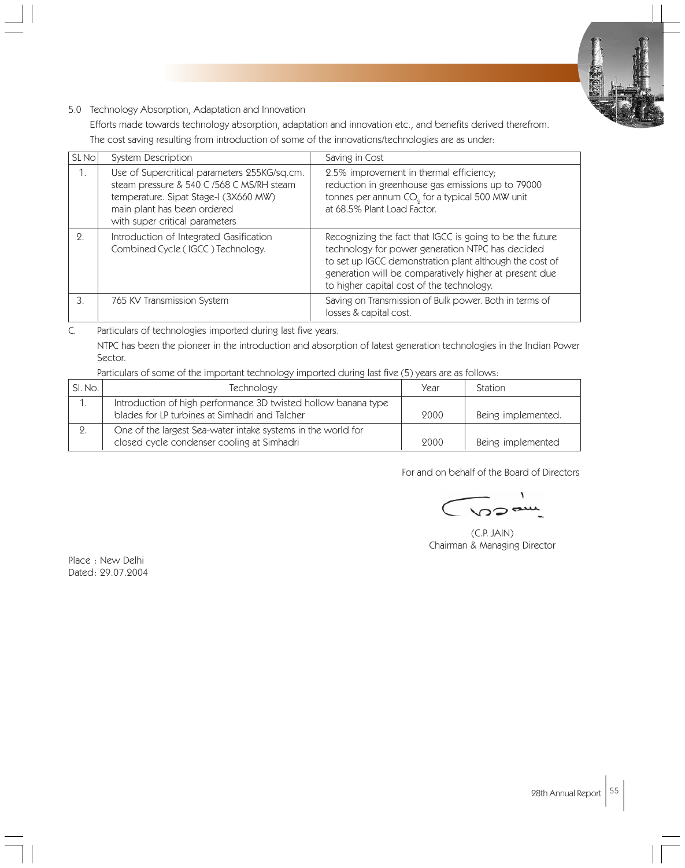

# 5.0 Technology Absorption, Adaptation and Innovation

Efforts made towards technology absorption, adaptation and innovation etc., and benefits derived therefrom.

The cost saving resulting from introduction of some of the innovations/technologies are as under:

| SL No | System Description                                                                                                                                                                                  | Saving in Cost                                                                                                                                                                                                                                                                 |
|-------|-----------------------------------------------------------------------------------------------------------------------------------------------------------------------------------------------------|--------------------------------------------------------------------------------------------------------------------------------------------------------------------------------------------------------------------------------------------------------------------------------|
| 1.    | Use of Supercritical parameters 255KG/sq.cm.<br>steam pressure & 540 C /568 C MS/RH steam<br>temperature. Sipat Stage-I (3X660 MW)<br>main plant has been ordered<br>with super critical parameters | 2.5% improvement in thermal efficiency;<br>reduction in greenhouse gas emissions up to 79000<br>tonnes per annum CO <sub>o</sub> for a typical 500 MW unit<br>at 68.5% Plant Load Factor.                                                                                      |
| 2.    | Introduction of Integrated Gasification<br>Combined Cycle (IGCC) Technology.                                                                                                                        | Recognizing the fact that IGCC is going to be the future<br>technology for power generation NTPC has decided<br>to set up IGCC demonstration plant although the cost of<br>generation will be comparatively higher at present due<br>to higher capital cost of the technology. |
| 3.    | 765 KV Transmission System                                                                                                                                                                          | Saving on Transmission of Bulk power. Both in terms of<br>losses & capital cost.                                                                                                                                                                                               |

C. Particulars of technologies imported during last five years.

NTPC has been the pioneer in the introduction and absorption of latest generation technologies in the Indian Power Sector.

Particulars of some of the important technology imported during last five (5) years are as follows:

| SI. No. | Technology                                                                                                       | Year | <b>Station</b>     |
|---------|------------------------------------------------------------------------------------------------------------------|------|--------------------|
|         | Introduction of high performance 3D twisted hollow banana type<br>blades for LP turbines at Simhadri and Talcher | 9000 | Being implemented. |
|         | One of the largest Sea-water intake systems in the world for<br>closed cycle condenser cooling at Simhadri       | 9000 | Being implemented  |

For and on behalf of the Board of Directors

(C.P. JAIN) Chairman & Managing Director

Place : New Delhi Dated: 29.07.2004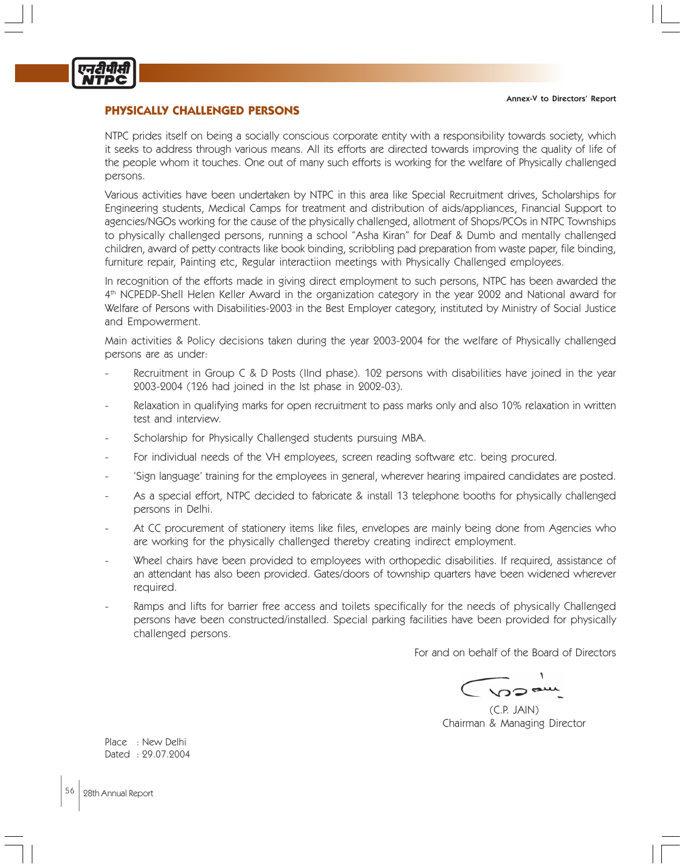

# **PHYSICALLY CHALLENGED PERSONS**

NTPC prides itself on being a socially conscious corporate entity with a responsibility towards society, which it seeks to address through various means. All its efforts are directed towards improving the quality of life of the people whom it touches. One out of many such efforts is working for the welfare of Physically challenged persons.

Various activities have been undertaken by NTPC in this area like Special Recruitment drives, Scholarships for Engineering students, Medical Camps for treatment and distribution of aids/appliances, Financial Support to agencies/NGOs working for the cause of the physically challenged, allotment of Shops/PCOs in NTPC Townships to physically challenged persons, running a school "Asha Kiran" for Deaf & Dumb and mentally challenged children, award of petty contracts like book binding, scribbling pad preparation from waste paper, file binding, furniture repair, Painting etc, Regular interactiion meetings with Physically Challenged employees.

In recognition of the efforts made in giving direct employment to such persons, NTPC has been awarded the 4th NCPEDP-Shell Helen Keller Award in the organization category in the year 2002 and National award for Welfare of Persons with Disabilities-2003 in the Best Employer category, instituted by Ministry of Social Justice and Empowerment.

Main activities & Policy decisions taken during the year 2003-2004 for the welfare of Physically challenged persons are as under:

- Recruitment in Group C & D Posts (IInd phase). 102 persons with disabilities have joined in the year 2003-2004 (126 had joined in the Ist phase in 2002-03).
- Relaxation in qualifying marks for open recruitment to pass marks only and also 10% relaxation in written test and interview.
- Scholarship for Physically Challenged students pursuing MBA.
- For individual needs of the VH employees, screen reading software etc. being procured.
- 'Sign language' training for the employees in general, wherever hearing impaired candidates are posted.
- As a special effort, NTPC decided to fabricate & install 13 telephone booths for physically challenged persons in Delhi.
- At CC procurement of stationery items like files, envelopes are mainly being done from Agencies who are working for the physically challenged thereby creating indirect employment.
- Wheel chairs have been provided to employees with orthopedic disabilities. If required, assistance of an attendant has also been provided. Gates/doors of township quarters have been widened wherever required.
- Ramps and lifts for barrier free access and toilets specifically for the needs of physically Challenged persons have been constructed/installed. Special parking facilities have been provided for physically challenged persons.

For and on behalf of the Board of Directors

(C.P. JAIN) Chairman & Managing Director

Place : New Delhi Dated : 29.07.2004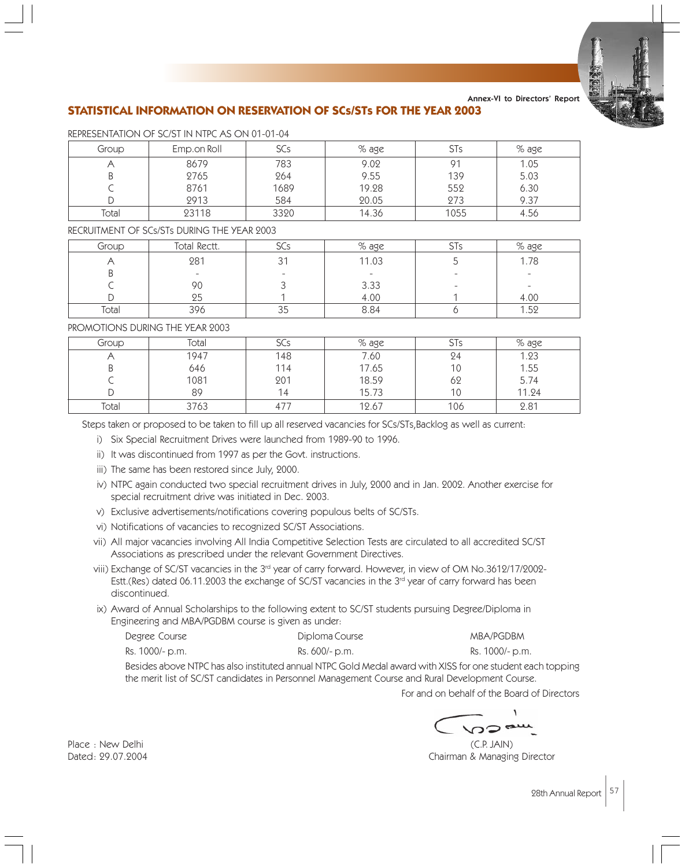

# **STATISTICAL INFORMATION ON RESERVATION OF SCs/STs FOR THE YEAR 2003** Annex-VI to Directors' Report

| Group | Emp.on Roll | SCs  | $%$ age | <b>STs</b> | % age |
|-------|-------------|------|---------|------------|-------|
|       | 8679        | 783  | 9.02    | 91         | 1.05  |
| Β     | 2765        | 264  | 9.55    | 139        | 5.03  |
|       | 8761        | 1689 | 19.28   | 552        | 6.30  |
|       | 2913        | 584  | 20.05   | 273        | 9.37  |
| Total | 23118       | 3320 | 14.36   | 1055       | 4.56  |

REPRESENTATION OF SC/ST IN NTPC AS ON 01-01-04

# RECRUITMENT OF SCs/STs DURING THE YEAR 2003

| Group | Total Rectt. | SCs        | $\%$ age | 5 I S | % age                    |
|-------|--------------|------------|----------|-------|--------------------------|
|       | 281          |            | 11.03    |       | 1.78                     |
| U     |              |            |          |       | $\overline{\phantom{a}}$ |
|       | 90           |            | 3.33     |       |                          |
|       | כצ           |            | 4.00     |       | 4.00                     |
| Total | 396          | $\sim$ $-$ | 8.84     |       | - 50                     |

# PROMOTIONS DURING THE YEAR 9003

| Group | Total | SCs | % age |     | % age |
|-------|-------|-----|-------|-----|-------|
|       | 1947  | 148 | 7.60  | 24  | 1.23  |
| B     | 646   | 114 | 17.65 | 10  | 1.55  |
|       | 1081  | 201 | 18.59 | 62  | 5.74  |
|       | 89    | 14  | 15.73 | 10  | 11.24 |
| Total | 3763  | 47  | 12.67 | 106 | 2.81  |

Steps taken or proposed to be taken to fill up all reserved vacancies for SCs/STs,Backlog as well as current:

- i) Six Special Recruitment Drives were launched from 1989-90 to 1996.
- ii) It was discontinued from 1997 as per the Govt. instructions.
- iii) The same has been restored since July, 2000.
- iv) NTPC again conducted two special recruitment drives in July, 2000 and in Jan. 2002. Another exercise for special recruitment drive was initiated in Dec. 2003.
- v) Exclusive advertisements/notifications covering populous belts of SC/STs.
- vi) Notifications of vacancies to recognized SC/ST Associations.
- vii) All major vacancies involving All India Competitive Selection Tests are circulated to all accredited SC/ST Associations as prescribed under the relevant Government Directives.
- viii) Exchange of SC/ST vacancies in the 3<sup>rd</sup> year of carry forward. However, in view of OM No.3612/17/2002-Estt.(Res) dated 06.11.2003 the exchange of SC/ST vacancies in the 3<sup>rd</sup> year of carry forward has been discontinued.
- ix) Award of Annual Scholarships to the following extent to SC/ST students pursuing Degree/Diploma in Engineering and MBA/PGDBM course is given as under:

| Degree Course   | Diploma Course | MBA/PGDBM       |
|-----------------|----------------|-----------------|
| Rs. 1000/- p.m. | Rs. 600/- p.m. | Rs. 1000/- p.m. |

Besides above NTPC has also instituted annual NTPC Gold Medal award with XISS for one student each topping the merit list of SC/ST candidates in Personnel Management Course and Rural Development Course.

For and on behalf of the Board of Directors

ລລະ

Place : New Delhi (C.P. JAIN) Dated: 29.07.2004 Chairman & Managing Director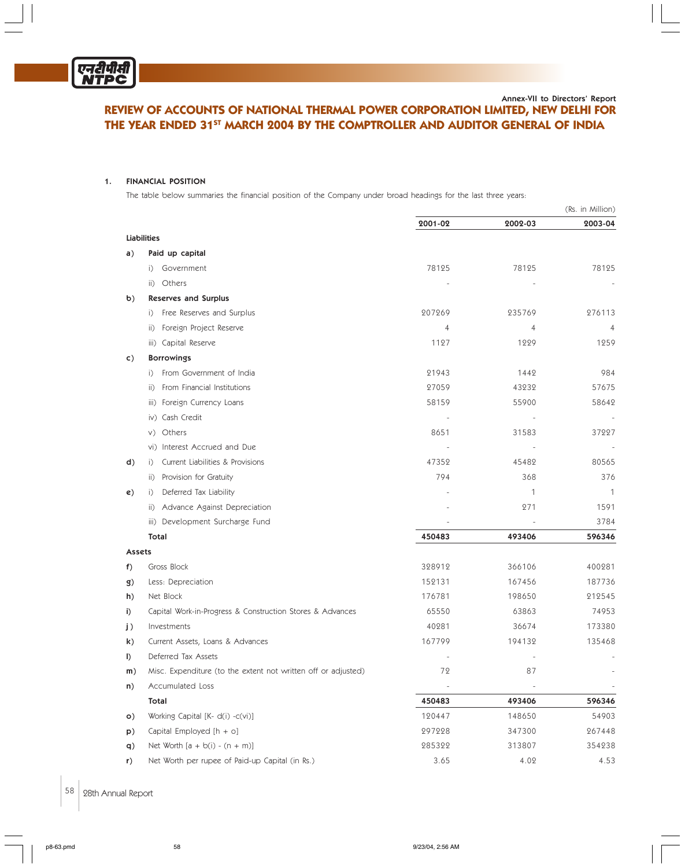

# **REVIEW OF ACCOUNTS OF NATIONAL THERMAL POWER CORPORATION LIMITED, NEW DELHI FOR THE YEAR ENDED 31<sup>ST</sup> MARCH 2004 BY THE COMPTROLLER AND AUDITOR GENERAL OF INDIA** Annex-VII to Directors' Report

#### 1. FINANCIAL POSITION

The table below summaries the financial position of the Company under broad headings for the last three years:

|               |                                                               |         |         | (Rs. in Million) |
|---------------|---------------------------------------------------------------|---------|---------|------------------|
|               |                                                               | 2001-02 | 2002-03 | 2003-04          |
|               | <b>Liabilities</b>                                            |         |         |                  |
| a)            | Paid up capital                                               |         |         |                  |
|               | Government<br>$\vert$ )                                       | 78125   | 78125   | 78125            |
|               | Others<br>$\vert \vert$ )                                     |         |         |                  |
| $\mathbf{b}$  | <b>Reserves and Surplus</b>                                   |         |         |                  |
|               | Free Reserves and Surplus<br>$\vert$ )                        | 207269  | 235769  | 276113           |
|               | Foreign Project Reserve<br>$\vert \vert$ )                    | 4       | 4       | 4                |
|               | iii) Capital Reserve                                          | 1127    | 1229    | 1259             |
| $\mathsf{c})$ | <b>Borrowings</b>                                             |         |         |                  |
|               | From Government of India<br>$\vert$ )                         | 21943   | 1442    | 984              |
|               | From Financial Institutions<br>$\vert \vert$ )                | 27059   | 43232   | 57675            |
|               | iii) Foreign Currency Loans                                   | 58159   | 55900   | 58642            |
|               | iv) Cash Credit                                               |         |         |                  |
|               | Others<br>V)                                                  | 8651    | 31583   | 37227            |
|               | vi) Interest Accrued and Due                                  |         |         | $\sim$           |
| d)            | Current Liabilities & Provisions<br>$\vert$ )                 | 47352   | 45482   | 80565            |
|               | Provision for Gratuity<br>$\vert \vert$ )                     | 794     | 368     | 376              |
| e)            | Deferred Tax Liability<br>$\vert$ )                           |         | 1       | 1                |
|               | ii) Advance Against Depreciation                              |         | 271     | 1591             |
|               | iii) Development Surcharge Fund                               |         |         | 3784             |
|               | Total                                                         | 450483  | 493406  | 596346           |
| Assets        |                                                               |         |         |                  |
| f)            | Gross Block                                                   | 328912  | 366106  | 400281           |
| g)            | Less: Depreciation                                            | 152131  | 167456  | 187736           |
| h)            | Net Block                                                     | 176781  | 198650  | 212545           |
| i)            | Capital Work-in-Progress & Construction Stores & Advances     | 65550   | 63863   | 74953            |
| j)            | Investments                                                   | 40281   | 36674   | 173380           |
| k)            | Current Assets, Loans & Advances                              | 167799  | 194132  | 135468           |
| $\vert$       | Deferred Tax Assets                                           |         |         |                  |
| m)            | Misc. Expenditure (to the extent not written off or adjusted) | 72      | 87      |                  |
| n)            | Accumulated Loss                                              |         |         |                  |
|               | Total                                                         | 450483  | 493406  | 596346           |
| $\circ)$      | Working Capital [K- d(i) -c(vi)]                              | 120447  | 148650  | 54903            |
| p)            | Capital Employed $[h + o]$                                    | 297228  | 347300  | 267448           |
| q)            | Net Worth $[a + b(i) - (n + m)]$                              | 285322  | 313807  | 354238           |
| r)            | Net Worth per rupee of Paid-up Capital (in Rs.)               | 3.65    | 4.02    | 4.53             |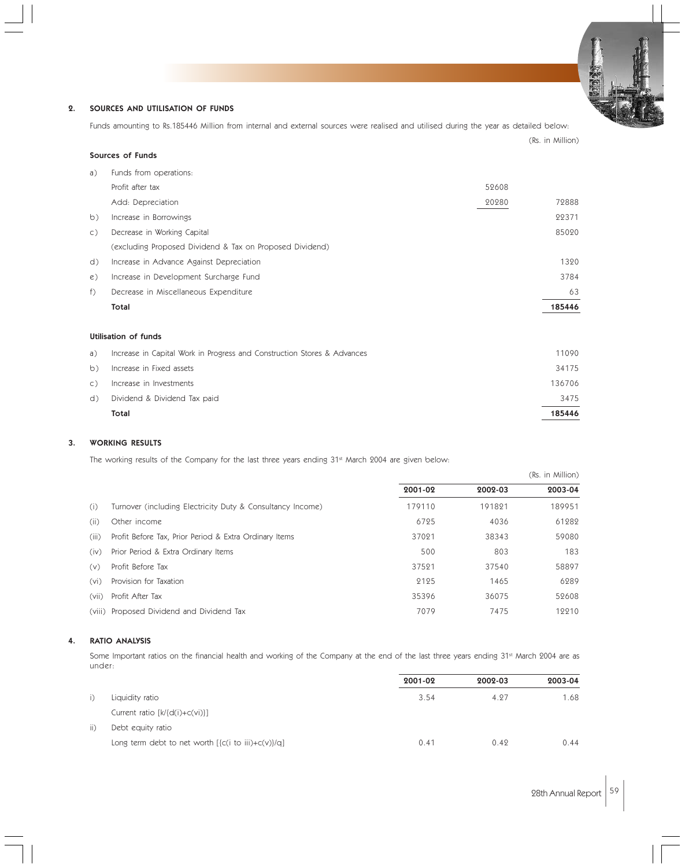# 2. SOURCES AND UTILISATION OF FUNDS

Sources of Funds

Funds amounting to Rs.185446 Million from internal and external sources were realised and utilised during the year as detailed below:

| a)             | Funds from operations:                                                  |       |        |
|----------------|-------------------------------------------------------------------------|-------|--------|
|                | Profit after tax                                                        | 52608 |        |
|                | Add: Depreciation                                                       | 20280 | 72888  |
| b)             | Increase in Borrowings                                                  |       | 22371  |
| $\mathsf{C}$ ) | Decrease in Working Capital                                             |       | 85020  |
|                | (excluding Proposed Dividend & Tax on Proposed Dividend)                |       |        |
| d)             | Increase in Advance Against Depreciation                                |       | 1320   |
| $\epsilon$ )   | Increase in Development Surcharge Fund                                  |       | 3784   |
| $f$ )          | Decrease in Miscellaneous Expenditure                                   |       | 63     |
|                | Total                                                                   |       | 185446 |
|                |                                                                         |       |        |
|                | Utilisation of funds                                                    |       |        |
| a)             | Increase in Capital Work in Progress and Construction Stores & Advances |       | 11090  |
| b)             | Increase in Fixed assets                                                |       | 34175  |
| $\mathsf{C}$ ) | Increase in Investments                                                 |       | 136706 |
| d)             | Dividend & Dividend Tax paid                                            |       | 3475   |

# 3. WORKING RESULTS

The working results of the Company for the last three years ending 31st March 2004 are given below:

|       |                                                            |         |         | (Rs. in Million) |
|-------|------------------------------------------------------------|---------|---------|------------------|
|       |                                                            | 2001-02 | 2002-03 | 2003-04          |
| (i)   | Turnover (including Electricity Duty & Consultancy Income) | 179110  | 191821  | 189951           |
| (ii)  | Other income                                               | 6725    | 4036    | 61282            |
| (iii) | Profit Before Tax, Prior Period & Extra Ordinary Items     | 37021   | 38343   | 59080            |
| (iv)  | Prior Period & Extra Ordinary Items                        | 500     | 803     | 183              |
| (v)   | Profit Before Tax                                          | 37521   | 37540   | 58897            |
| (vi)  | Provision for Taxation                                     | 2125    | 1465    | 6289             |
| (vii) | Profit After Tax                                           | 35396   | 36075   | 52608            |
|       | (viii) Proposed Dividend and Dividend Tax                  | 7079    | 7475    | 12210            |

Total 185446

#### 4. RATIO ANALYSIS

Some Important ratios on the financial health and working of the Company at the end of the last three years ending 31<sup>st</sup> March 2004 are as under:

|     |                                                                | 2001-02 | 2002-03 | 2003-04 |
|-----|----------------------------------------------------------------|---------|---------|---------|
|     | Liquidity ratio                                                | 3.54    | 4.27    | 1.68    |
|     | Current ratio $[k]{d(i)+c(vi)}$                                |         |         |         |
| ii) | Debt equity ratio                                              |         |         |         |
|     | Long term debt to net worth $[\{c(i \text{ to iii})+c(v)\}/q]$ | 0.41    | 0.49    | 0.44    |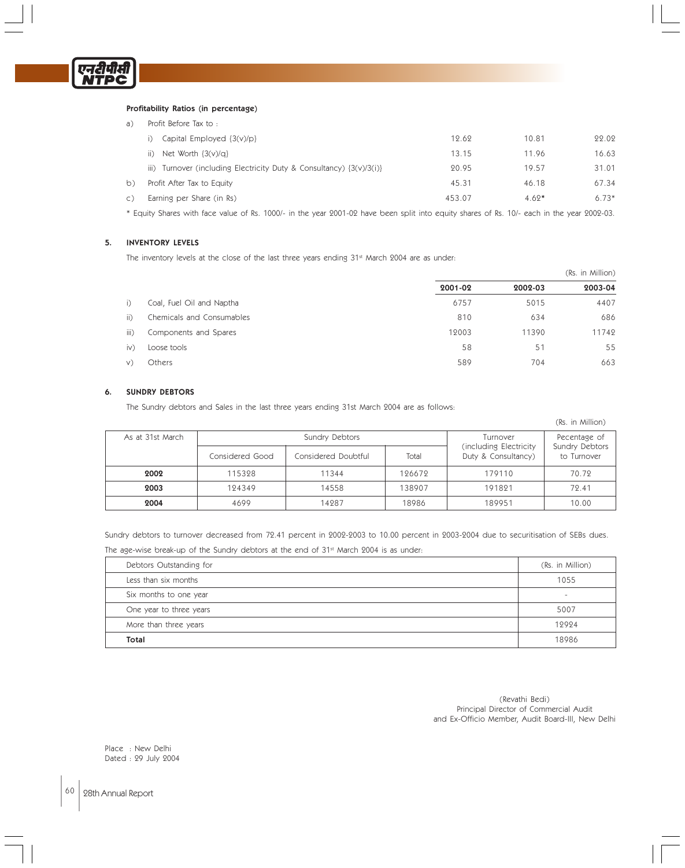

#### Profitability Ratios (in percentage)

| a)             | Profit Before Tax to:                                                    |        |         |         |
|----------------|--------------------------------------------------------------------------|--------|---------|---------|
|                | Capital Employed $\{3(v)/p\}$                                            | 12.62  | 10.81   | 22.02   |
|                | ii) Net Worth $\{3(v)/q\}$                                               | 13.15  | 11.96   | 16.63   |
|                | iii) Turnover (including Electricity Duty & Consultancy) $\{3(v)/3(i)\}$ | 20.95  | 19.57   | 31.01   |
| b)             | Profit After Tax to Equity                                               | 45.31  | 46.18   | 67.34   |
| $\mathsf{C}$ ) | Earning per Share (in Rs)                                                | 453.07 | $4.62*$ | $6.73*$ |
|                |                                                                          |        |         |         |

\* Equity Shares with face value of Rs. 1000/- in the year 2001-02 have been split into equity shares of Rs. 10/- each in the year 2002-03.

#### 5. INVENTORY LEVELS

The inventory levels at the close of the last three years ending 31<sup>st</sup> March 2004 are as under:

|                 |                           |         | (Rs. in Million) |         |  |
|-----------------|---------------------------|---------|------------------|---------|--|
|                 |                           | 2001-02 | 2002-03          | 2003-04 |  |
| i)              | Coal, Fuel Oil and Naptha | 6757    | 5015             | 4407    |  |
| $\overline{ii}$ | Chemicals and Consumables | 810     | 634              | 686     |  |
| iii)            | Components and Spares     | 12003   | 11390            | 11742   |  |
| $\dot{N}$       | Loose tools               | 58      | 51               | 55      |  |
| V)              | Others                    | 589     | 704              | 663     |  |

#### 6. SUNDRY DEBTORS

The Sundry debtors and Sales in the last three years ending 31st March 2004 are as follows:

| (Rs. in Million) |                 |                     |        |                                               |                               |
|------------------|-----------------|---------------------|--------|-----------------------------------------------|-------------------------------|
| As at 31st March | Sundry Debtors  |                     |        | Turnover                                      | Pecentage of                  |
|                  | Considered Good | Considered Doubtful | Total  | (including Electricity<br>Duty & Consultancy) | Sundry Debtors<br>to Turnover |
| 2002             | 115328          | 11344               | 126672 | 179110                                        | 70.72                         |
| 2003             | 124349          | 14558               | 138907 | 191821                                        | 72.41                         |
| 2004             | 4699            | 14287               | 18986  | 189951                                        | 10.00                         |

Sundry debtors to turnover decreased from 72.41 percent in 2002-2003 to 10.00 percent in 2003-2004 due to securitisation of SEBs dues.

The age-wise break-up of the Sundry debtors at the end of 31<sup>st</sup> March 2004 is as under:

| Debtors Outstanding for | (Rs. in Million) |
|-------------------------|------------------|
| Less than six months    | 1055             |
| Six months to one year  | $\sim$           |
| One year to three years | 5007             |
| More than three years   | 12924            |
| Total                   | 18986            |

(Revathi Bedi) Principal Director of Commercial Audit and Ex-Officio Member, Audit Board-III, New Delhi

Place : New Delhi Dated : 29 July 2004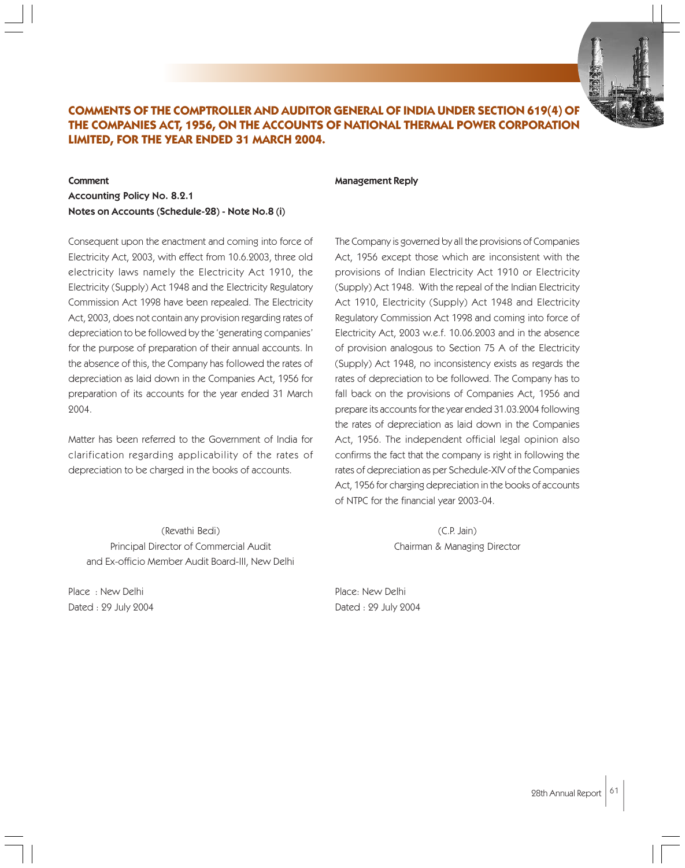

# **COMMENTS OF THE COMPTROLLER AND AUDITOR GENERAL OF INDIA UNDER SECTION 619(4) OF THE COMPANIES ACT, 1956, ON THE ACCOUNTS OF NATIONAL THERMAL POWER CORPORATION LIMITED, FOR THE YEAR ENDED 31 MARCH 2004.**

#### Comment

Accounting Policy No. 8.2.1 Notes on Accounts (Schedule-28) - Note No.8 (i)

Consequent upon the enactment and coming into force of Electricity Act, 2003, with effect from 10.6.2003, three old electricity laws namely the Electricity Act 1910, the Electricity (Supply) Act 1948 and the Electricity Regulatory Commission Act 1998 have been repealed. The Electricity Act, 2003, does not contain any provision regarding rates of depreciation to be followed by the 'generating companies' for the purpose of preparation of their annual accounts. In the absence of this, the Company has followed the rates of depreciation as laid down in the Companies Act, 1956 for preparation of its accounts for the year ended 31 March 2004.

Matter has been referred to the Government of India for clarification regarding applicability of the rates of depreciation to be charged in the books of accounts.

(Revathi Bedi) Principal Director of Commercial Audit and Ex-officio Member Audit Board-III, New Delhi

Place : New Delhi Dated : 29 July 2004

#### Management Reply

The Company is governed by all the provisions of Companies Act, 1956 except those which are inconsistent with the provisions of Indian Electricity Act 1910 or Electricity (Supply) Act 1948. With the repeal of the Indian Electricity Act 1910, Electricity (Supply) Act 1948 and Electricity Regulatory Commission Act 1998 and coming into force of Electricity Act, 2003 w.e.f. 10.06.2003 and in the absence of provision analogous to Section 75 A of the Electricity (Supply) Act 1948, no inconsistency exists as regards the rates of depreciation to be followed. The Company has to fall back on the provisions of Companies Act, 1956 and prepare its accounts for the year ended 31.03.2004 following the rates of depreciation as laid down in the Companies Act, 1956. The independent official legal opinion also confirms the fact that the company is right in following the rates of depreciation as per Schedule-XIV of the Companies Act, 1956 for charging depreciation in the books of accounts of NTPC for the financial year 2003-04.

> (C.P. Jain) Chairman & Managing Director

Place: New Delhi Dated : 29 July 2004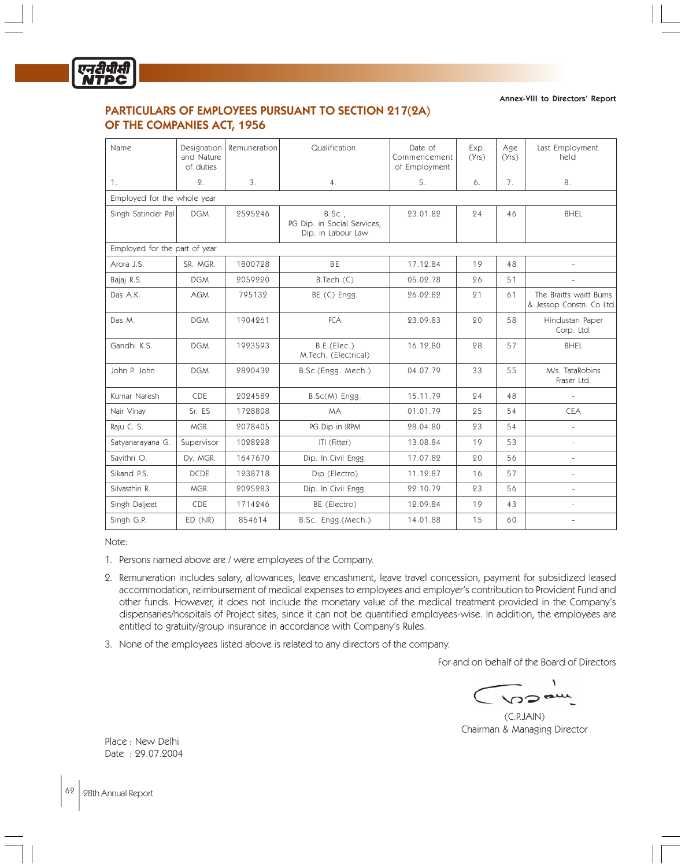

# PARTICULARS OF EMPLOYEES PURSUANT TO SECTION 217(2A) OF THE COMPANIES ACT, 1956

Annex-VIII to Directors' Report

| Name                          | Designation<br>and Nature<br>of duties | Remuneration | Qualification                                               | Date of<br>Commencement<br>of Employment | Exp.<br>(Yrs) | Age<br>(Yrs) | Last Employment<br>held                             |
|-------------------------------|----------------------------------------|--------------|-------------------------------------------------------------|------------------------------------------|---------------|--------------|-----------------------------------------------------|
| 1.                            | 2.                                     | 3.           | 4.                                                          | 5.                                       | 6.            | 7.           | 8.                                                  |
| Employed for the whole year   |                                        |              |                                                             |                                          |               |              |                                                     |
| Singh Satinder Pal            | <b>DGM</b>                             | 2595246      | B.Sc.,<br>PG Dip. in Social Services,<br>Dip. in Labour Law | 23.01.82                                 | 24            | 46           | <b>BHEL</b>                                         |
| Employed for the part of year |                                        |              |                                                             |                                          |               |              |                                                     |
| Arora J.S.                    | SR. MGR.                               | 1800728      | <b>BE</b>                                                   | 17.12.84                                 | 19            | 48           | $\bar{a}$                                           |
| Bajaj R.S.                    | <b>DGM</b>                             | 2059220      | B.Tech (C)                                                  | 05.02.78                                 | 26            | 51           |                                                     |
| Das A.K.                      | <b>AGM</b>                             | 795132       | BE (C) Engg.                                                | 26.02.82                                 | 21            | 61           | The Braitts waitt Burns<br>& Jessop Constn. Co Ltd. |
| Das M.                        | <b>DGM</b>                             | 1904261      | <b>FCA</b>                                                  | 23.09.83                                 | 20            | 58           | Hindustan Paper<br>Corp. Ltd.                       |
| Gandhi K.S.                   | <b>DGM</b>                             | 1923593      | B.E.(Elec.)<br>M.Tech. (Electrical)                         | 16.12.80                                 | 28            | 57           | <b>BHEL</b>                                         |
| John P. John                  | <b>DGM</b>                             | 2890432      | B.Sc.(Engg. Mech.)                                          | 04.07.79                                 | 33            | 55           | M/s. TataRobins<br>Fraser Ltd.                      |
| Kumar Naresh                  | <b>CDE</b>                             | 2024589      | B.Sc(M) Engg.                                               | 15.11.79                                 | 24            | 48           | $\bar{a}$                                           |
| Nair Vinay                    | Sr. ES                                 | 1728808      | <b>MA</b>                                                   | 01.01.79                                 | 25            | 54           | <b>CEA</b>                                          |
| Raju C. S.                    | MGR.                                   | 2078405      | PG Dip in IRPM                                              | 28.04.80                                 | 23            | 54           |                                                     |
| Satyanarayana G.              | Supervisor                             | 1028228      | ITI (Fitter)                                                | 13.08.84                                 | 19            | 53           | $\bar{a}$                                           |
| Savithri O.                   | Dy. MGR.                               | 1647670      | Dip. In Civil Engg.                                         | 17.07.82                                 | 20            | 56           |                                                     |
| Sikand P.S.                   | <b>DCDE</b>                            | 1238718      | Dip (Electro)                                               | 11.12.87                                 | 16            | 57           | ÷                                                   |
| Silvasthiri R.                | MGR.                                   | 2095283      | Dip. In Civil Engg.                                         | 22.10.79                                 | 23            | 56           | ÷.                                                  |
| Singh Daljeet                 | CDE                                    | 1714246      | BE (Electro)                                                | 12.09.84                                 | 19            | 43           |                                                     |
| Singh G.P.                    | ED (NR)                                | 854614       | B.Sc. Engg.(Mech.)                                          | 14.01.88                                 | 15            | 60           |                                                     |

Note:

- 1. Persons named above are / were employees of the Company.
- 2. Remuneration includes salary, allowances, leave encashment, leave travel concession, payment for subsidized leased accommodation, reimbursement of medical expenses to employees and employer's contribution to Provident Fund and other funds. However, it does not include the monetary value of the medical treatment provided in the Company's dispensaries/hospitals of Project sites, since it can not be quantified employees-wise. In addition, the employees are entitled to gratuity/group insurance in accordance with Company's Rules.
- 3. None of the employees listed above is related to any directors of the company.

For and on behalf of the Board of Directors

 $\sqrt{2}$ 

(C.P.JAIN) Chairman & Managing Director

Place : New Delhi Date : 29.07.2004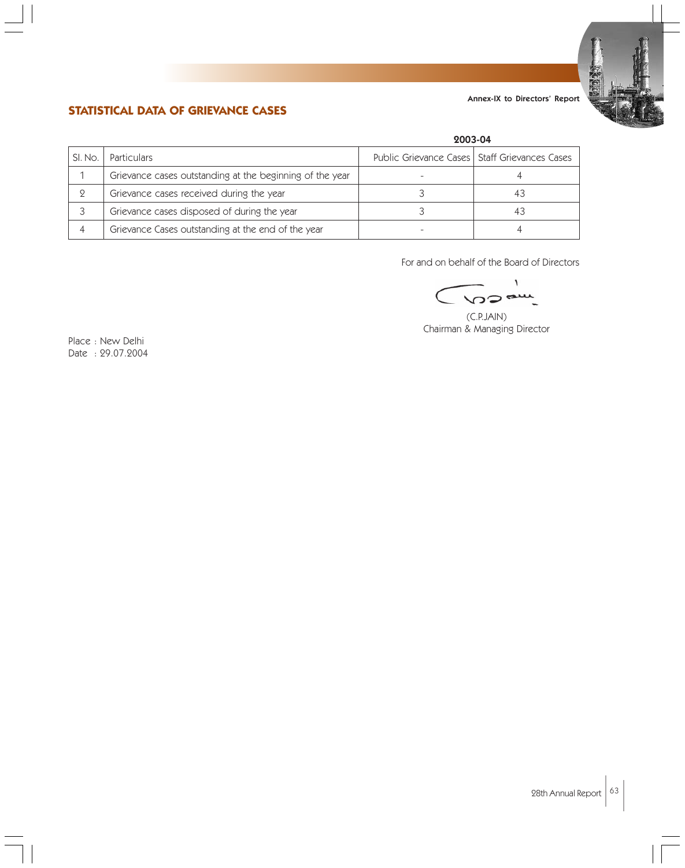

# **STATISTICAL DATA OF GRIEVANCE CASES**

|         |                                                          | 2003-04                                         |    |  |
|---------|----------------------------------------------------------|-------------------------------------------------|----|--|
| SI. No. | <b>Particulars</b>                                       | Public Grievance Cases   Staff Grievances Cases |    |  |
|         | Grievance cases outstanding at the beginning of the year |                                                 |    |  |
|         | Grievance cases received during the year                 |                                                 | 43 |  |
|         | Grievance cases disposed of during the year              |                                                 | 43 |  |
|         | Grievance Cases outstanding at the end of the year       |                                                 |    |  |

For and on behalf of the Board of Directors

١ **VODA** 

(C.P.JAIN) Chairman & Managing Director

Place : New Delhi Date : 29.07.2004